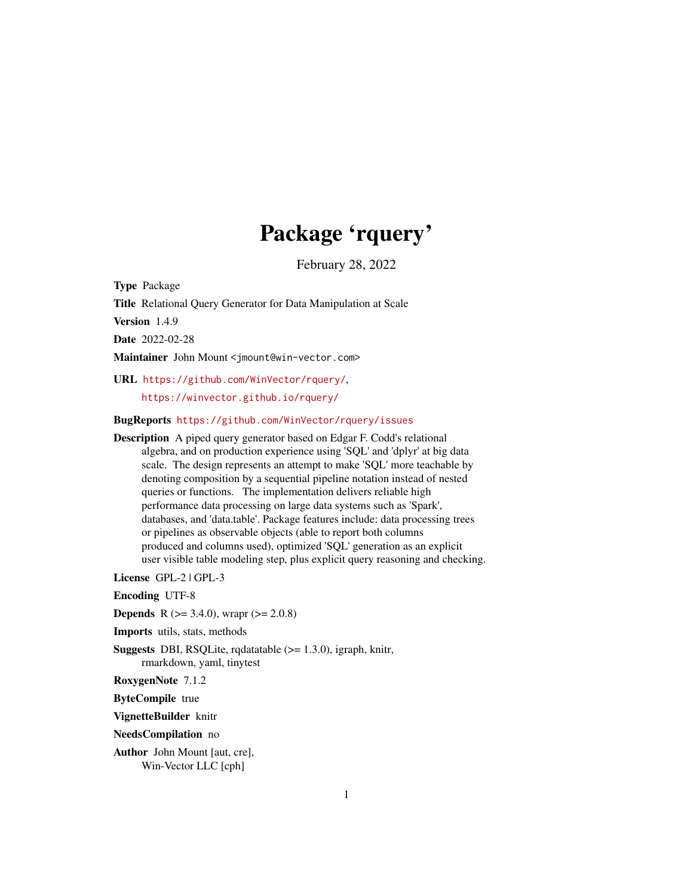# Package 'rquery'

February 28, 2022

Type Package

Title Relational Query Generator for Data Manipulation at Scale

Version 1.4.9

Date 2022-02-28

Maintainer John Mount <jmount@win-vector.com>

URL <https://github.com/WinVector/rquery/>, <https://winvector.github.io/rquery/>

BugReports <https://github.com/WinVector/rquery/issues>

Description A piped query generator based on Edgar F. Codd's relational algebra, and on production experience using 'SQL' and 'dplyr' at big data scale. The design represents an attempt to make 'SQL' more teachable by denoting composition by a sequential pipeline notation instead of nested queries or functions. The implementation delivers reliable high performance data processing on large data systems such as 'Spark', databases, and 'data.table'. Package features include: data processing trees or pipelines as observable objects (able to report both columns produced and columns used), optimized 'SQL' generation as an explicit user visible table modeling step, plus explicit query reasoning and checking.

License GPL-2 | GPL-3

Encoding UTF-8

**Depends** R ( $>= 3.4.0$ ), wrapr ( $>= 2.0.8$ )

Imports utils, stats, methods

Suggests DBI, RSQLite, rqdatatable (>= 1.3.0), igraph, knitr, rmarkdown, yaml, tinytest

RoxygenNote 7.1.2

ByteCompile true

VignetteBuilder knitr

NeedsCompilation no

Author John Mount [aut, cre], Win-Vector LLC [cph]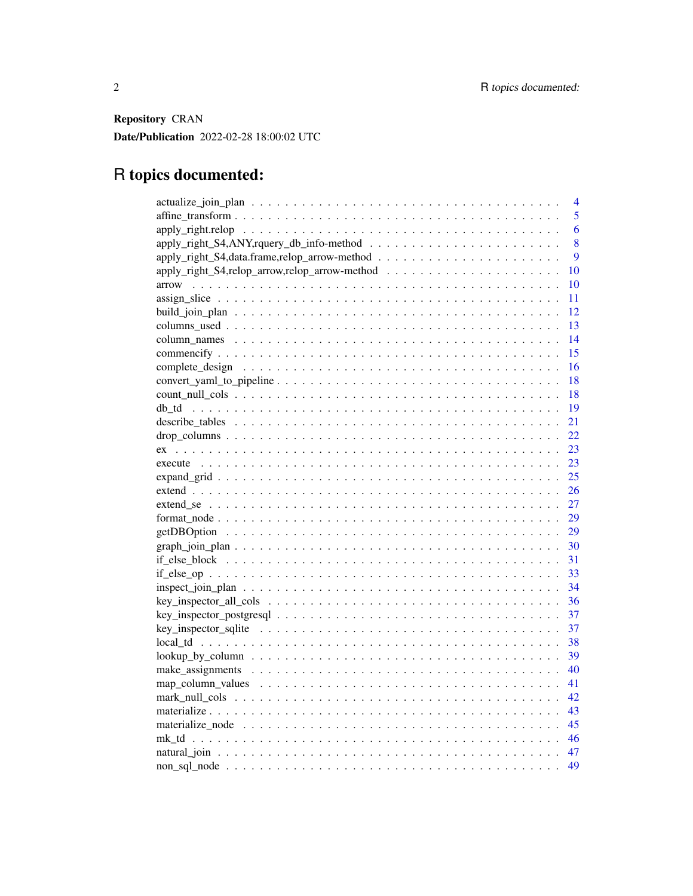Repository CRAN

Date/Publication 2022-02-28 18:00:02 UTC

# R topics documented:

| 4              |
|----------------|
| $\overline{5}$ |
| 6              |
| 8              |
| 9              |
| 10             |
| arrow<br>10    |
| 11             |
| 12             |
| -13            |
| 14             |
| 15             |
| 16             |
| 18             |
| 18             |
| 19             |
| 21             |
| 22             |
| 23             |
| 23             |
| 25             |
| 26             |
| 27             |
| 29             |
| 29             |
| 30             |
| 31             |
| 33             |
| 34             |
| 36             |
| 37             |
| 37             |
| 38             |
| 39             |
| 40             |
| 41             |
| 42             |
| 43             |
|                |
|                |
|                |
| 49             |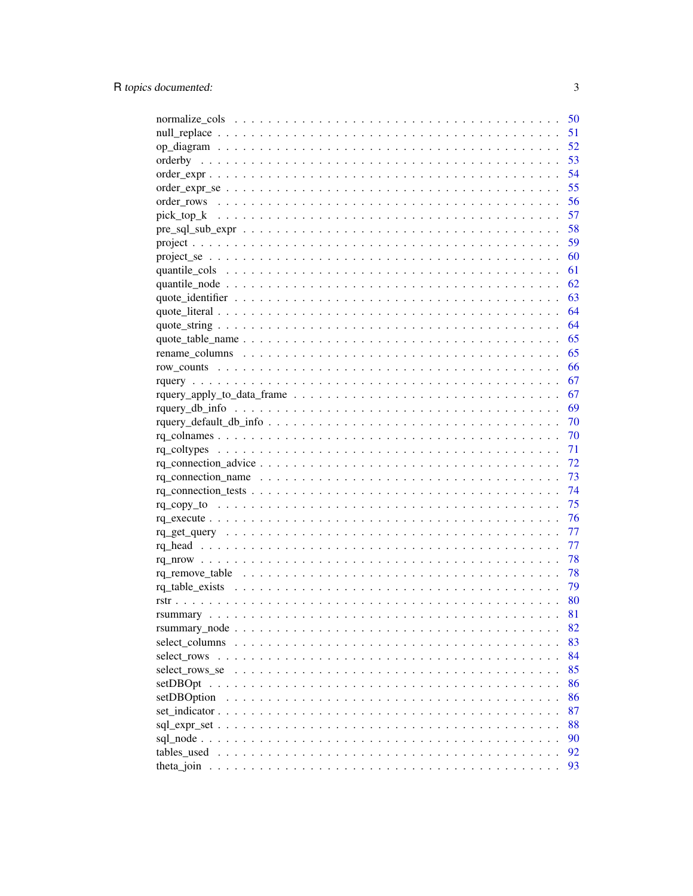|                | 50 |
|----------------|----|
|                | 51 |
|                | 52 |
|                | 53 |
|                | 54 |
|                | 55 |
|                | 56 |
|                | 57 |
|                | 58 |
|                | 59 |
|                | 60 |
|                | 61 |
|                | 62 |
|                | 63 |
|                | 64 |
|                | 64 |
|                | 65 |
|                | 65 |
|                | 66 |
|                | 67 |
|                | 67 |
|                | 69 |
|                |    |
|                |    |
|                | 70 |
|                | 71 |
|                | 72 |
|                | 73 |
|                | 74 |
|                | 75 |
|                | 76 |
|                | 77 |
|                | 77 |
|                | 78 |
|                | 78 |
|                | 79 |
|                | 80 |
|                | 81 |
|                | 82 |
| select columns | 83 |
| select rows    | 84 |
| select_rows_se | 85 |
|                | 86 |
| setDBOption    | 86 |
|                | 87 |
|                | 88 |
|                | 90 |
| tables used    | 92 |
|                | 93 |
|                |    |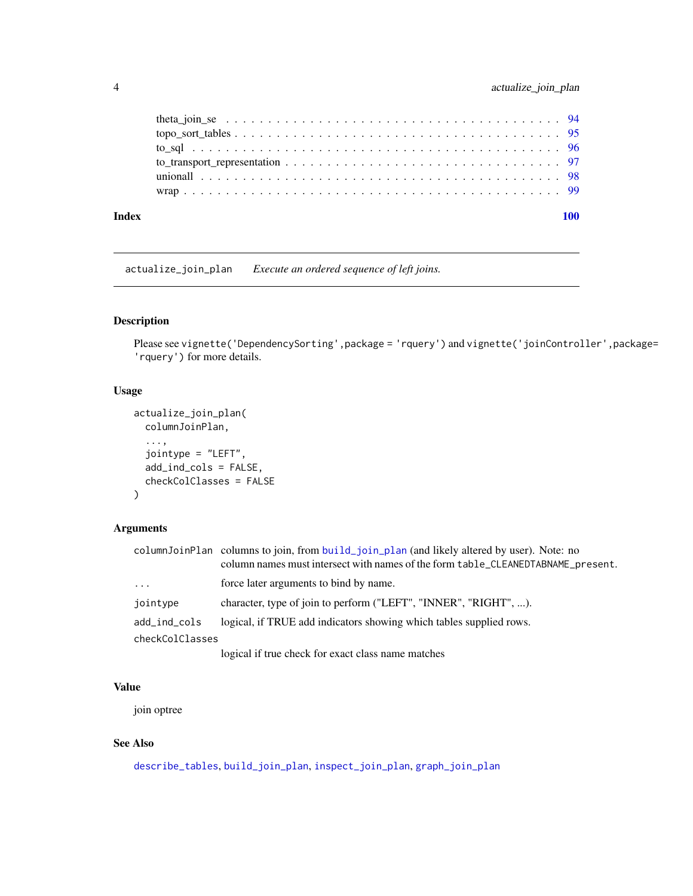<span id="page-3-0"></span>

| Index |  |  |
|-------|--|--|
|       |  |  |
|       |  |  |
|       |  |  |
|       |  |  |
|       |  |  |
|       |  |  |
|       |  |  |

<span id="page-3-1"></span>actualize\_join\_plan *Execute an ordered sequence of left joins.*

# Description

Please see vignette('DependencySorting',package = 'rquery') and vignette('joinController',package= 'rquery') for more details.

### Usage

```
actualize_join_plan(
  columnJoinPlan,
  ...,
  jointype = "LEFT",
  add_ind_cols = FALSE,
  checkColClasses = FALSE
\mathcal{L}
```
# Arguments

|                 | columnJoinPlan columns to join, from build_join_plan (and likely altered by user). Note: no<br>column names must intersect with names of the form table_CLEANEDTABNAME_present. |
|-----------------|---------------------------------------------------------------------------------------------------------------------------------------------------------------------------------|
| $\ddots$        | force later arguments to bind by name.                                                                                                                                          |
| jointype        | character, type of join to perform ("LEFT", "INNER", "RIGHT", ).                                                                                                                |
| add_ind_cols    | logical, if TRUE add indicators showing which tables supplied rows.                                                                                                             |
| checkColClasses |                                                                                                                                                                                 |
|                 | logical if true check for exact class name matches                                                                                                                              |

### Value

join optree

# See Also

[describe\\_tables](#page-20-1), [build\\_join\\_plan](#page-11-1), [inspect\\_join\\_plan](#page-33-1), [graph\\_join\\_plan](#page-29-1)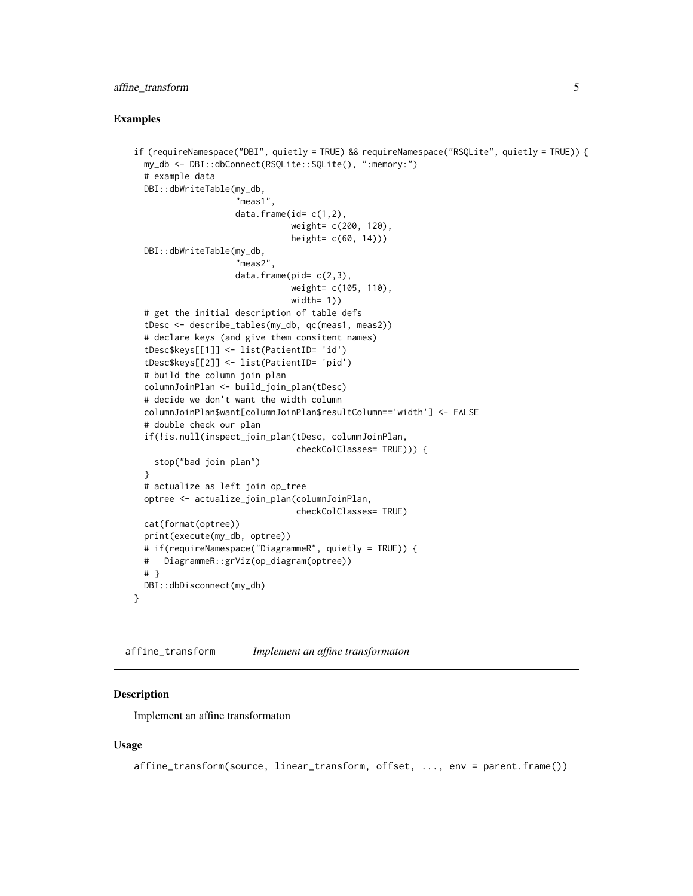### <span id="page-4-0"></span>affine\_transform 5

#### Examples

```
if (requireNamespace("DBI", quietly = TRUE) && requireNamespace("RSQLite", quietly = TRUE)) {
 my_db <- DBI::dbConnect(RSQLite::SQLite(), ":memory:")
 # example data
 DBI::dbWriteTable(my_db,
                    "meas1",
                    data.frame(id= c(1,2),weight= c(200, 120),
                               height= c(60, 14)))
 DBI::dbWriteTable(my_db,
                    "meas2",
                    data.frame(pid= c(2,3),
                               weight= c(105, 110),
                               width= 1)# get the initial description of table defs
 tDesc <- describe_tables(my_db, qc(meas1, meas2))
 # declare keys (and give them consitent names)
 tDesc$keys[[1]] <- list(PatientID= 'id')
 tDesc$keys[[2]] <- list(PatientID= 'pid')
 # build the column join plan
 columnJoinPlan <- build_join_plan(tDesc)
 # decide we don't want the width column
 columnJoinPlan$want[columnJoinPlan$resultColumn=='width'] <- FALSE
 # double check our plan
 if(!is.null(inspect_join_plan(tDesc, columnJoinPlan,
                                checkColClasses= TRUE))) {
   stop("bad join plan")
 }
 # actualize as left join op_tree
 optree <- actualize_join_plan(columnJoinPlan,
                                checkColClasses= TRUE)
 cat(format(optree))
 print(execute(my_db, optree))
 # if(requireNamespace("DiagrammeR", quietly = TRUE)) {
 # DiagrammeR::grViz(op_diagram(optree))
 # }
 DBI::dbDisconnect(my_db)
}
```
affine\_transform *Implement an affine transformaton*

#### Description

Implement an affine transformaton

#### Usage

affine\_transform(source, linear\_transform, offset, ..., env = parent.frame())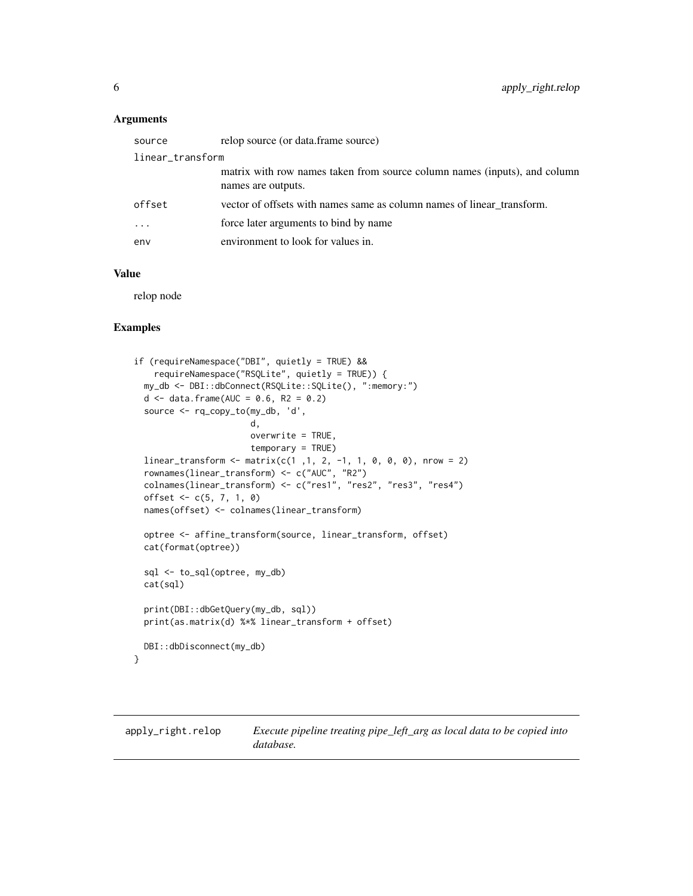### <span id="page-5-0"></span>Arguments

| source                  | relop source (or data.frame source)                                                             |  |
|-------------------------|-------------------------------------------------------------------------------------------------|--|
| linear_transform        |                                                                                                 |  |
|                         | matrix with row names taken from source column names (inputs), and column<br>names are outputs. |  |
| offset                  | vector of offsets with names same as column names of linear transform.                          |  |
| $\cdot$ $\cdot$ $\cdot$ | force later arguments to bind by name                                                           |  |
| env                     | environment to look for values in.                                                              |  |

# Value

relop node

#### Examples

```
if (requireNamespace("DBI", quietly = TRUE) &&
   requireNamespace("RSQLite", quietly = TRUE)) {
 my_db <- DBI::dbConnect(RSQLite::SQLite(), ":memory:")
 d <- data.frame(AUC = 0.6, R2 = 0.2)
 source <- rq_copy_to(my_db, 'd',
                       d,
                       overwrite = TRUE,
                       temporary = TRUE)
  linear_transform <- matrix(c(1 ,1, 2, -1, 1, 0, 0, 0), nrow = 2)
  rownames(linear_transform) <- c("AUC", "R2")
 colnames(linear_transform) <- c("res1", "res2", "res3", "res4")
 offset <- c(5, 7, 1, 0)
 names(offset) <- colnames(linear_transform)
 optree <- affine_transform(source, linear_transform, offset)
 cat(format(optree))
 sql <- to_sql(optree, my_db)
 cat(sql)
 print(DBI::dbGetQuery(my_db, sql))
 print(as.matrix(d) %*% linear_transform + offset)
 DBI::dbDisconnect(my_db)
}
```
apply\_right.relop *Execute pipeline treating pipe\_left\_arg as local data to be copied into database.*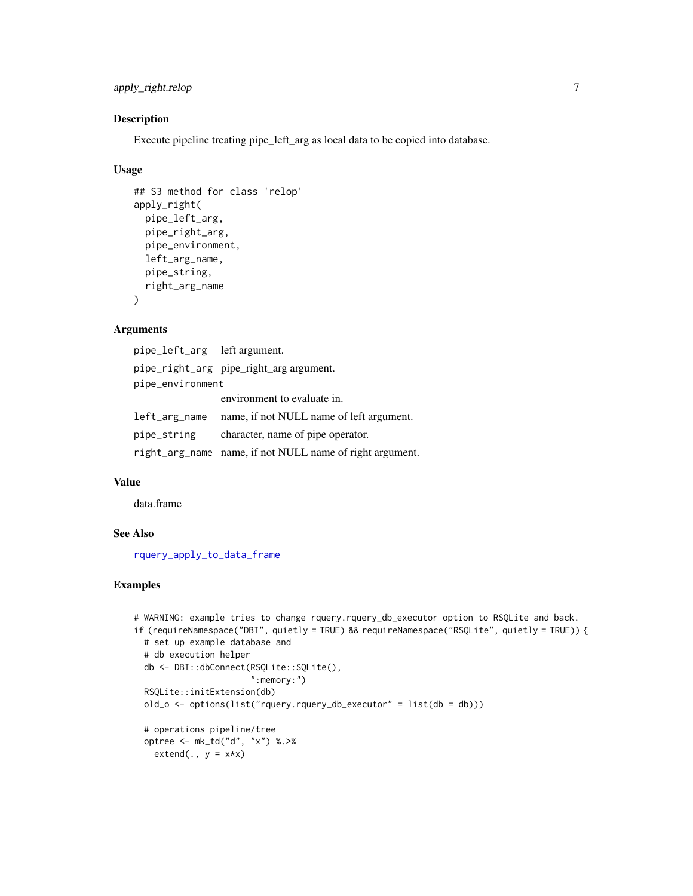# apply\_right.relop 7

### Description

Execute pipeline treating pipe\_left\_arg as local data to be copied into database.

#### Usage

```
## S3 method for class 'relop'
apply_right(
 pipe_left_arg,
 pipe_right_arg,
 pipe_environment,
 left_arg_name,
 pipe_string,
 right_arg_name
\lambda
```
# Arguments

pipe\_left\_arg left argument. pipe\_right\_arg pipe\_right\_arg argument. pipe\_environment environment to evaluate in. left\_arg\_name name, if not NULL name of left argument. pipe\_string character, name of pipe operator. right\_arg\_name name, if not NULL name of right argument.

### Value

data.frame

# See Also

[rquery\\_apply\\_to\\_data\\_frame](#page-66-1)

```
# WARNING: example tries to change rquery.rquery_db_executor option to RSQLite and back.
if (requireNamespace("DBI", quietly = TRUE) && requireNamespace("RSQLite", quietly = TRUE)) {
 # set up example database and
 # db execution helper
 db <- DBI::dbConnect(RSQLite::SQLite(),
                       ":memory:")
 RSQLite::initExtension(db)
 old_o <- options(list("rquery.rquery_db_executor" = list(db = db)))
 # operations pipeline/tree
 optree <- mk_td("d", "x") %.>%
   extend(., y = x*x)
```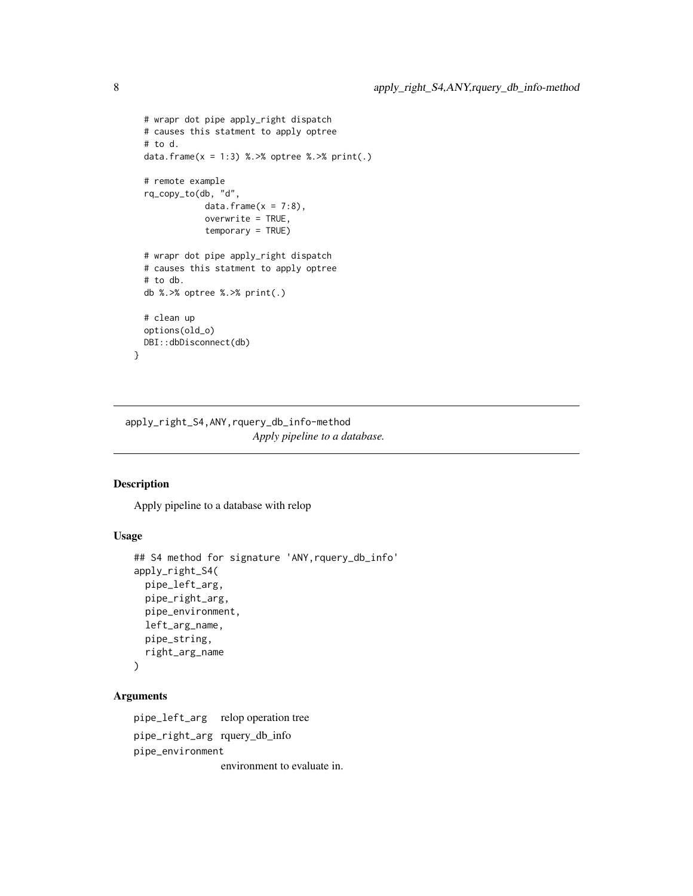```
# wrapr dot pipe apply_right dispatch
 # causes this statment to apply optree
 # to d.
 data.frame(x = 1:3) %. >% optree %. >% print(.)
 # remote example
 rq_copy_to(db, "d",
             data.frame(x = 7:8),
             overwrite = TRUE,
             temporary = TRUE)
 # wrapr dot pipe apply_right dispatch
 # causes this statment to apply optree
 # to db.
 db %.>% optree %.>% print(.)
 # clean up
 options(old_o)
 DBI::dbDisconnect(db)
}
```
apply\_right\_S4,ANY,rquery\_db\_info-method *Apply pipeline to a database.*

### Description

Apply pipeline to a database with relop

# Usage

```
## S4 method for signature 'ANY,rquery_db_info'
apply_right_S4(
 pipe_left_arg,
 pipe_right_arg,
 pipe_environment,
 left_arg_name,
 pipe_string,
 right_arg_name
\lambda
```
# Arguments

pipe\_left\_arg relop operation tree pipe\_right\_arg rquery\_db\_info pipe\_environment environment to evaluate in.

<span id="page-7-0"></span>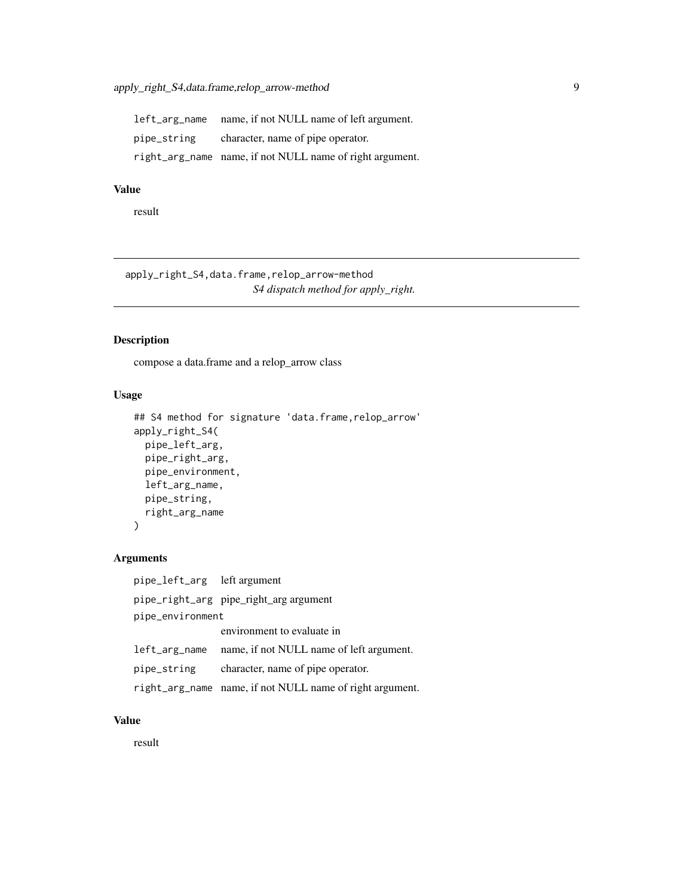<span id="page-8-0"></span>left\_arg\_name name, if not NULL name of left argument. pipe\_string character, name of pipe operator. right\_arg\_name name, if not NULL name of right argument.

# Value

result

apply\_right\_S4,data.frame,relop\_arrow-method *S4 dispatch method for apply\_right.*

#### Description

compose a data.frame and a relop\_arrow class

# Usage

```
## S4 method for signature 'data.frame, relop_arrow'
apply_right_S4(
 pipe_left_arg,
 pipe_right_arg,
  pipe_environment,
  left_arg_name,
 pipe_string,
  right_arg_name
)
```
#### Arguments

pipe\_left\_arg left argument pipe\_right\_arg pipe\_right\_arg argument pipe\_environment environment to evaluate in left\_arg\_name name, if not NULL name of left argument. pipe\_string character, name of pipe operator. right\_arg\_name name, if not NULL name of right argument.

# Value

result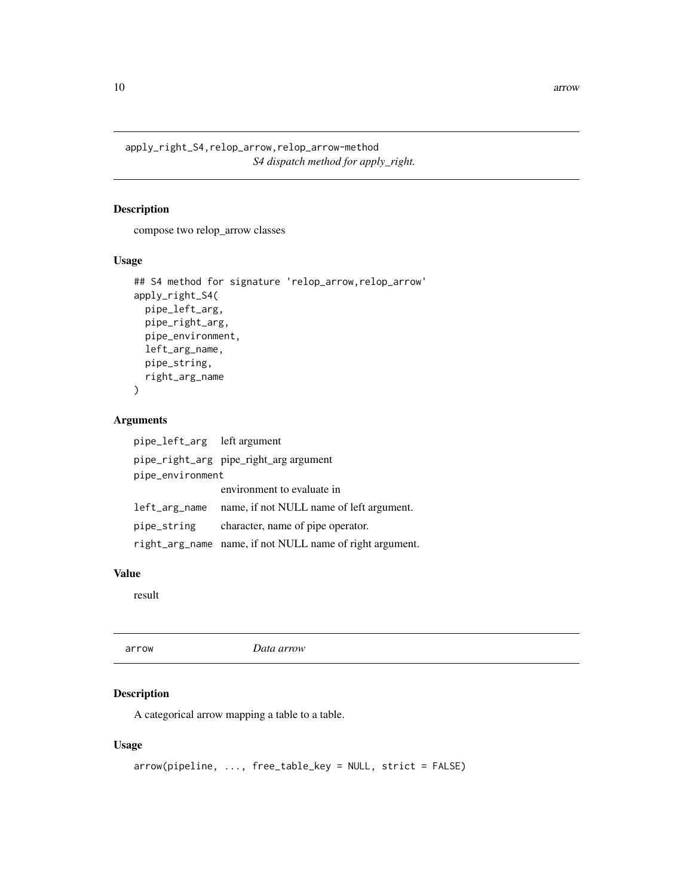<span id="page-9-0"></span>apply\_right\_S4,relop\_arrow,relop\_arrow-method *S4 dispatch method for apply\_right.*

# Description

compose two relop\_arrow classes

# Usage

```
## S4 method for signature 'relop_arrow,relop_arrow'
apply_right_S4(
 pipe_left_arg,
 pipe_right_arg,
 pipe_environment,
 left_arg_name,
 pipe_string,
 right_arg_name
)
```
### Arguments

| pipe_left_arg left argument |                                                          |
|-----------------------------|----------------------------------------------------------|
|                             | pipe_right_arg pipe_right_arg argument                   |
| pipe_environment            |                                                          |
|                             | environment to evaluate in                               |
| left_arg_name               | name, if not NULL name of left argument.                 |
| pipe_string                 | character, name of pipe operator.                        |
|                             | right_arg_name name, if not NULL name of right argument. |

### Value

result

arrow *Data arrow*

# Description

A categorical arrow mapping a table to a table.

# Usage

```
arrow(pipeline, ..., free_table_key = NULL, strict = FALSE)
```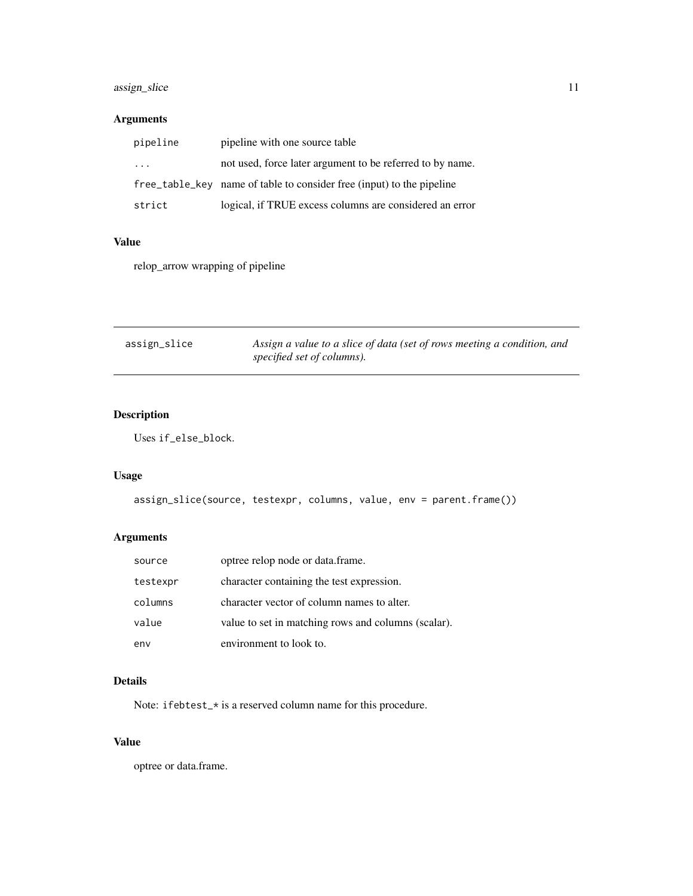# <span id="page-10-0"></span>assign\_slice 11

# Arguments

| pipeline | pipeline with one source table                                        |
|----------|-----------------------------------------------------------------------|
| $\cdots$ | not used, force later argument to be referred to by name.             |
|          | free_table_key name of table to consider free (input) to the pipeline |
| strict   | logical, if TRUE excess columns are considered an error               |

### Value

relop\_arrow wrapping of pipeline

| assign_slice | Assign a value to a slice of data (set of rows meeting a condition, and |
|--------------|-------------------------------------------------------------------------|
|              | specified set of columns).                                              |

# Description

Uses if\_else\_block.

# Usage

```
assign_slice(source, testexpr, columns, value, env = parent.frame())
```
# Arguments

| source   | optree relop node or data.frame.                    |
|----------|-----------------------------------------------------|
| testexpr | character containing the test expression.           |
| columns  | character vector of column names to alter.          |
| value    | value to set in matching rows and columns (scalar). |
| env      | environment to look to.                             |

# Details

Note: ifebtest\_\* is a reserved column name for this procedure.

# Value

optree or data.frame.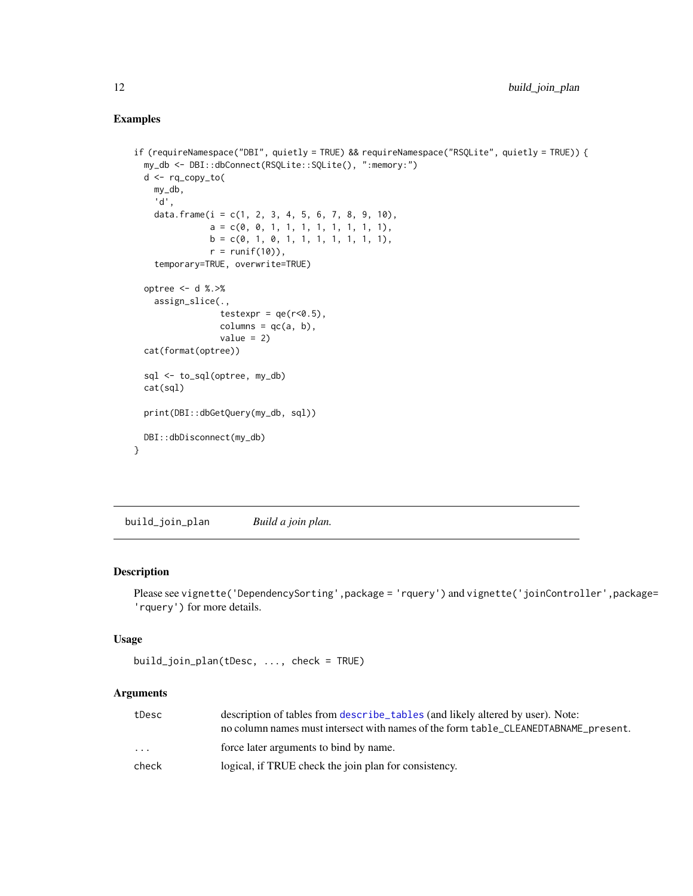# <span id="page-11-0"></span>Examples

```
if (requireNamespace("DBI", quietly = TRUE) && requireNamespace("RSQLite", quietly = TRUE)) {
 my_db <- DBI::dbConnect(RSQLite::SQLite(), ":memory:")
 d <- rq_copy_to(
   my_db,
    'd',
   data.frame(i = c(1, 2, 3, 4, 5, 6, 7, 8, 9, 10),
               a = c(0, 0, 1, 1, 1, 1, 1, 1, 1, 1),b = c(0, 1, 0, 1, 1, 1, 1, 1, 1, 1),r = runif(10),
    temporary=TRUE, overwrite=TRUE)
 optree <- d %.>%
   assign_slice(.,
                 testexpr = qe(r<0.5),
                columns = qc(a, b),value = 2)cat(format(optree))
 sql <- to_sql(optree, my_db)
 cat(sql)
 print(DBI::dbGetQuery(my_db, sql))
 DBI::dbDisconnect(my_db)
}
```
<span id="page-11-1"></span>build\_join\_plan *Build a join plan.*

# Description

Please see vignette('DependencySorting',package = 'rquery') and vignette('joinController',package= 'rquery') for more details.

### Usage

```
build_join_plan(tDesc, ..., check = TRUE)
```
#### Arguments

| tDesc                   | description of tables from describe tables (and likely altered by user). Note:      |
|-------------------------|-------------------------------------------------------------------------------------|
|                         | no column names must intersect with names of the form table_CLEANEDTABNAME_present. |
| $\cdot$ $\cdot$ $\cdot$ | force later arguments to bind by name.                                              |
| check                   | logical, if TRUE check the join plan for consistency.                               |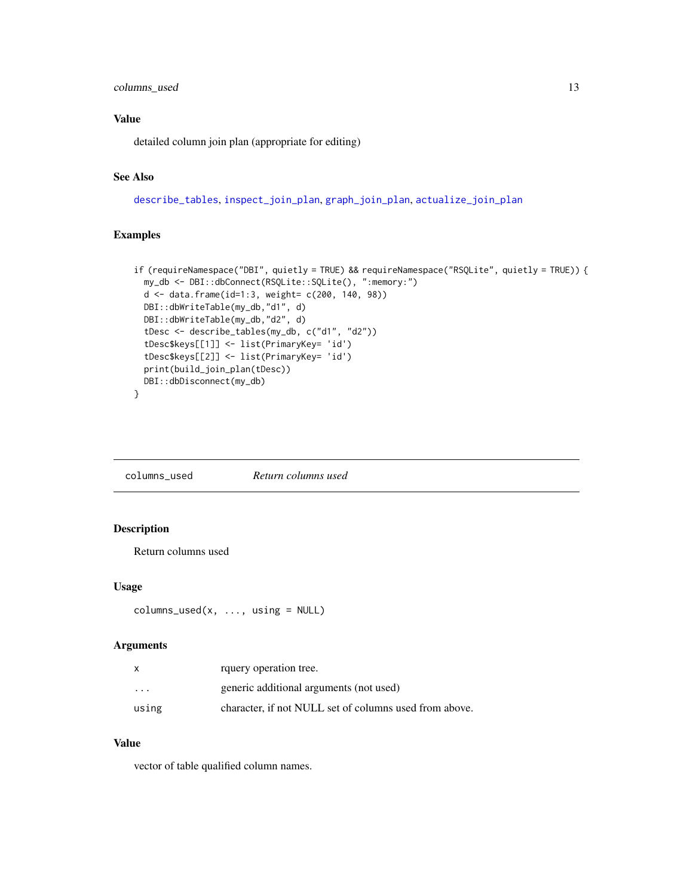# <span id="page-12-0"></span>columns\_used 13

# Value

detailed column join plan (appropriate for editing)

# See Also

[describe\\_tables](#page-20-1), [inspect\\_join\\_plan](#page-33-1), [graph\\_join\\_plan](#page-29-1), [actualize\\_join\\_plan](#page-3-1)

### Examples

```
if (requireNamespace("DBI", quietly = TRUE) && requireNamespace("RSQLite", quietly = TRUE)) {
 my_db <- DBI::dbConnect(RSQLite::SQLite(), ":memory:")
 d <- data.frame(id=1:3, weight= c(200, 140, 98))
 DBI::dbWriteTable(my_db,"d1", d)
 DBI::dbWriteTable(my_db,"d2", d)
 tDesc <- describe_tables(my_db, c("d1", "d2"))
 tDesc$keys[[1]] <- list(PrimaryKey= 'id')
 tDesc$keys[[2]] <- list(PrimaryKey= 'id')
 print(build_join_plan(tDesc))
 DBI::dbDisconnect(my_db)
}
```
columns\_used *Return columns used*

# Description

Return columns used

### Usage

```
columns_used(x, ..., using = NULL)
```
#### Arguments

| $\mathsf{x}$            | rquery operation tree.                                 |
|-------------------------|--------------------------------------------------------|
| $\cdot$ $\cdot$ $\cdot$ | generic additional arguments (not used)                |
| using                   | character, if not NULL set of columns used from above. |

#### Value

vector of table qualified column names.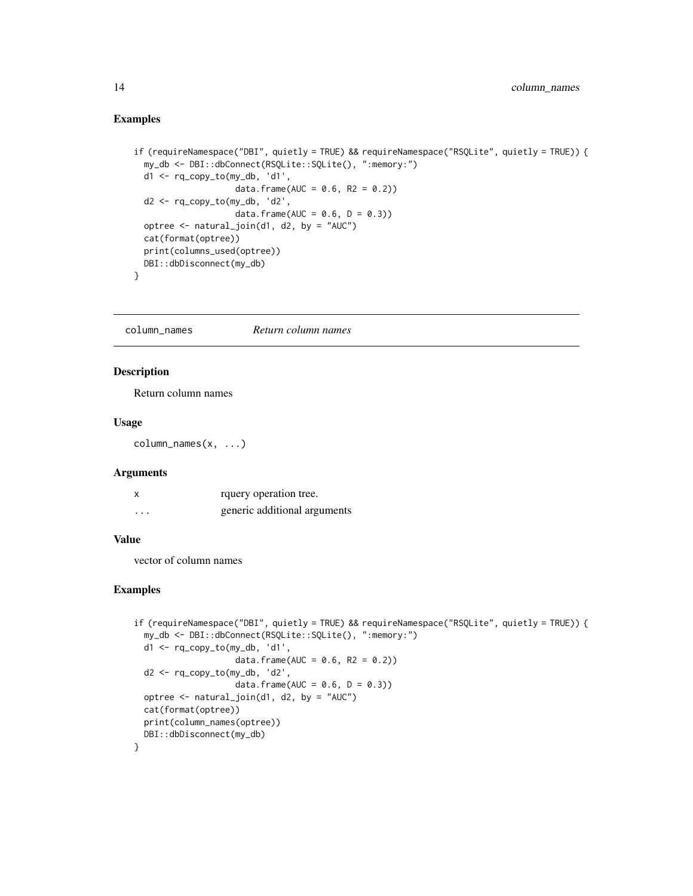#### <span id="page-13-0"></span>Examples

```
if (requireNamespace("DBI", quietly = TRUE) && requireNamespace("RSQLite", quietly = TRUE)) {
 my_db <- DBI::dbConnect(RSQLite::SQLite(), ":memory:")
 d1 <- rq_copy_to(my_db, 'd1',
                    data.frame(AUC = 0.6, R2 = 0.2))
 d2 < -rq_{\text{copy\_to(my_db, 'd2',data.frame(AUC = 0.6, D = 0.3))
 optree <- natural_join(d1, d2, by = "AUC")
 cat(format(optree))
 print(columns_used(optree))
 DBI::dbDisconnect(my_db)
}
```
column\_names *Return column names*

### Description

Return column names

### Usage

column\_names(x, ...)

### Arguments

| X        | rquery operation tree.       |
|----------|------------------------------|
| $\cdots$ | generic additional arguments |

#### Value

vector of column names

```
if (requireNamespace("DBI", quietly = TRUE) && requireNamespace("RSQLite", quietly = TRUE)) {
 my_db <- DBI::dbConnect(RSQLite::SQLite(), ":memory:")
 d1 <- rq_copy_to(my_db, 'd1',
                    data.frame(AUC = 0.6, R2 = 0.2))
 d2 <- rq_copy_to(my_db, 'd2',
                    data.frame(AUC = 0.6, D = 0.3))
 optree <- natural_join(d1, d2, by = "AUC")
 cat(format(optree))
 print(column_names(optree))
 DBI::dbDisconnect(my_db)
}
```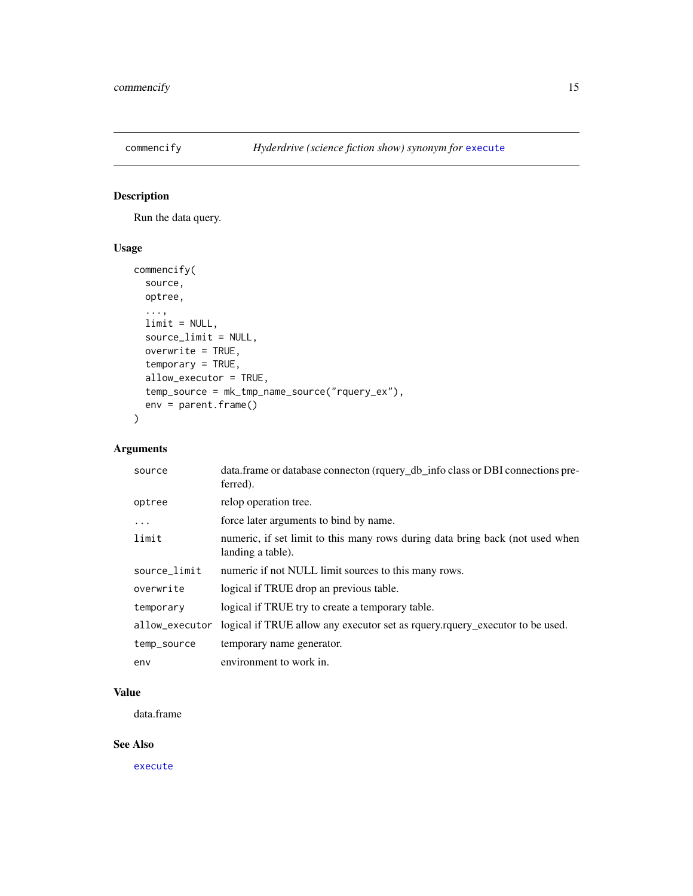<span id="page-14-0"></span>

# Description

Run the data query.

# Usage

```
commencify(
  source,
  optree,
  ...,
  limit = NULL,
  source_limit = NULL,
  overwrite = TRUE,
  temporary = TRUE,
  allow_executor = TRUE,
  temp_source = mk_tmp_name_source("rquery_ex"),
  env = parent.frame()
\mathcal{L}
```
# Arguments

| source         | data.frame or database connecton (rquery_db_info class or DBI connections pre-<br>ferred).         |
|----------------|----------------------------------------------------------------------------------------------------|
| optree         | relop operation tree.                                                                              |
| $\cdots$       | force later arguments to bind by name.                                                             |
| limit          | numeric, if set limit to this many rows during data bring back (not used when<br>landing a table). |
| source_limit   | numeric if not NULL limit sources to this many rows.                                               |
| overwrite      | logical if TRUE drop an previous table.                                                            |
| temporary      | logical if TRUE try to create a temporary table.                                                   |
| allow_executor | logical if TRUE allow any executor set as requery requery executor to be used.                     |
| temp_source    | temporary name generator.                                                                          |
| env            | environment to work in.                                                                            |

# Value

data.frame

### See Also

[execute](#page-22-1)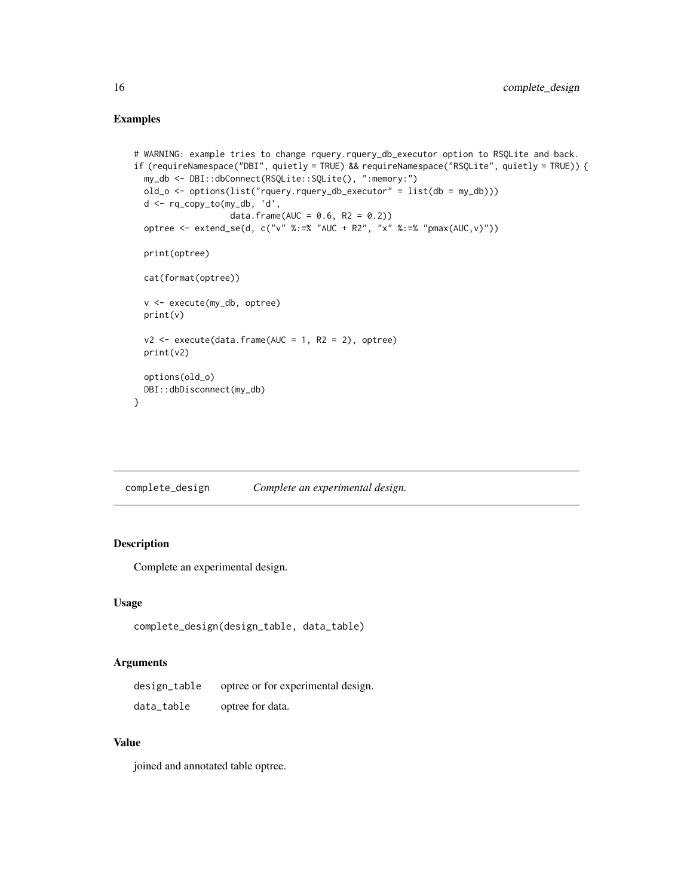### <span id="page-15-0"></span>Examples

```
# WARNING: example tries to change rquery.rquery_db_executor option to RSQLite and back.
if (requireNamespace("DBI", quietly = TRUE) && requireNamespace("RSQLite", quietly = TRUE)) {
 my_db <- DBI::dbConnect(RSQLite::SQLite(), ":memory:")
 old_o <- options(list("rquery.rquery_db_executor" = list(db = my_db)))
 d <- rq_copy_to(my_db, 'd',
                   data.frame(AUC = 0.6, R2 = 0.2))
 optree <- extend_se(d, c("v" %:=% "AUC + R2", "x" %:=% "pmax(AUC,v)"))
 print(optree)
 cat(format(optree))
 v <- execute(my_db, optree)
 print(v)
 v2 \leq - execute(data.frame(AUC = 1, R2 = 2), optree)
 print(v2)
 options(old_o)
 DBI::dbDisconnect(my_db)
}
```
complete\_design *Complete an experimental design.*

# Description

Complete an experimental design.

### Usage

```
complete_design(design_table, data_table)
```
#### Arguments

| design_table | optree or for experimental design. |
|--------------|------------------------------------|
| data_table   | optree for data.                   |

### Value

joined and annotated table optree.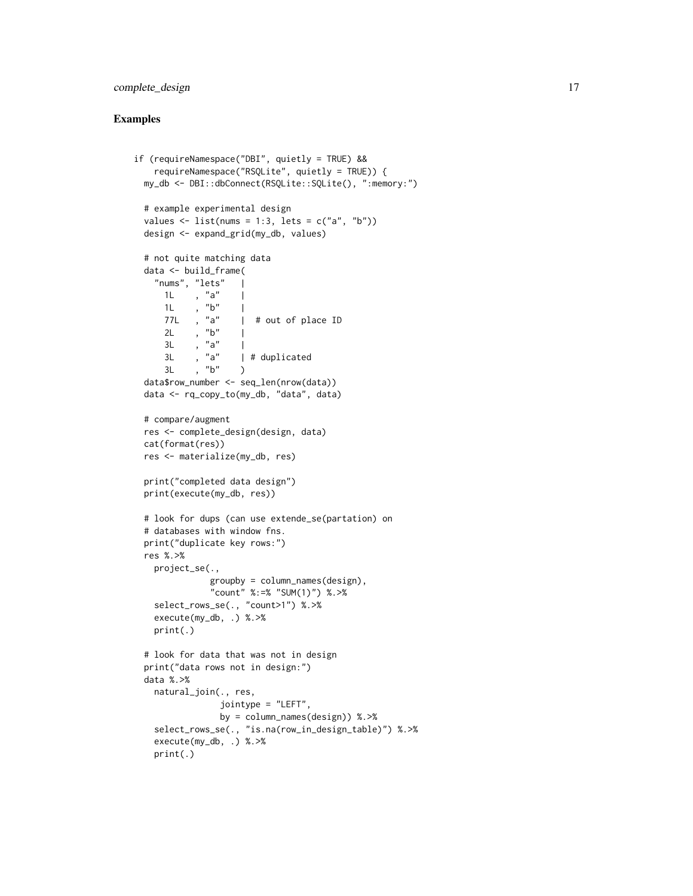# complete\_design 17

```
if (requireNamespace("DBI", quietly = TRUE) &&
   requireNamespace("RSQLite", quietly = TRUE)) {
 my_db <- DBI::dbConnect(RSQLite::SQLite(), ":memory:")
 # example experimental design
 values \le list(nums = 1:3, lets = c("a", "b"))
 design <- expand_grid(my_db, values)
 # not quite matching data
 data <- build_frame(
   "nums", "lets"
     1L , "a" |
     1L , "\,b" |
     77L , "a" | # out of place ID
     2L, "b" |
     3L , "a" |<br>3L , "a" |
     3L , "a" | # duplicated
     3L, "b" )
 data$row_number <- seq_len(nrow(data))
 data <- rq_copy_to(my_db, "data", data)
 # compare/augment
 res <- complete_design(design, data)
 cat(format(res))
 res <- materialize(my_db, res)
 print("completed data design")
 print(execute(my_db, res))
 # look for dups (can use extende_se(partation) on
 # databases with window fns.
 print("duplicate key rows:")
 res %.>%
   project_se(.,
              groupby = column_names(design),
              "count" %:=% "SUM(1)") %.>%
   select_rows_se(., "count>1") %.>%
   execute(my_db, .) %.>%
   print(.)
 # look for data that was not in design
 print("data rows not in design:")
 data %.>%
   natural_join(., res,
                jointype = "LEFT",
                by = column_names(design)) %.>%
   select_rows_se(., "is.na(row_in_design_table)") %.>%
   execute(my_db, .) %.>%
   print(.)
```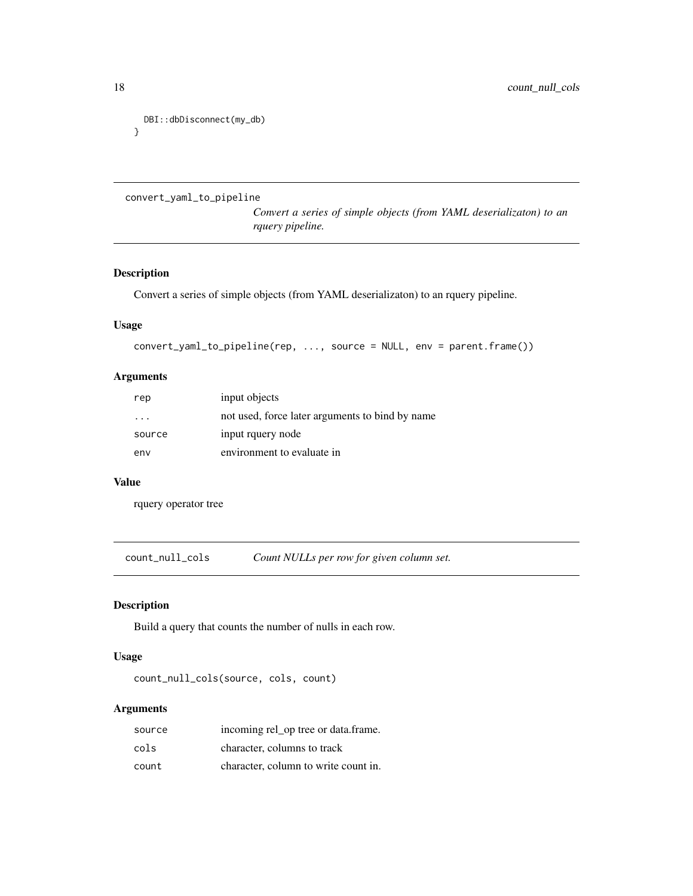```
DBI::dbDisconnect(my_db)
}
```

```
convert_yaml_to_pipeline
```
*Convert a series of simple objects (from YAML deserializaton) to an rquery pipeline.*

# Description

Convert a series of simple objects (from YAML deserializaton) to an rquery pipeline.

### Usage

```
convert_yaml_to_pipeline(rep, ..., source = NULL, env = parent.frame())
```
### Arguments

| rep                     | input objects                                   |
|-------------------------|-------------------------------------------------|
| $\cdot$ $\cdot$ $\cdot$ | not used, force later arguments to bind by name |
| source                  | input rquery node                               |
| env                     | environment to evaluate in                      |

#### Value

rquery operator tree

count\_null\_cols *Count NULLs per row for given column set.*

# Description

Build a query that counts the number of nulls in each row.

### Usage

```
count_null_cols(source, cols, count)
```
# Arguments

| source | incoming rel_op tree or data.frame.  |
|--------|--------------------------------------|
| cols   | character, columns to track          |
| count  | character, column to write count in. |

<span id="page-17-0"></span>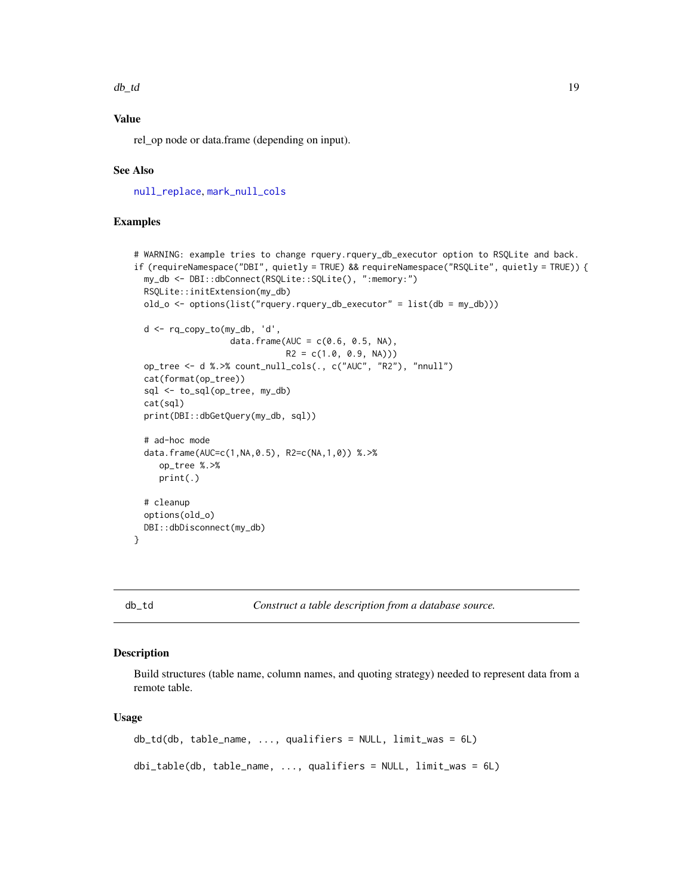<span id="page-18-0"></span> $d\mathbf{b}_\perp d$  19

# Value

rel\_op node or data.frame (depending on input).

### See Also

[null\\_replace](#page-50-1), [mark\\_null\\_cols](#page-41-1)

### Examples

```
# WARNING: example tries to change rquery.rquery_db_executor option to RSQLite and back.
if (requireNamespace("DBI", quietly = TRUE) && requireNamespace("RSQLite", quietly = TRUE)) {
 my_db <- DBI::dbConnect(RSQLite::SQLite(), ":memory:")
 RSQLite::initExtension(my_db)
 old_o <- options(list("rquery.rquery_db_executor" = list(db = my_db)))
 d <- rq_copy_to(my_db, 'd',
                   data.frame(AUC = c(0.6, 0.5, NA),
                              R2 = c(1.0, 0.9, NA))op_tree <- d %.>% count_null_cols(., c("AUC", "R2"), "nnull")
 cat(format(op_tree))
 sql <- to_sql(op_tree, my_db)
 cat(sql)
 print(DBI::dbGetQuery(my_db, sql))
 # ad-hoc mode
 data.frame(AUC=c(1,NA,0.5), R2=c(NA,1,0)) %.>%
     op_tree %.>%
     print(.)
 # cleanup
 options(old_o)
 DBI::dbDisconnect(my_db)
}
```
<span id="page-18-1"></span>db\_td *Construct a table description from a database source.*

# Description

Build structures (table name, column names, and quoting strategy) needed to represent data from a remote table.

#### Usage

```
db_td(db, table_name, ..., qualifiers = NULL, limit_was = 6L)
dbi_table(db, table_name, ..., qualifiers = NULL, limit_was = 6L)
```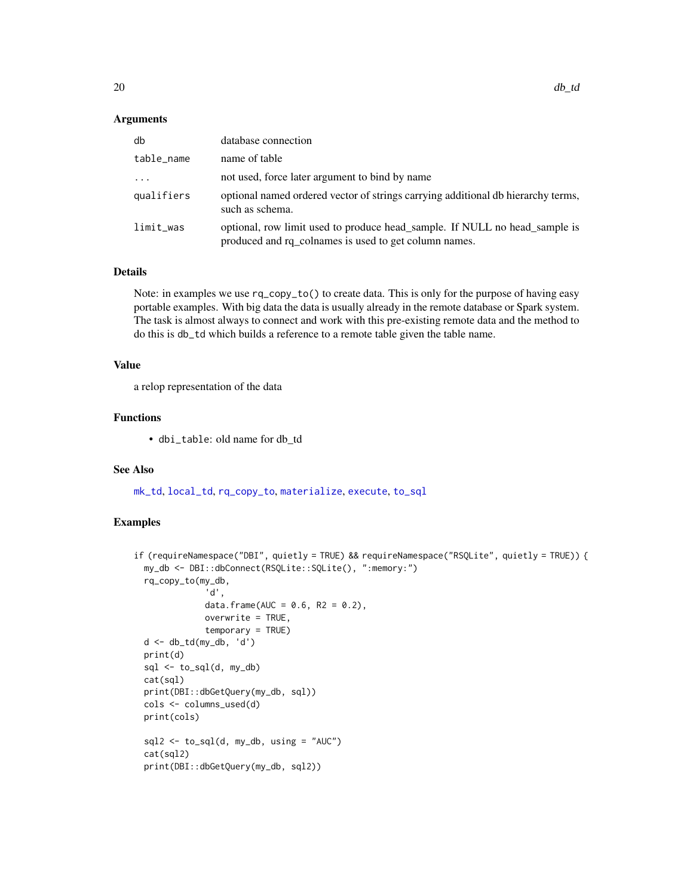#### **Arguments**

| db         | database connection                                                                                                                 |
|------------|-------------------------------------------------------------------------------------------------------------------------------------|
| table_name | name of table                                                                                                                       |
| $\ddotsc$  | not used, force later argument to bind by name                                                                                      |
| qualifiers | optional named ordered vector of strings carrying additional db hierarchy terms,<br>such as schema.                                 |
| limit_was  | optional, row limit used to produce head_sample. If NULL no head_sample is<br>produced and rq_colnames is used to get column names. |

### Details

Note: in examples we use  $rq_{\text{copy\_to}}(x)$  to create data. This is only for the purpose of having easy portable examples. With big data the data is usually already in the remote database or Spark system. The task is almost always to connect and work with this pre-existing remote data and the method to do this is db\_td which builds a reference to a remote table given the table name.

### Value

a relop representation of the data

# Functions

• dbi\_table: old name for db\_td

### See Also

[mk\\_td](#page-45-1), [local\\_td](#page-37-1), [rq\\_copy\\_to](#page-74-1), [materialize](#page-42-1), [execute](#page-22-1), [to\\_sql](#page-95-1)

```
if (requireNamespace("DBI", quietly = TRUE) && requireNamespace("RSQLite", quietly = TRUE)) {
 my_db <- DBI::dbConnect(RSQLite::SQLite(), ":memory:")
 rq_copy_to(my_db,
              'd',
              data.frame(AUC = 0.6, R2 = 0.2),
              overwrite = TRUE,
              temporary = TRUE)
 d <- db_td(my_db, 'd')
 print(d)
 sql \leftarrow to_sql(d, my_db)cat(sql)
 print(DBI::dbGetQuery(my_db, sql))
 cols <- columns_used(d)
 print(cols)
 sql2 \leftarrow to_sql(d, my_db, using = "AUC")cat(sql2)
 print(DBI::dbGetQuery(my_db, sql2))
```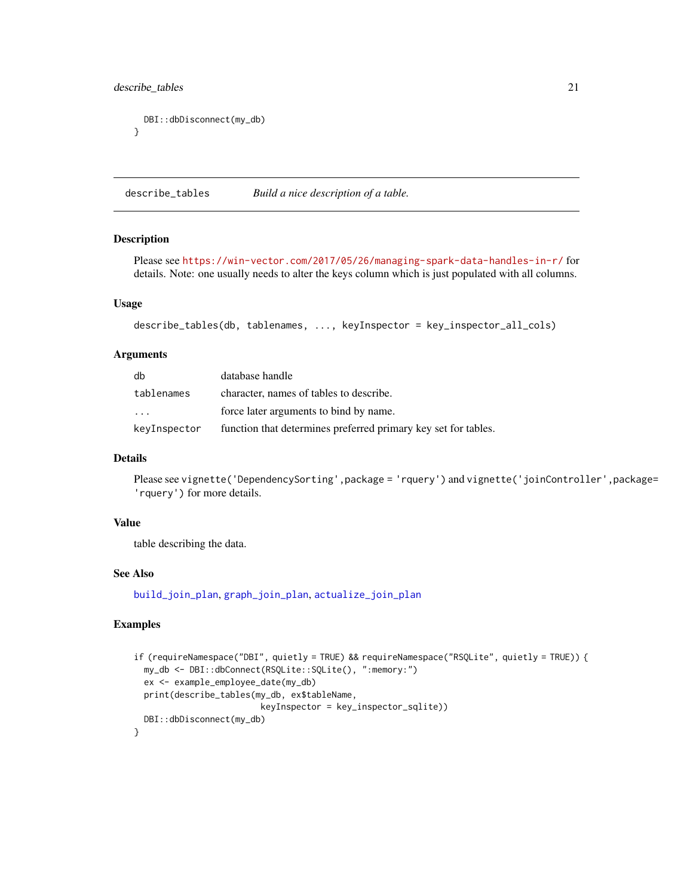# <span id="page-20-0"></span>describe\_tables 21

```
DBI::dbDisconnect(my_db)
}
```
<span id="page-20-1"></span>describe\_tables *Build a nice description of a table.*

#### Description

Please see <https://win-vector.com/2017/05/26/managing-spark-data-handles-in-r/> for details. Note: one usually needs to alter the keys column which is just populated with all columns.

### Usage

```
describe_tables(db, tablenames, ..., keyInspector = key_inspector_all_cols)
```
# Arguments

| db                | database handle                                                |
|-------------------|----------------------------------------------------------------|
| tablenames        | character, names of tables to describe.                        |
| $\cdot\cdot\cdot$ | force later arguments to bind by name.                         |
| keyInspector      | function that determines preferred primary key set for tables. |

### Details

Please see vignette('DependencySorting',package = 'rquery') and vignette('joinController',package= 'rquery') for more details.

# Value

table describing the data.

### See Also

[build\\_join\\_plan](#page-11-1), [graph\\_join\\_plan](#page-29-1), [actualize\\_join\\_plan](#page-3-1)

```
if (requireNamespace("DBI", quietly = TRUE) && requireNamespace("RSQLite", quietly = TRUE)) {
 my_db <- DBI::dbConnect(RSQLite::SQLite(), ":memory:")
 ex <- example_employee_date(my_db)
 print(describe_tables(my_db, ex$tableName,
                         keyInspector = key_inspector_sqlite))
 DBI::dbDisconnect(my_db)
}
```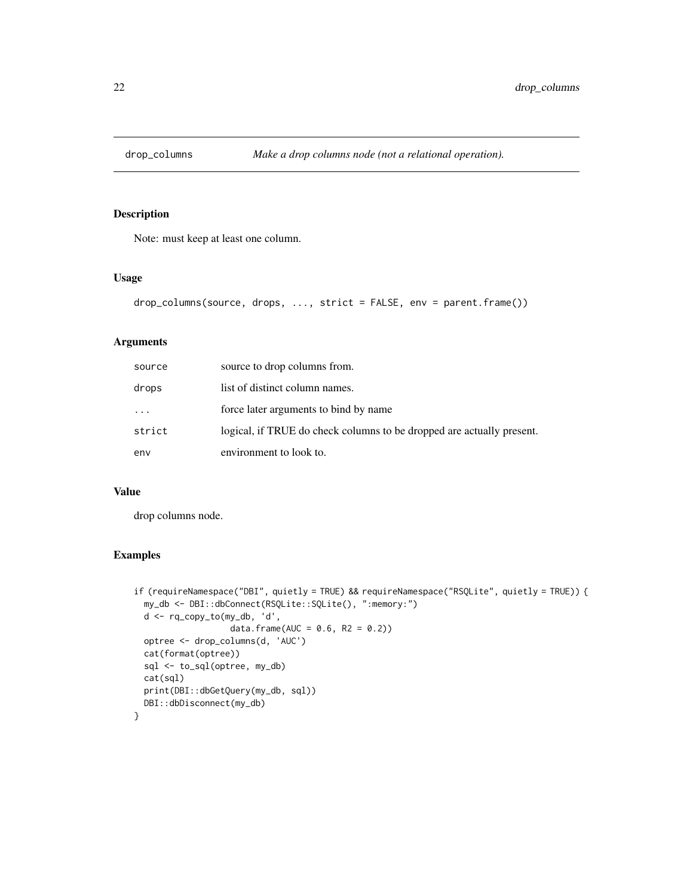<span id="page-21-0"></span>

### Description

Note: must keep at least one column.

#### Usage

```
drop_columns(source, drops, ..., strict = FALSE, env = parent.frame())
```
# Arguments

| source | source to drop columns from.                                          |
|--------|-----------------------------------------------------------------------|
| drops  | list of distinct column names.                                        |
| .      | force later arguments to bind by name                                 |
| strict | logical, if TRUE do check columns to be dropped are actually present. |
| env    | environment to look to.                                               |

### Value

drop columns node.

```
if (requireNamespace("DBI", quietly = TRUE) && requireNamespace("RSQLite", quietly = TRUE)) {
 my_db <- DBI::dbConnect(RSQLite::SQLite(), ":memory:")
 d <- rq_copy_to(my_db, 'd',
                   data.frame(AUC = 0.6, R2 = 0.2))
 optree <- drop_columns(d, 'AUC')
 cat(format(optree))
 sql <- to_sql(optree, my_db)
 cat(sql)
 print(DBI::dbGetQuery(my_db, sql))
 DBI::dbDisconnect(my_db)
}
```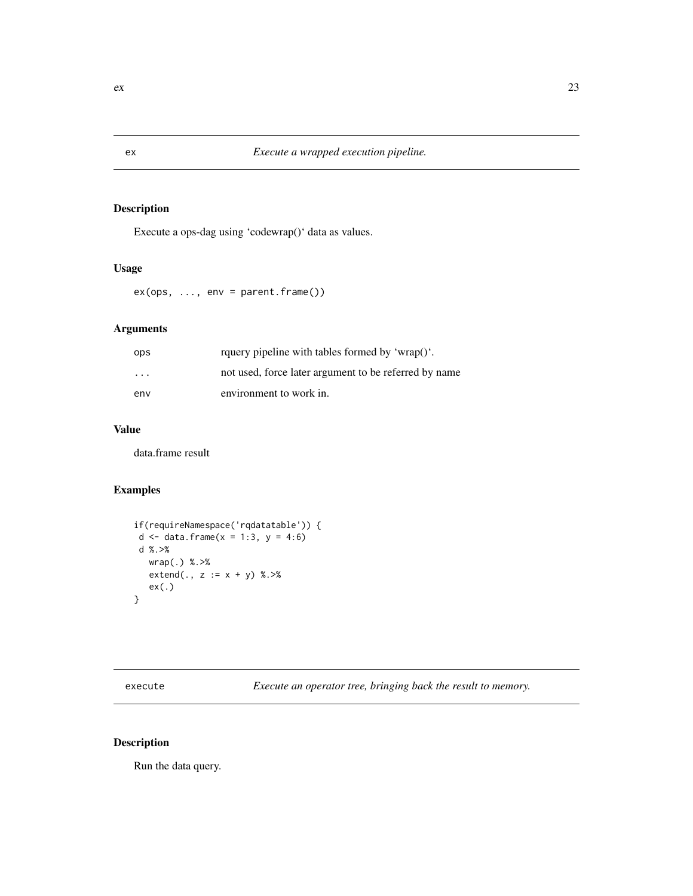# Description

Execute a ops-dag using 'codewrap()' data as values.

### Usage

 $ex(ops, ..., env = parent-frame())$ 

# Arguments

| ops                     | rquery pipeline with tables formed by 'wrap()'.       |
|-------------------------|-------------------------------------------------------|
| $\cdot$ $\cdot$ $\cdot$ | not used, force later argument to be referred by name |
| env                     | environment to work in.                               |

# Value

data.frame result

# Examples

```
if(requireNamespace('rqdatatable')) {
d \le data.frame(x = 1:3, y = 4:6)
d %.>%
  wrap(.) %.>%
  extend(., z := x + y) %. >%ex(.)
}
```
<span id="page-22-1"></span>execute *Execute an operator tree, bringing back the result to memory.*

# Description

Run the data query.

<span id="page-22-0"></span>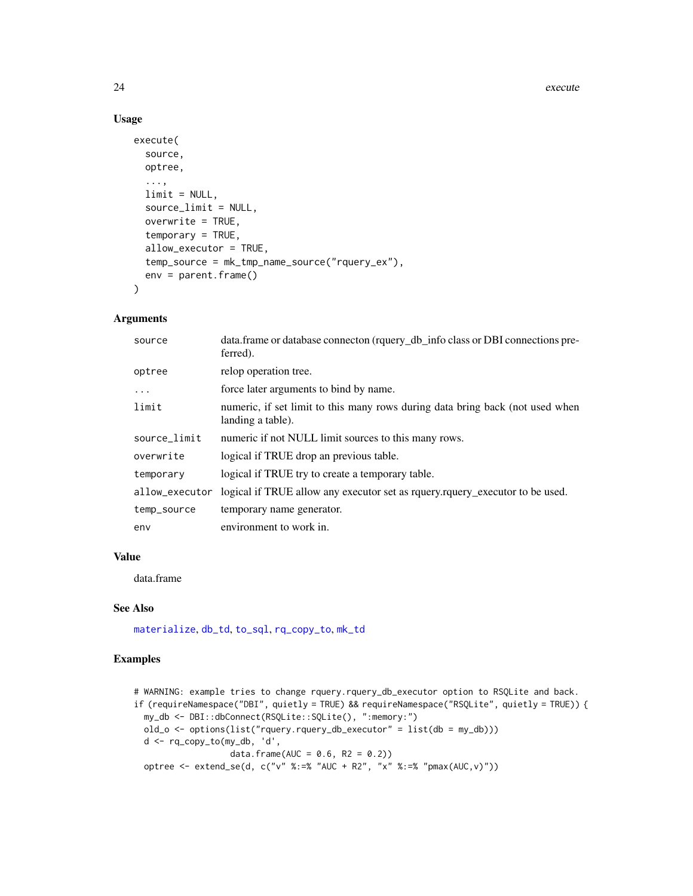#### 24 execute 224 execute 224 execute 224 execute

### Usage

```
execute(
  source,
 optree,
  ...,
  limit = NULL,
  source_limit = NULL,
  overwrite = TRUE,
  temporary = TRUE,
  allow_executor = TRUE,
  temp_source = mk_tmp_name_source("rquery_ex"),
 env = parent.frame()
\mathcal{L}
```
# Arguments

| source         | data.frame or database connecton (rquery_db_info class or DBI connections pre-<br>ferred).         |
|----------------|----------------------------------------------------------------------------------------------------|
| optree         | relop operation tree.                                                                              |
| $\ddots$       | force later arguments to bind by name.                                                             |
| limit          | numeric, if set limit to this many rows during data bring back (not used when<br>landing a table). |
| source_limit   | numeric if not NULL limit sources to this many rows.                                               |
| overwrite      | logical if TRUE drop an previous table.                                                            |
| temporary      | logical if TRUE try to create a temporary table.                                                   |
| allow_executor | logical if TRUE allow any executor set as requery requery executor to be used.                     |
| temp_source    | temporary name generator.                                                                          |
| env            | environment to work in.                                                                            |

### Value

data.frame

### See Also

[materialize](#page-42-1), [db\\_td](#page-18-1), [to\\_sql](#page-95-1), [rq\\_copy\\_to](#page-74-1), [mk\\_td](#page-45-1)

```
# WARNING: example tries to change rquery.rquery_db_executor option to RSQLite and back.
if (requireNamespace("DBI", quietly = TRUE) && requireNamespace("RSQLite", quietly = TRUE)) {
 my_db <- DBI::dbConnect(RSQLite::SQLite(), ":memory:")
 old_o <- options(list("rquery.rquery_db_executor" = list(db = my_db)))
 d <- rq_copy_to(my_db, 'd',
                   data.frame(AUC = 0.6, R2 = 0.2))
 optree <- extend_se(d, c("v" %:=% "AUC + R2", "x" %:=% "pmax(AUC, v)"))
```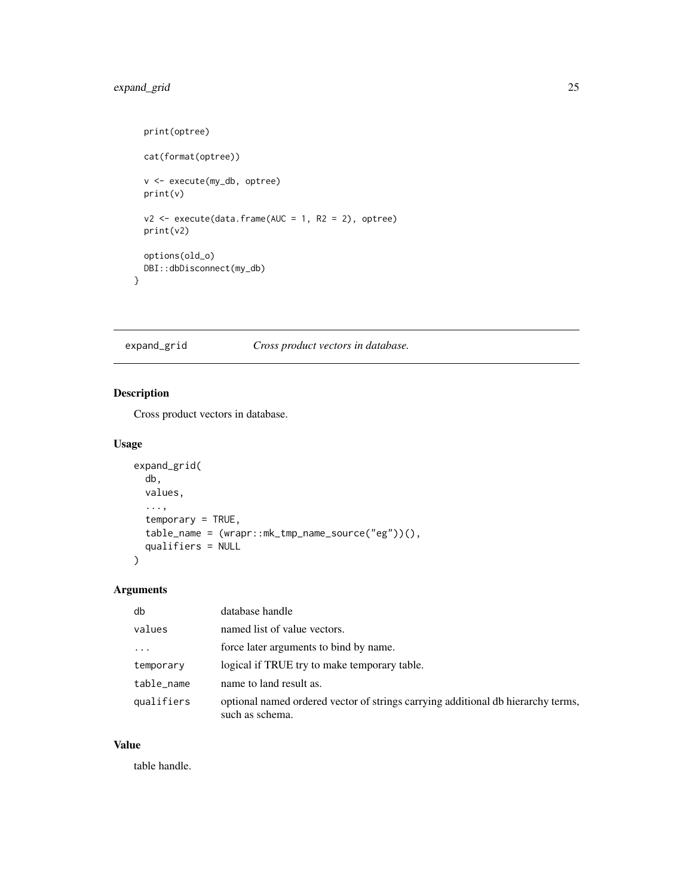# <span id="page-24-0"></span>expand\_grid 25

```
print(optree)
 cat(format(optree))
 v <- execute(my_db, optree)
 print(v)
 v2 \le execute(data.frame(AUC = 1, R2 = 2), optree)
 print(v2)
 options(old_o)
 DBI::dbDisconnect(my_db)
}
```
### expand\_grid *Cross product vectors in database.*

# Description

Cross product vectors in database.

# Usage

```
expand_grid(
 db,
 values,
  ...,
  temporary = TRUE,
  table_name = (wrapr::mk_tmp_name_source("eg"))(),
  qualifiers = NULL
)
```
# Arguments

| db         | database handle                                                                                     |
|------------|-----------------------------------------------------------------------------------------------------|
| values     | named list of value vectors.                                                                        |
| .          | force later arguments to bind by name.                                                              |
| temporary  | logical if TRUE try to make temporary table.                                                        |
| table_name | name to land result as.                                                                             |
| qualifiers | optional named ordered vector of strings carrying additional db hierarchy terms,<br>such as schema. |

### Value

table handle.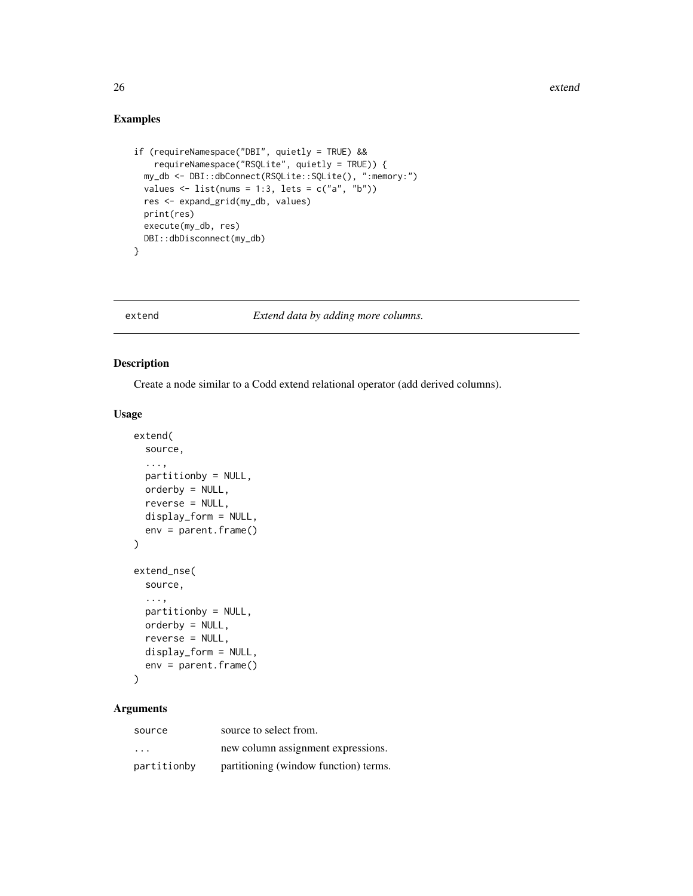# Examples

```
if (requireNamespace("DBI", quietly = TRUE) &&
   requireNamespace("RSQLite", quietly = TRUE)) {
 my_db <- DBI::dbConnect(RSQLite::SQLite(), ":memory:")
 values \le list(nums = 1:3, lets = c("a", "b"))
 res <- expand_grid(my_db, values)
 print(res)
 execute(my_db, res)
 DBI::dbDisconnect(my_db)
}
```
extend *Extend data by adding more columns.*

### Description

Create a node similar to a Codd extend relational operator (add derived columns).

#### Usage

```
extend(
  source,
  ...,
  partitionby = NULL,
  orderby = NULL,
  reverse = NULL,
  display_form = NULL,
  env = parent.frame()
\lambdaextend_nse(
  source,
  ...,
  partitionby = NULL,
  orderby = NULL,
  reverse = NULL,
  display_form = NULL,
  env = parent.frame()
\mathcal{L}
```
# Arguments

| source                  | source to select from.                |
|-------------------------|---------------------------------------|
| $\cdot$ $\cdot$ $\cdot$ | new column assignment expressions.    |
| partitionby             | partitioning (window function) terms. |

<span id="page-25-0"></span>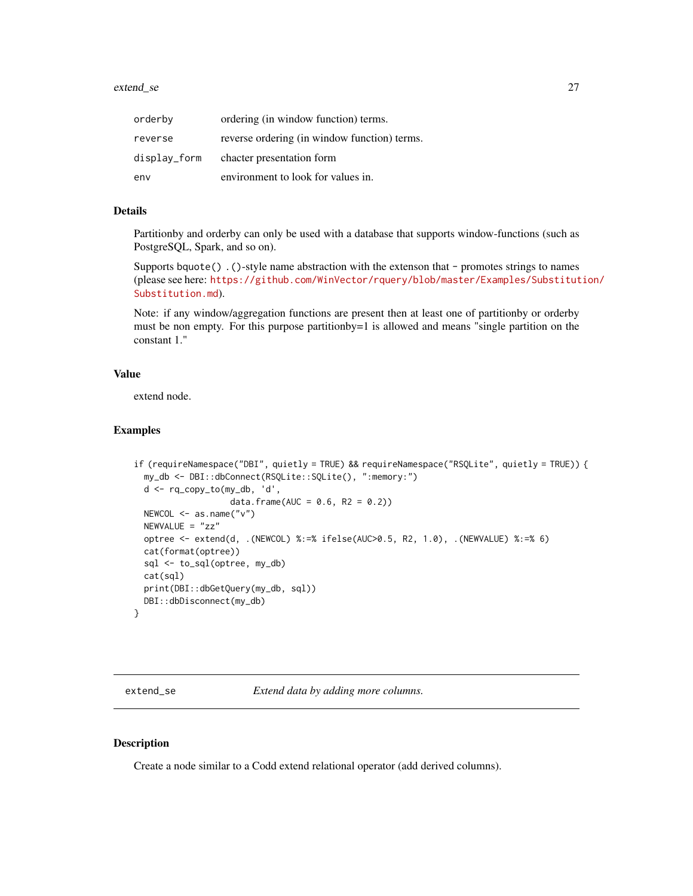#### <span id="page-26-0"></span>extend\_se 27

| orderby      | ordering (in window function) terms.         |
|--------------|----------------------------------------------|
| reverse      | reverse ordering (in window function) terms. |
| display_form | chacter presentation form                    |
| env          | environment to look for values in.           |

# Details

Partitionby and orderby can only be used with a database that supports window-functions (such as PostgreSQL, Spark, and so on).

Supports bquote() .()-style name abstraction with the extenson that - promotes strings to names (please see here: [https://github.com/WinVector/rquery/blob/master/Examples/Substitut](https://github.com/WinVector/rquery/blob/master/Examples/Substitution/Substitution.md)ion/ [Substitution.md](https://github.com/WinVector/rquery/blob/master/Examples/Substitution/Substitution.md)).

Note: if any window/aggregation functions are present then at least one of partitionby or orderby must be non empty. For this purpose partitionby=1 is allowed and means "single partition on the constant 1."

### Value

extend node.

#### Examples

```
if (requireNamespace("DBI", quietly = TRUE) && requireNamespace("RSQLite", quietly = TRUE)) {
 my_db <- DBI::dbConnect(RSQLite::SQLite(), ":memory:")
 d <- rq_copy_to(my_db, 'd',
                   data.frame(AUC = 0.6, R2 = 0.2))
 NEWCOL <- as.name("v")
 NEWVALUE = "zz"
 optree <- extend(d, .(NEWCOL) %:=% ifelse(AUC>0.5, R2, 1.0), .(NEWVALUE) %:=% 6)
 cat(format(optree))
 sql <- to_sql(optree, my_db)
 cat(sql)
 print(DBI::dbGetQuery(my_db, sql))
 DBI::dbDisconnect(my_db)
}
```
<span id="page-26-1"></span>extend\_se *Extend data by adding more columns.*

#### Description

Create a node similar to a Codd extend relational operator (add derived columns).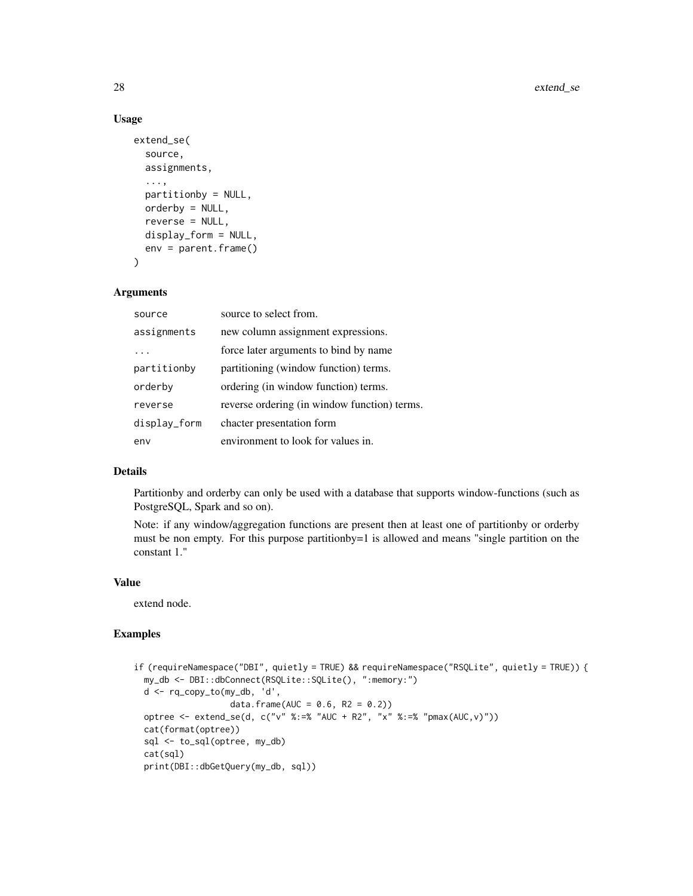### Usage

```
extend_se(
  source,
  assignments,
  ...,
 partitionby = NULL,
 orderby = NULL,
  reverse = NULL,
 display_form = NULL,
  env = parent.frame()
)
```
#### Arguments

| source       | source to select from.                       |
|--------------|----------------------------------------------|
| assignments  | new column assignment expressions.           |
|              | force later arguments to bind by name        |
| partitionby  | partitioning (window function) terms.        |
| orderby      | ordering (in window function) terms.         |
| reverse      | reverse ordering (in window function) terms. |
| display_form | chacter presentation form                    |
| env          | environment to look for values in.           |

#### Details

Partitionby and orderby can only be used with a database that supports window-functions (such as PostgreSQL, Spark and so on).

Note: if any window/aggregation functions are present then at least one of partitionby or orderby must be non empty. For this purpose partitionby=1 is allowed and means "single partition on the constant 1."

### Value

extend node.

```
if (requireNamespace("DBI", quietly = TRUE) && requireNamespace("RSQLite", quietly = TRUE)) {
 my_db <- DBI::dbConnect(RSQLite::SQLite(), ":memory:")
 d <- rq_copy_to(my_db, 'd',
                  data.frame(AUC = 0.6, R2 = 0.2))
 optree <- extend_se(d, c("v" %:=% "AUC + R2", "x" %:=% "pmax(AUC,v)"))
 cat(format(optree))
 sql <- to_sql(optree, my_db)
 cat(sql)
 print(DBI::dbGetQuery(my_db, sql))
```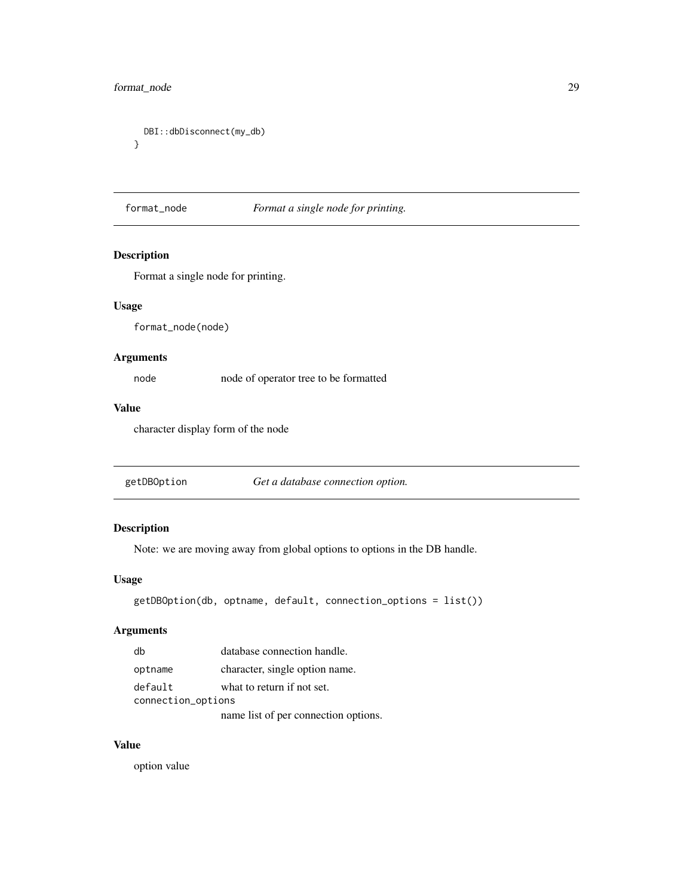# <span id="page-28-0"></span>format\_node 29

```
DBI::dbDisconnect(my_db)
}
```
### format\_node *Format a single node for printing.*

# Description

Format a single node for printing.

### Usage

format\_node(node)

### Arguments

node node of operator tree to be formatted

# Value

character display form of the node

getDBOption *Get a database connection option.*

# Description

Note: we are moving away from global options to options in the DB handle.

# Usage

```
getDBOption(db, optname, default, connection_options = list())
```
# Arguments

|                    | dh      | database connection handle.          |
|--------------------|---------|--------------------------------------|
|                    | optname | character, single option name.       |
|                    | default | what to return if not set.           |
| connection_options |         |                                      |
|                    |         | name list of per connection options. |

# Value

option value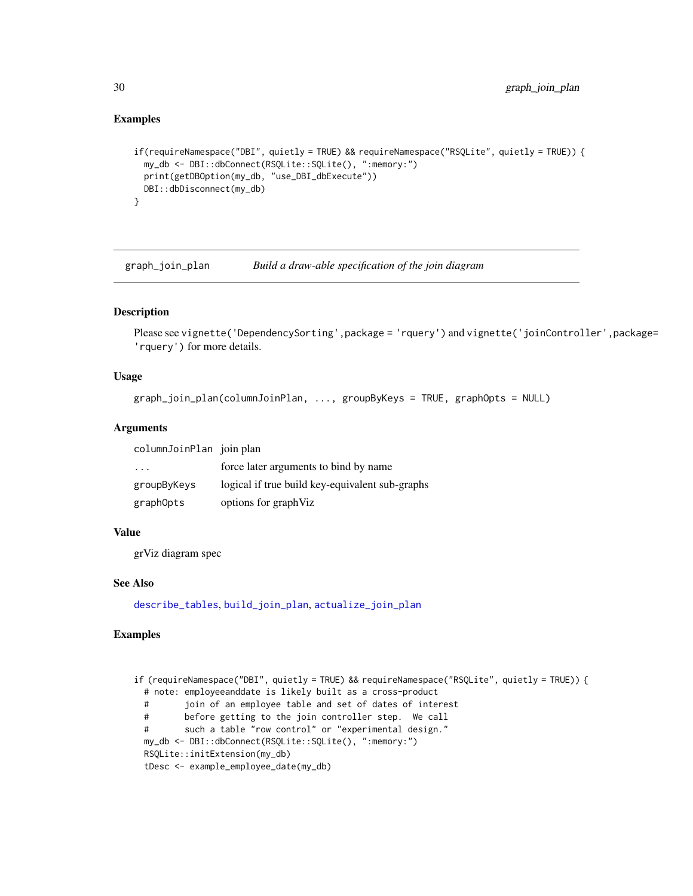### Examples

```
if(requireNamespace("DBI", quietly = TRUE) && requireNamespace("RSQLite", quietly = TRUE)) {
 my_db <- DBI::dbConnect(RSQLite::SQLite(), ":memory:")
 print(getDBOption(my_db, "use_DBI_dbExecute"))
 DBI::dbDisconnect(my_db)
}
```
<span id="page-29-1"></span>graph\_join\_plan *Build a draw-able specification of the join diagram*

### Description

Please see vignette('DependencySorting',package = 'rquery') and vignette('joinController',package= 'rquery') for more details.

### Usage

```
graph_join_plan(columnJoinPlan, ..., groupByKeys = TRUE, graphOpts = NULL)
```
### **Arguments**

columnJoinPlan join plan

| .           | force later arguments to bind by name           |
|-------------|-------------------------------------------------|
| groupByKeys | logical if true build key-equivalent sub-graphs |
| graphOpts   | options for graph Viz                           |

### Value

grViz diagram spec

### See Also

[describe\\_tables](#page-20-1), [build\\_join\\_plan](#page-11-1), [actualize\\_join\\_plan](#page-3-1)

```
if (requireNamespace("DBI", quietly = TRUE) && requireNamespace("RSQLite", quietly = TRUE)) {
 # note: employeeanddate is likely built as a cross-product
 # join of an employee table and set of dates of interest
 # before getting to the join controller step. We call
 # such a table "row control" or "experimental design."
 my_db <- DBI::dbConnect(RSQLite::SQLite(), ":memory:")
 RSQLite::initExtension(my_db)
 tDesc <- example_employee_date(my_db)
```
<span id="page-29-0"></span>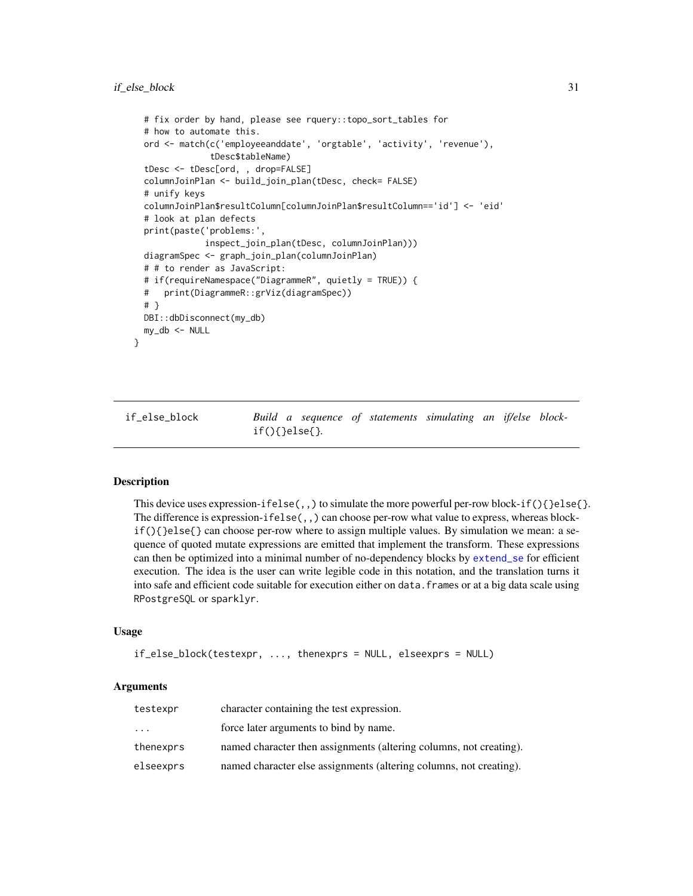```
# fix order by hand, please see rquery::topo_sort_tables for
# how to automate this.
ord <- match(c('employeeanddate', 'orgtable', 'activity', 'revenue'),
             tDesc$tableName)
tDesc <- tDesc[ord, , drop=FALSE]
columnJoinPlan <- build_join_plan(tDesc, check= FALSE)
# unify keys
columnJoinPlan$resultColumn[columnJoinPlan$resultColumn=='id'] <- 'eid'
# look at plan defects
print(paste('problems:',
            inspect_join_plan(tDesc, columnJoinPlan)))
diagramSpec <- graph_join_plan(columnJoinPlan)
# # to render as JavaScript:
# if(requireNamespace("DiagrammeR", quietly = TRUE)) {
# print(DiagrammeR::grViz(diagramSpec))
# }
DBI::dbDisconnect(my_db)
my_db <- NULL
```
<span id="page-30-1"></span>if\_else\_block *Build a sequence of statements simulating an if/else block*if(){}else{}*.*

#### Description

}

This device uses expression-ifelse(,,) to simulate the more powerful per-row block-if(){}else{}. The difference is expression-ifelse(,,) can choose per-row what value to express, whereas block $if()$  } else{ } can choose per-row where to assign multiple values. By simulation we mean: a sequence of quoted mutate expressions are emitted that implement the transform. These expressions can then be optimized into a minimal number of no-dependency blocks by [extend\\_se](#page-26-1) for efficient execution. The idea is the user can write legible code in this notation, and the translation turns it into safe and efficient code suitable for execution either on data.frames or at a big data scale using RPostgreSQL or sparklyr.

#### Usage

```
if_else_block(testexpr, ..., thenexprs = NULL, elseexprs = NULL)
```
#### Arguments

| testexpr  | character containing the test expression.                          |
|-----------|--------------------------------------------------------------------|
| $\ddotsc$ | force later arguments to bind by name.                             |
| thenexprs | named character then assignments (altering columns, not creating). |
| elseexprs | named character else assignments (altering columns, not creating). |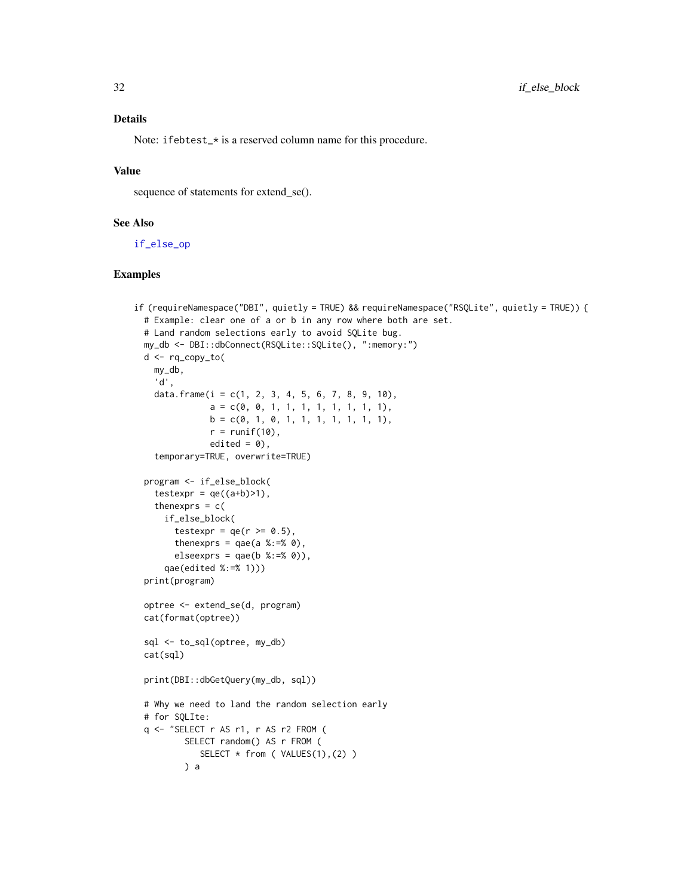### Details

Note: ifebtest\_\* is a reserved column name for this procedure.

### Value

sequence of statements for extend\_se().

### See Also

[if\\_else\\_op](#page-32-1)

```
if (requireNamespace("DBI", quietly = TRUE) && requireNamespace("RSQLite", quietly = TRUE)) {
 # Example: clear one of a or b in any row where both are set.
 # Land random selections early to avoid SQLite bug.
 my_db <- DBI::dbConnect(RSQLite::SQLite(), ":memory:")
 d <- rq_copy_to(
   my_db,
    'd',
   data.frame(i = c(1, 2, 3, 4, 5, 6, 7, 8, 9, 10),
               a = c(0, 0, 1, 1, 1, 1, 1, 1, 1, 1),b = c(0, 1, 0, 1, 1, 1, 1, 1, 1, 1),r = runif(10),
              edited = 0,
    temporary=TRUE, overwrite=TRUE)
 program <- if_else_block(
    testexpr = qe((a+b)=1),
   thenexprs = c(if_else_block(
       testexpr = qe(r \ge 0.5),
       thenexprs = qae(a %:= % 0),
       elseexprs = qae(b %:=% 0),qae(edited %:=% 1)))
 print(program)
 optree <- extend_se(d, program)
 cat(format(optree))
 sql <- to_sql(optree, my_db)
 cat(sql)
 print(DBI::dbGetQuery(my_db, sql))
 # Why we need to land the random selection early
 # for SQLIte:
 q <- "SELECT r AS r1, r AS r2 FROM (
         SELECT random() AS r FROM (
            SELECT * from ( VALUES(1),(2) )
         ) a
```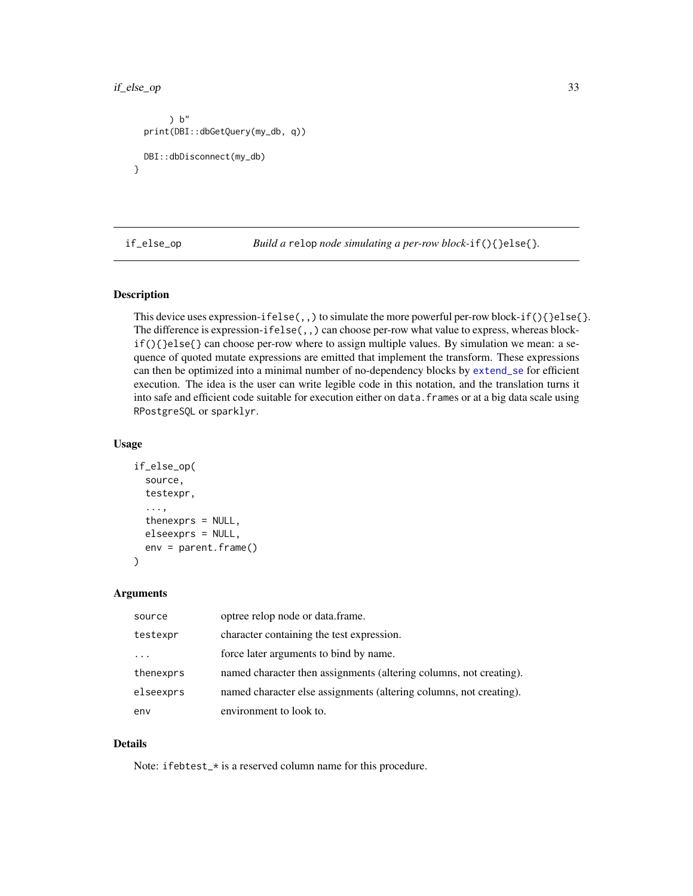```
) b"
 print(DBI::dbGetQuery(my_db, q))
 DBI::dbDisconnect(my_db)
}
```
<span id="page-32-1"></span>if\_else\_op *Build a* relop *node simulating a per-row block-*if(){}else{}*.*

# Description

This device uses expression-ifelse(,,) to simulate the more powerful per-row block-if(){}else{}. The difference is expression-ifelse(,,) can choose per-row what value to express, whereas block $if()$  } else{} can choose per-row where to assign multiple values. By simulation we mean: a sequence of quoted mutate expressions are emitted that implement the transform. These expressions can then be optimized into a minimal number of no-dependency blocks by [extend\\_se](#page-26-1) for efficient execution. The idea is the user can write legible code in this notation, and the translation turns it into safe and efficient code suitable for execution either on data. frames or at a big data scale using RPostgreSQL or sparklyr.

#### Usage

```
if_else_op(
  source,
  testexpr,
  ...,
  thenexprs = NULL,
  elseexprs = NULL,
  env = parent.frame()
)
```
#### Arguments

| source    | optree relop node or data.frame.                                   |
|-----------|--------------------------------------------------------------------|
| testexpr  | character containing the test expression.                          |
| .         | force later arguments to bind by name.                             |
| thenexprs | named character then assignments (altering columns, not creating). |
| elseexprs | named character else assignments (altering columns, not creating). |
| env       | environment to look to.                                            |

#### Details

Note: ifebtest\_\* is a reserved column name for this procedure.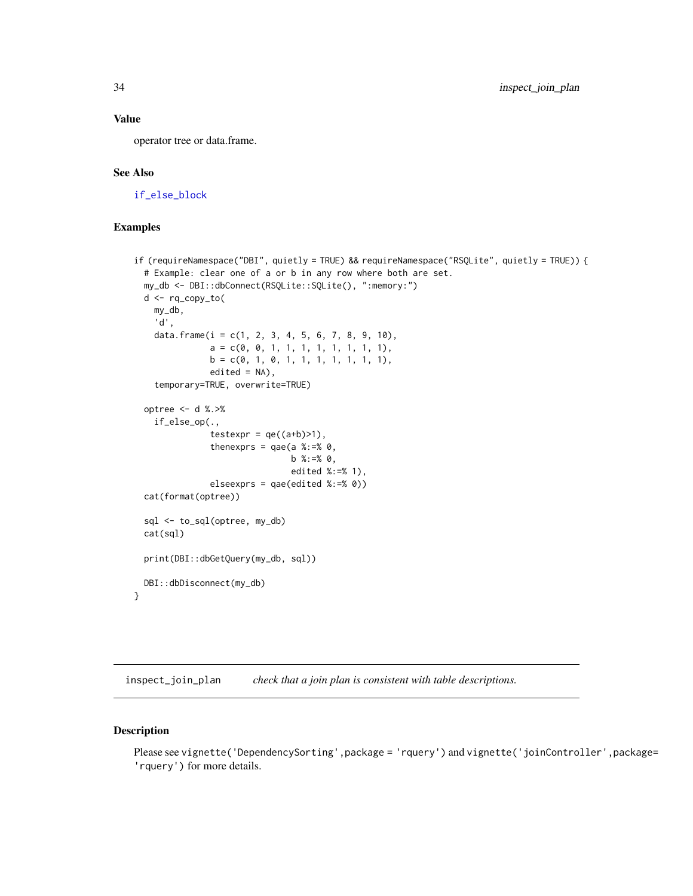### <span id="page-33-0"></span>Value

operator tree or data.frame.

### See Also

[if\\_else\\_block](#page-30-1)

# Examples

```
if (requireNamespace("DBI", quietly = TRUE) && requireNamespace("RSQLite", quietly = TRUE)) {
 # Example: clear one of a or b in any row where both are set.
 my_db <- DBI::dbConnect(RSQLite::SQLite(), ":memory:")
 d <- rq_copy_to(
   my_db,
    'd',
   data.frame(i = c(1, 2, 3, 4, 5, 6, 7, 8, 9, 10),
               a = c(0, 0, 1, 1, 1, 1, 1, 1, 1, 1),b = c(0, 1, 0, 1, 1, 1, 1, 1, 1, 1),edited = NA,
    temporary=TRUE, overwrite=TRUE)
 optree <- d %.>%
    if_else_op(.,
               testexpr = qe((a+b)=1),
               thenexprs = qae(a %:=% 0,
                               b %:=% 0,
                               edited %:=% 1),
               elseexprs = qae(edited %:=% 0))
 cat(format(optree))
 sql <- to_sql(optree, my_db)
 cat(sql)
 print(DBI::dbGetQuery(my_db, sql))
 DBI::dbDisconnect(my_db)
```
}

<span id="page-33-1"></span>inspect\_join\_plan *check that a join plan is consistent with table descriptions.*

### Description

Please see vignette('DependencySorting',package = 'rquery') and vignette('joinController',package= 'rquery') for more details.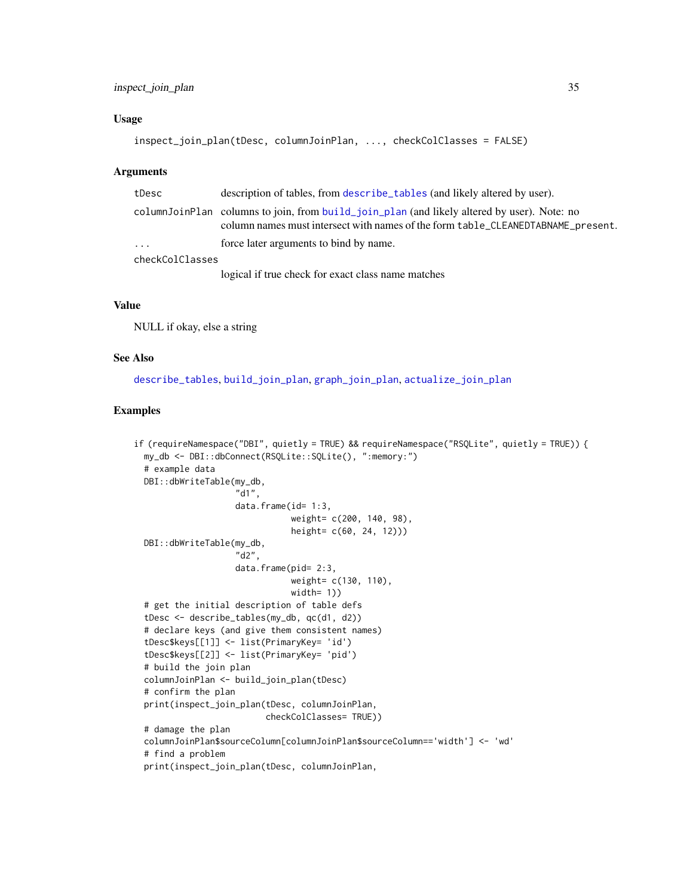#### Usage

```
inspect_join_plan(tDesc, columnJoinPlan, ..., checkColClasses = FALSE)
```
#### Arguments

| tDesc           | description of tables, from describe_tables (and likely altered by user).                                                                                                       |  |
|-----------------|---------------------------------------------------------------------------------------------------------------------------------------------------------------------------------|--|
|                 | columnJoinPlan columns to join, from build_join_plan (and likely altered by user). Note: no<br>column names must intersect with names of the form table_CLEANEDTABNAME_present. |  |
| $\cdot$         | force later arguments to bind by name.                                                                                                                                          |  |
| checkColClasses |                                                                                                                                                                                 |  |
|                 | logical if true check for exact class name matches                                                                                                                              |  |

# Value

NULL if okay, else a string

#### See Also

[describe\\_tables](#page-20-1), [build\\_join\\_plan](#page-11-1), [graph\\_join\\_plan](#page-29-1), [actualize\\_join\\_plan](#page-3-1)

```
if (requireNamespace("DBI", quietly = TRUE) && requireNamespace("RSQLite", quietly = TRUE)) {
 my_db <- DBI::dbConnect(RSQLite::SQLite(), ":memory:")
 # example data
 DBI::dbWriteTable(my_db,
                    "d1",
                    data.frame(id= 1:3,
                               weight= c(200, 140, 98),
                               height= c(60, 24, 12)))
 DBI::dbWriteTable(my_db,
                    "d2",
                    data.frame(pid= 2:3,
                               weight= c(130, 110),
                               width= 1))
 # get the initial description of table defs
 tDesc <- describe_tables(my_db, qc(d1, d2))
 # declare keys (and give them consistent names)
 tDesc$keys[[1]] <- list(PrimaryKey= 'id')
 tDesc$keys[[2]] <- list(PrimaryKey= 'pid')
 # build the join plan
 columnJoinPlan <- build_join_plan(tDesc)
 # confirm the plan
 print(inspect_join_plan(tDesc, columnJoinPlan,
                          checkColClasses= TRUE))
 # damage the plan
 columnJoinPlan$sourceColumn[columnJoinPlan$sourceColumn=='width'] <- 'wd'
 # find a problem
 print(inspect_join_plan(tDesc, columnJoinPlan,
```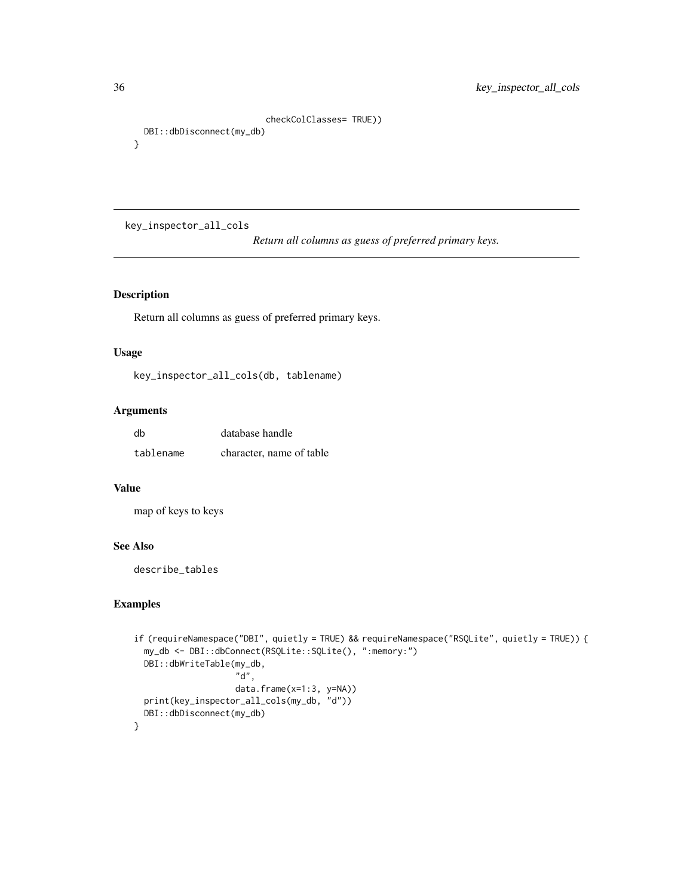```
checkColClasses= TRUE))
 DBI::dbDisconnect(my_db)
}
```
key\_inspector\_all\_cols

*Return all columns as guess of preferred primary keys.*

# Description

Return all columns as guess of preferred primary keys.

### Usage

key\_inspector\_all\_cols(db, tablename)

# Arguments

| db        | database handle          |
|-----------|--------------------------|
| tablename | character, name of table |

### Value

map of keys to keys

### See Also

describe\_tables

```
if (requireNamespace("DBI", quietly = TRUE) && requireNamespace("RSQLite", quietly = TRUE)) {
 my_db <- DBI::dbConnect(RSQLite::SQLite(), ":memory:")
 DBI::dbWriteTable(my_db,
                    "d",
                    data.frame(x=1:3, y=NA))
 print(key_inspector_all_cols(my_db, "d"))
 DBI::dbDisconnect(my_db)
}
```
<span id="page-35-0"></span>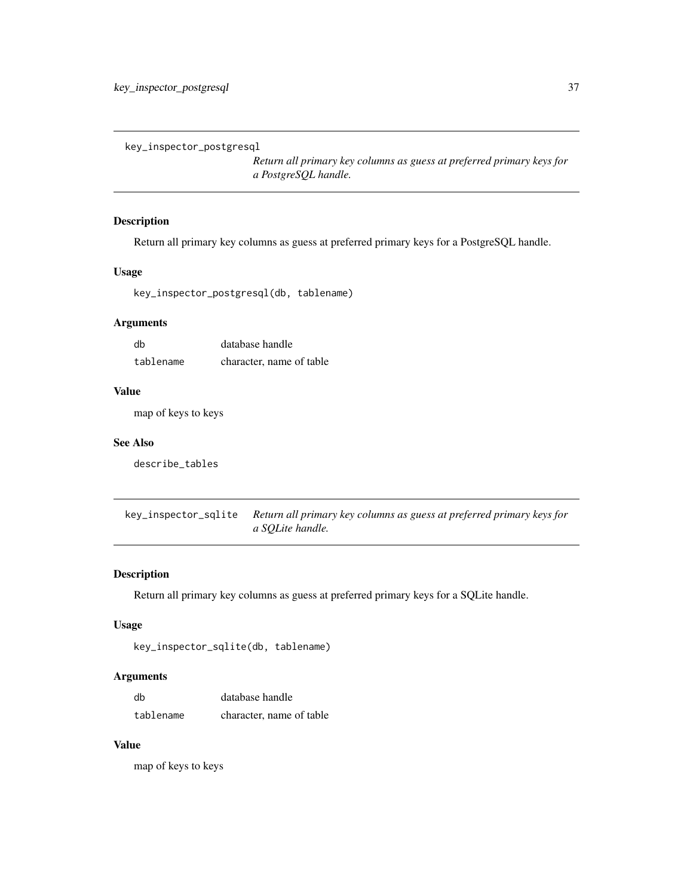key\_inspector\_postgresql

*Return all primary key columns as guess at preferred primary keys for a PostgreSQL handle.*

# Description

Return all primary key columns as guess at preferred primary keys for a PostgreSQL handle.

#### Usage

key\_inspector\_postgresql(db, tablename)

# Arguments

| db        | database handle          |
|-----------|--------------------------|
| tablename | character, name of table |

### Value

map of keys to keys

### See Also

describe\_tables

key\_inspector\_sqlite *Return all primary key columns as guess at preferred primary keys for a SQLite handle.*

### Description

Return all primary key columns as guess at preferred primary keys for a SQLite handle.

### Usage

```
key_inspector_sqlite(db, tablename)
```
# Arguments

| db        | database handle          |
|-----------|--------------------------|
| tablename | character, name of table |

### Value

map of keys to keys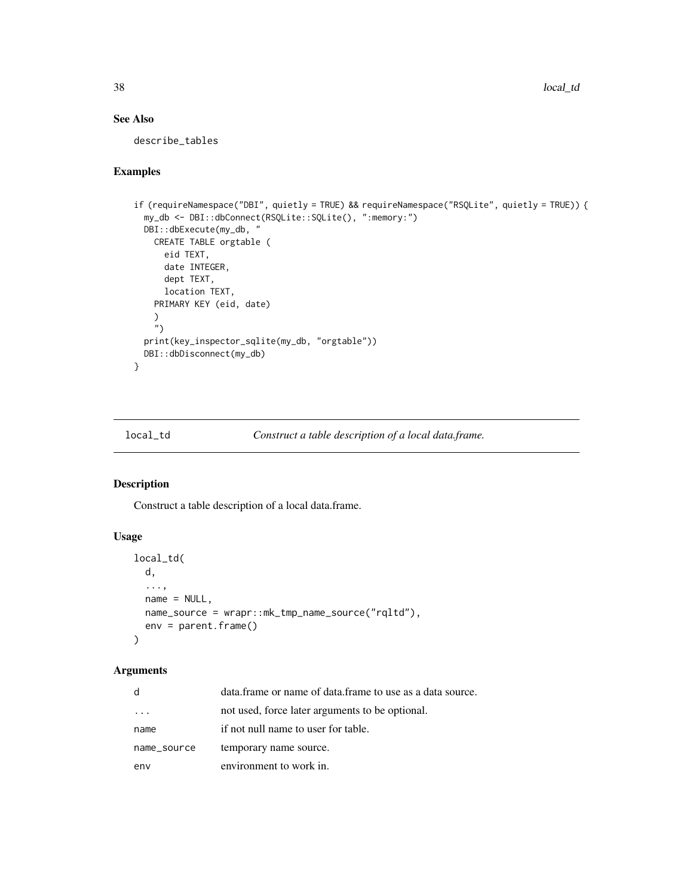# See Also

describe\_tables

### Examples

```
if (requireNamespace("DBI", quietly = TRUE) && requireNamespace("RSQLite", quietly = TRUE)) {
 my_db <- DBI::dbConnect(RSQLite::SQLite(), ":memory:")
 DBI::dbExecute(my_db, "
   CREATE TABLE orgtable (
      eid TEXT,
      date INTEGER,
      dept TEXT,
      location TEXT,
   PRIMARY KEY (eid, date)
   )
    \tilde{''}print(key_inspector_sqlite(my_db, "orgtable"))
 DBI::dbDisconnect(my_db)
}
```
<span id="page-37-0"></span>local\_td *Construct a table description of a local data.frame.*

# Description

Construct a table description of a local data.frame.

# Usage

```
local_td(
  d,
  ...,
 name = NULL,name_source = wrapr::mk_tmp_name_source("rqltd"),
  env = parent.frame()
)
```

| d           | data frame or name of data frame to use as a data source. |
|-------------|-----------------------------------------------------------|
|             | not used, force later arguments to be optional.           |
| name        | if not null name to user for table.                       |
| name_source | temporary name source.                                    |
| env         | environment to work in.                                   |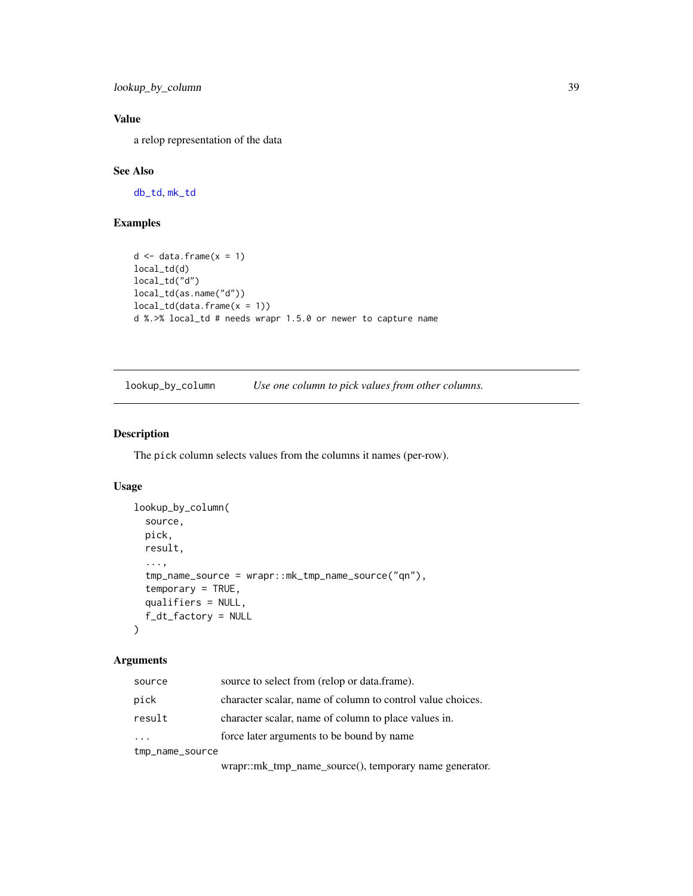lookup\_by\_column 39

# Value

a relop representation of the data

# See Also

[db\\_td](#page-18-0), [mk\\_td](#page-45-0)

# Examples

```
d \leq - data.frame(x = 1)local_td(d)
local_td("d")
local_td(as.name("d"))
local_t d(data.frame(x = 1))d %.>% local_td # needs wrapr 1.5.0 or newer to capture name
```
lookup\_by\_column *Use one column to pick values from other columns.*

# Description

The pick column selects values from the columns it names (per-row).

# Usage

```
lookup_by_column(
  source,
 pick,
 result,
  ...,
  tmp_name_source = wrapr::mk_tmp_name_source("qn"),
  temporary = TRUE,
  qualifiers = NULL,
  f_dt_factory = NULL
)
```
# Arguments

| source                  | source to select from (relop or data.frame).               |
|-------------------------|------------------------------------------------------------|
| pick                    | character scalar, name of column to control value choices. |
| result                  | character scalar, name of column to place values in.       |
| $\cdot$ $\cdot$ $\cdot$ | force later arguments to be bound by name                  |
| tmp_name_source         |                                                            |

wrapr::mk\_tmp\_name\_source(), temporary name generator.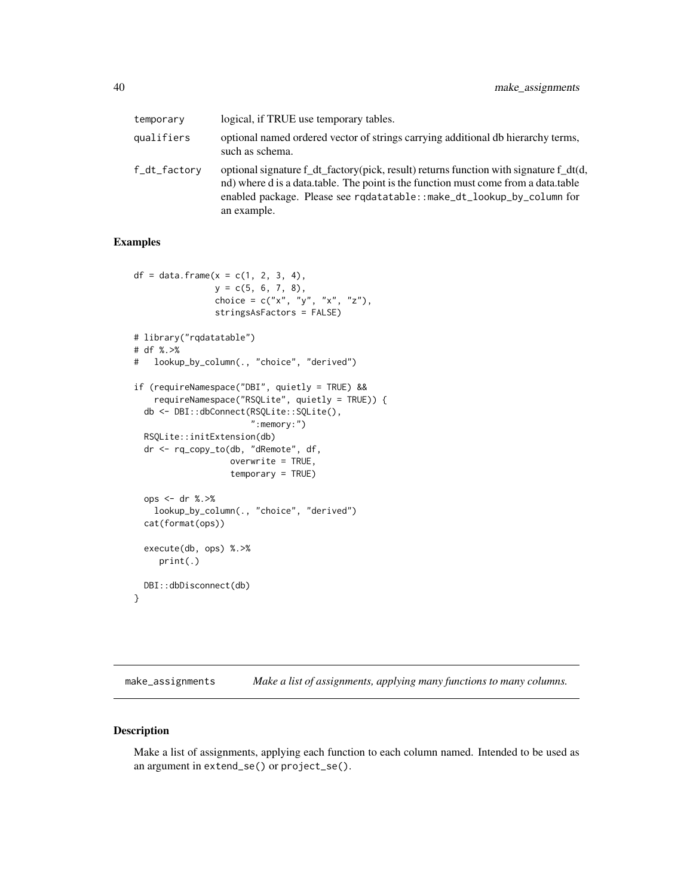| temporary    | logical, if TRUE use temporary tables.                                                                                                                                                                                                                                      |
|--------------|-----------------------------------------------------------------------------------------------------------------------------------------------------------------------------------------------------------------------------------------------------------------------------|
| qualifiers   | optional named ordered vector of strings carrying additional db hierarchy terms,<br>such as schema.                                                                                                                                                                         |
| f_dt_factory | optional signature $f_{dt}$ factory(pick, result) returns function with signature $f_{dt}(d,$<br>nd) where d is a data.table. The point is the function must come from a data.table<br>enabled package. Please see rgdatatable::make_dt_lookup_by_column for<br>an example. |

# Examples

```
df = data frame(x = c(1, 2, 3, 4),y = c(5, 6, 7, 8),choice = c("x", "y", "x", "z"),stringsAsFactors = FALSE)
# library("rqdatatable")
# df %.>%
# lookup_by_column(., "choice", "derived")
if (requireNamespace("DBI", quietly = TRUE) &&
    requireNamespace("RSQLite", quietly = TRUE)) {
  db <- DBI::dbConnect(RSQLite::SQLite(),
                       ":memory:")
  RSQLite::initExtension(db)
  dr <- rq_copy_to(db, "dRemote", df,
                   overwrite = TRUE,
                   temporary = TRUE)
  ops <- dr %.>%
    lookup_by_column(., "choice", "derived")
  cat(format(ops))
  execute(db, ops) %.>%
     print(.)
  DBI::dbDisconnect(db)
}
```
make\_assignments *Make a list of assignments, applying many functions to many columns.*

#### Description

Make a list of assignments, applying each function to each column named. Intended to be used as an argument in extend\_se() or project\_se().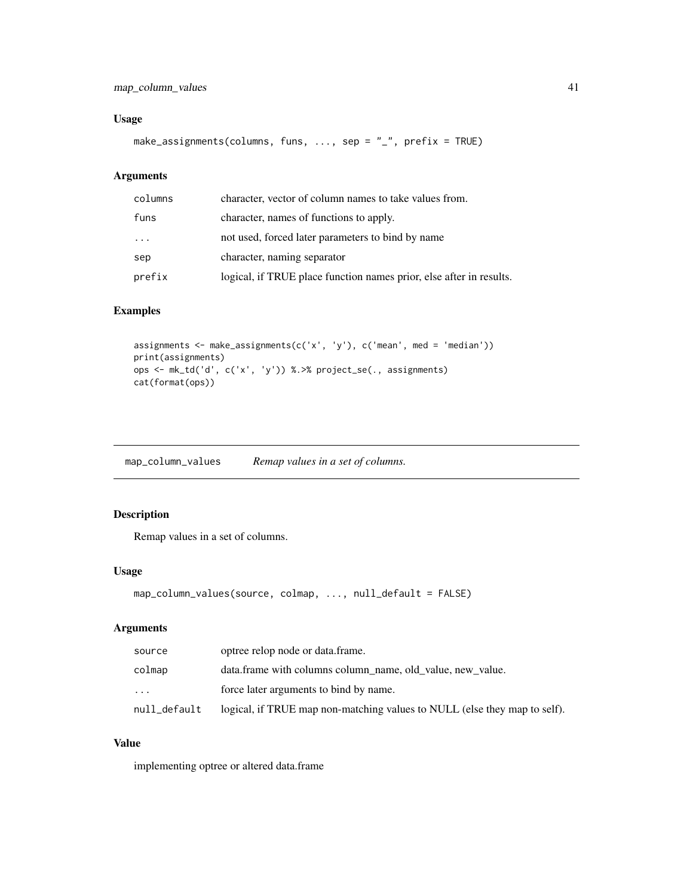# map\_column\_values 41

# Usage

```
make_assignments(columns, funs, ..., sep = "_", prefix = TRUE)
```
# Arguments

| columns | character, vector of column names to take values from.              |
|---------|---------------------------------------------------------------------|
| funs    | character, names of functions to apply.                             |
| .       | not used, forced later parameters to bind by name                   |
| sep     | character, naming separator                                         |
| prefix  | logical, if TRUE place function names prior, else after in results. |

# Examples

assignments <- make\_assignments(c('x', 'y'), c('mean', med = 'median')) print(assignments) ops <- mk\_td('d', c('x', 'y')) %.>% project\_se(., assignments) cat(format(ops))

map\_column\_values *Remap values in a set of columns.*

# Description

Remap values in a set of columns.

#### Usage

```
map_column_values(source, colmap, ..., null_default = FALSE)
```
# Arguments

| source       | optree relop node or data frame.                                          |
|--------------|---------------------------------------------------------------------------|
| colmap       | data.frame with columns column_name, old_value, new_value.                |
| $\cdots$     | force later arguments to bind by name.                                    |
| null_default | logical, if TRUE map non-matching values to NULL (else they map to self). |

# Value

implementing optree or altered data.frame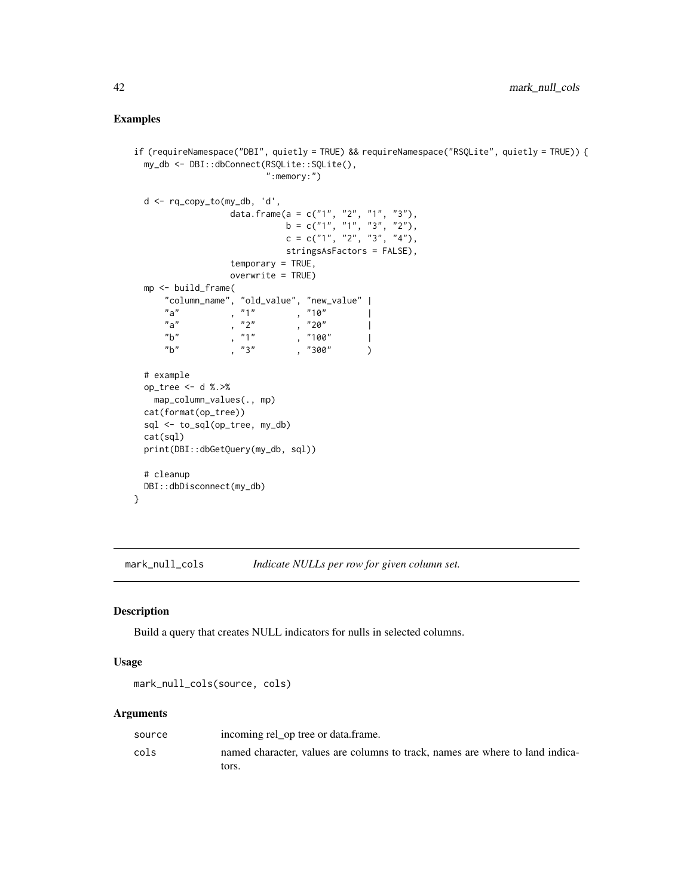# Examples

```
if (requireNamespace("DBI", quietly = TRUE) && requireNamespace("RSQLite", quietly = TRUE)) {
 my_db <- DBI::dbConnect(RSQLite::SQLite(),
                      ":memory:")
 d <- rq_copy_to(my_db, 'd',
                data.frame(a = c("1", "2", "1", "3"),
                         b = c("1", "1", "3", "2"),c = c("1", "2", "3", "4")stringsAsFactors = FALSE),
                temporary = TRUE,
                overwrite = TRUE)
 mp <- build_frame(
     "column_name", "old_value", "new_value" |
     "a" , "1" , "10""a", "2", "20"\sqrt[n]{b} , "1" , "100" |
     "b", "3", "300")
 # example
 op_tree <- d %.>%
   map_column_values(., mp)
 cat(format(op_tree))
 sql <- to_sql(op_tree, my_db)
 cat(sql)
 print(DBI::dbGetQuery(my_db, sql))
 # cleanup
 DBI::dbDisconnect(my_db)
}
```
<span id="page-41-0"></span>mark\_null\_cols *Indicate NULLs per row for given column set.*

#### Description

Build a query that creates NULL indicators for nulls in selected columns.

#### Usage

```
mark_null_cols(source, cols)
```

| source | incoming rel_op tree or data.frame.                                           |
|--------|-------------------------------------------------------------------------------|
| cols   | named character, values are columns to track, names are where to land indica- |
|        | tors.                                                                         |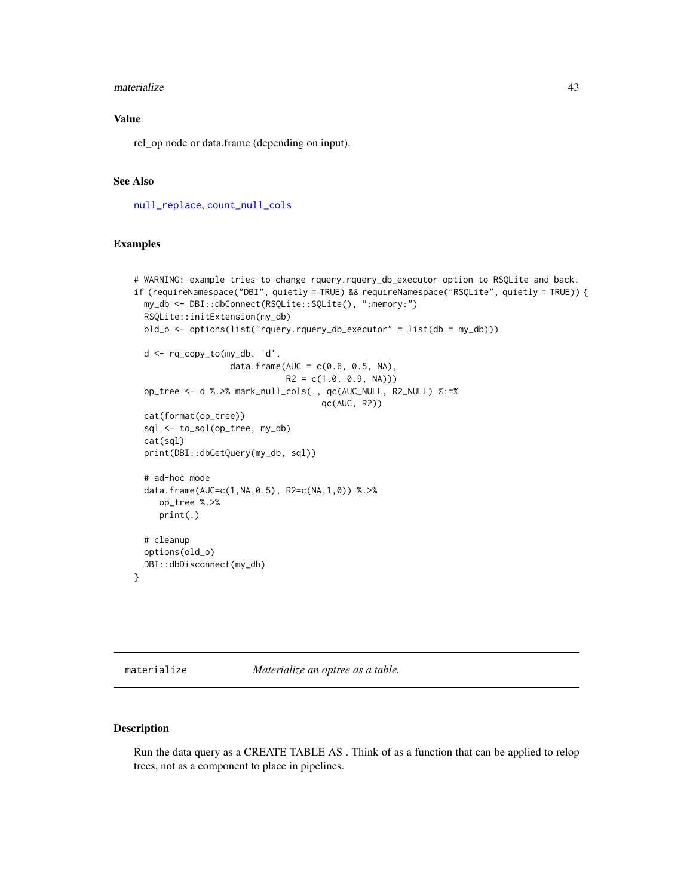#### materialize 43

### Value

rel\_op node or data.frame (depending on input).

#### See Also

[null\\_replace](#page-50-0), [count\\_null\\_cols](#page-17-0)

### Examples

```
# WARNING: example tries to change rquery.rquery_db_executor option to RSQLite and back.
if (requireNamespace("DBI", quietly = TRUE) && requireNamespace("RSQLite", quietly = TRUE)) {
 my_db <- DBI::dbConnect(RSQLite::SQLite(), ":memory:")
 RSQLite::initExtension(my_db)
 old_o <- options(list("rquery.rquery_db_executor" = list(db = my_db)))
 d <- rq_copy_to(my_db, 'd',
                   data.frame(AUC = c(0.6, 0.5, NA),
                              R2 = c(1.0, 0.9, NA))op_tree <- d %.>% mark_null_cols(., qc(AUC_NULL, R2_NULL) %:=%
                                     qc(AUC, R2))
 cat(format(op_tree))
 sql <- to_sql(op_tree, my_db)
 cat(sql)
 print(DBI::dbGetQuery(my_db, sql))
 # ad-hoc mode
 data.frame(AUC=c(1,NA,0.5), R2=c(NA,1,0)) %.>%
    op_tree %.>%
     print(.)
 # cleanup
 options(old_o)
 DBI::dbDisconnect(my_db)
}
```
<span id="page-42-0"></span>materialize *Materialize an optree as a table.*

### Description

Run the data query as a CREATE TABLE AS . Think of as a function that can be applied to relop trees, not as a component to place in pipelines.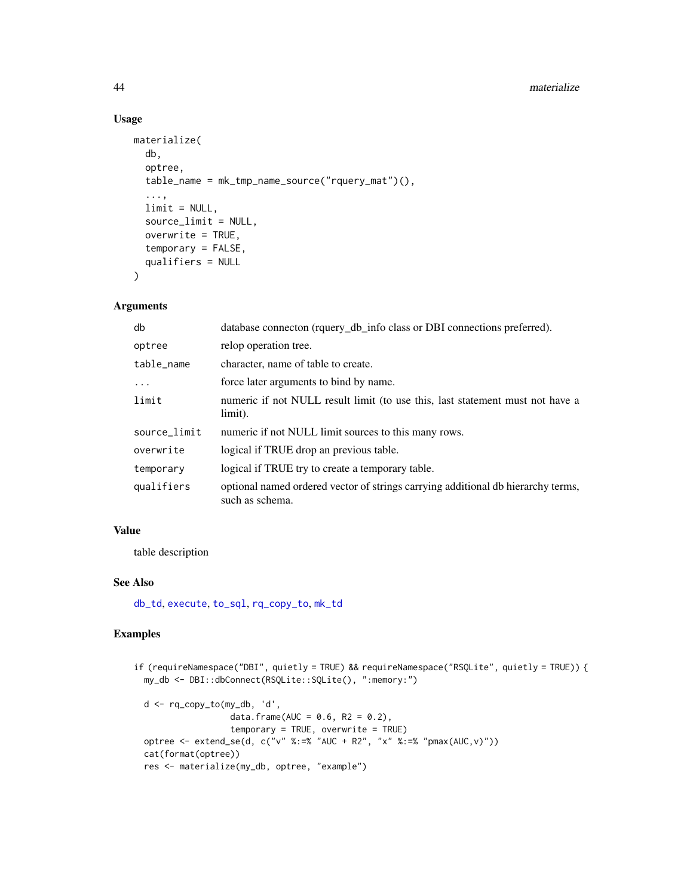#### 44 materialize

# Usage

```
materialize(
 db,
  optree,
  table_name = mk_tmp_name_source("rquery_mat")(),
  ...,
  limit = NULL,
  source_limit = NULL,
  overwrite = TRUE,
  temporary = FALSE,
  qualifiers = NULL
\lambda
```
# Arguments

| db           | database connecton (rquery_db_info class or DBI connections preferred).                             |
|--------------|-----------------------------------------------------------------------------------------------------|
| optree       | relop operation tree.                                                                               |
| table_name   | character, name of table to create.                                                                 |
| $\cdots$     | force later arguments to bind by name.                                                              |
| limit        | numeric if not NULL result limit (to use this, last statement must not have a<br>limit).            |
| source_limit | numeric if not NULL limit sources to this many rows.                                                |
| overwrite    | logical if TRUE drop an previous table.                                                             |
| temporary    | logical if TRUE try to create a temporary table.                                                    |
| qualifiers   | optional named ordered vector of strings carrying additional db hierarchy terms,<br>such as schema. |

# Value

table description

#### See Also

[db\\_td](#page-18-0), [execute](#page-22-0), [to\\_sql](#page-95-0), [rq\\_copy\\_to](#page-74-0), [mk\\_td](#page-45-0)

# Examples

```
if (requireNamespace("DBI", quietly = TRUE) && requireNamespace("RSQLite", quietly = TRUE)) {
 my_db <- DBI::dbConnect(RSQLite::SQLite(), ":memory:")
 d <- rq_copy_to(my_db, 'd',
                  data.frame(AUC = 0.6, R2 = 0.2),
                  temporary = TRUE, overwrite = TRUE)
 optree <- extend_se(d, c("v" %:=% "AUC + R2", "x" %:=% "pmax(AUC,v)"))
 cat(format(optree))
 res <- materialize(my_db, optree, "example")
```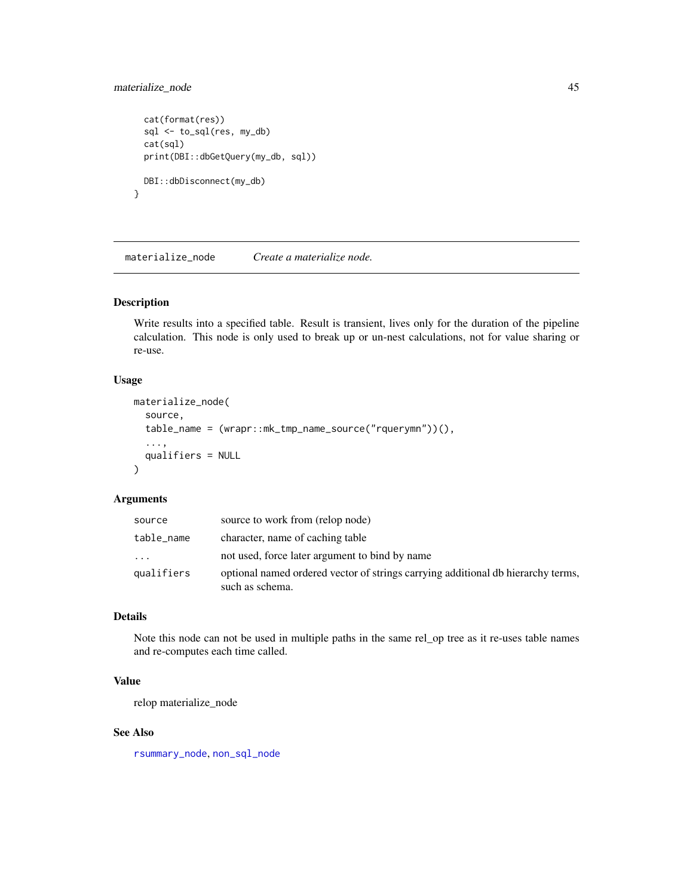# materialize\_node 45

```
cat(format(res))
 sql <- to_sql(res, my_db)
 cat(sql)
 print(DBI::dbGetQuery(my_db, sql))
 DBI::dbDisconnect(my_db)
}
```
materialize\_node *Create a materialize node.*

#### Description

Write results into a specified table. Result is transient, lives only for the duration of the pipeline calculation. This node is only used to break up or un-nest calculations, not for value sharing or re-use.

### Usage

```
materialize_node(
  source,
  table_name = (wrapr::mk_tmp_name_source("rquerymn"))(),
  ...,
  qualifiers = NULL
\lambda
```
#### Arguments

| source     | source to work from (relop node)                                                                    |
|------------|-----------------------------------------------------------------------------------------------------|
| table_name | character, name of caching table                                                                    |
| $\cdots$   | not used, force later argument to bind by name                                                      |
| qualifiers | optional named ordered vector of strings carrying additional db hierarchy terms,<br>such as schema. |

### Details

Note this node can not be used in multiple paths in the same rel\_op tree as it re-uses table names and re-computes each time called.

#### Value

relop materialize\_node

#### See Also

[rsummary\\_node](#page-81-0), [non\\_sql\\_node](#page-48-0)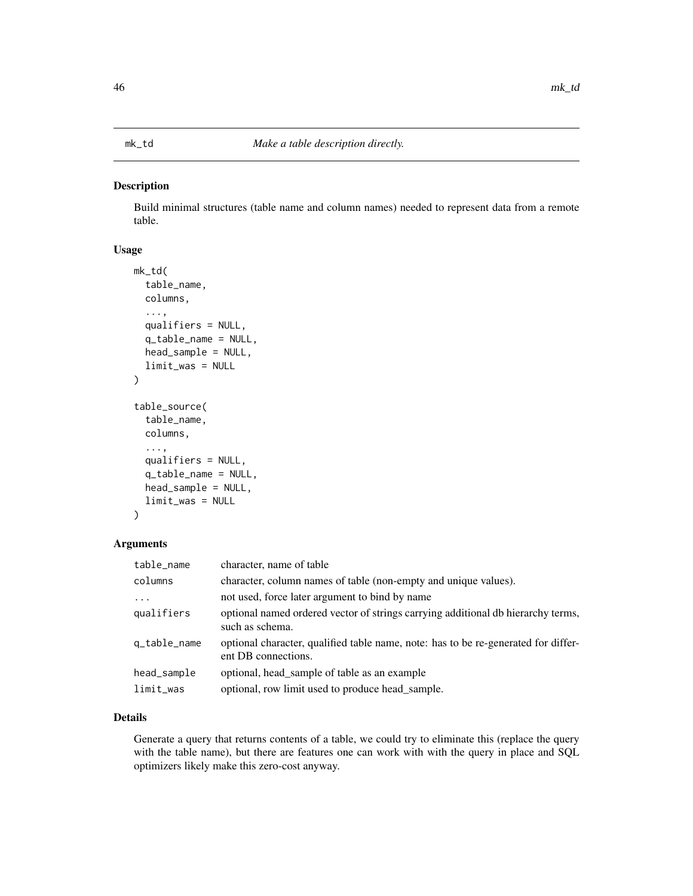# <span id="page-45-0"></span>Description

Build minimal structures (table name and column names) needed to represent data from a remote table.

# Usage

```
mk_td(
  table_name,
  columns,
  ...,
  qualifiers = NULL,
  q_table_name = NULL,
  head_sample = NULL,
  limit_was = NULL
)
table_source(
  table_name,
  columns,
  ...,
  qualifiers = NULL,
  q_table_name = NULL,
  head_sample = NULL,
  limit_was = NULL
)
```
#### Arguments

| character, name of table                                                                                  |
|-----------------------------------------------------------------------------------------------------------|
| character, column names of table (non-empty and unique values).                                           |
| not used, force later argument to bind by name                                                            |
| optional named ordered vector of strings carrying additional db hierarchy terms,<br>such as schema.       |
| optional character, qualified table name, note: has to be re-generated for differ-<br>ent DB connections. |
| optional, head sample of table as an example                                                              |
| optional, row limit used to produce head_sample.                                                          |
|                                                                                                           |

### Details

Generate a query that returns contents of a table, we could try to eliminate this (replace the query with the table name), but there are features one can work with with the query in place and SQL optimizers likely make this zero-cost anyway.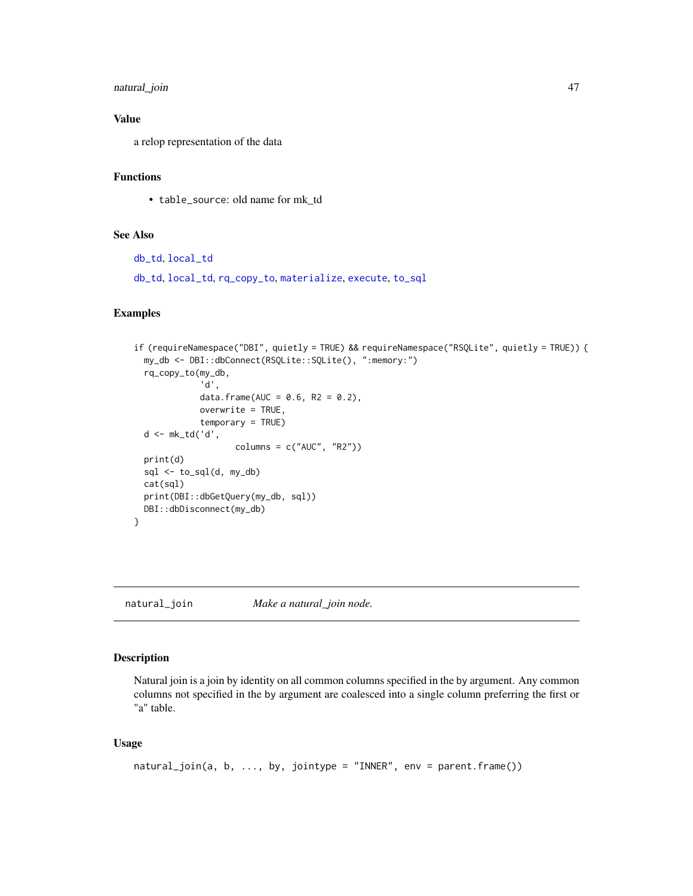# natural\_join 47

# Value

a relop representation of the data

# Functions

• table\_source: old name for mk\_td

### See Also

[db\\_td](#page-18-0), [local\\_td](#page-37-0)

[db\\_td](#page-18-0), [local\\_td](#page-37-0), [rq\\_copy\\_to](#page-74-0), [materialize](#page-42-0), [execute](#page-22-0), [to\\_sql](#page-95-0)

### Examples

```
if (requireNamespace("DBI", quietly = TRUE) && requireNamespace("RSQLite", quietly = TRUE)) {
 my_db <- DBI::dbConnect(RSQLite::SQLite(), ":memory:")
 rq_copy_to(my_db,
             'd',
             data.frame(AUC = 0.6, R2 = 0.2),
             overwrite = TRUE,
             temporary = TRUE)
 d <- mk_td('d',
                    columns = c("AUC", "R2"))
 print(d)
 sql <- to_sql(d, my_db)
 cat(sql)
 print(DBI::dbGetQuery(my_db, sql))
 DBI::dbDisconnect(my_db)
}
```
natural\_join *Make a natural\_join node.*

#### Description

Natural join is a join by identity on all common columns specified in the by argument. Any common columns not specified in the by argument are coalesced into a single column preferring the first or "a" table.

### Usage

```
natural_join(a, b, ..., by, jointype = "INNER", env = parent.frame())
```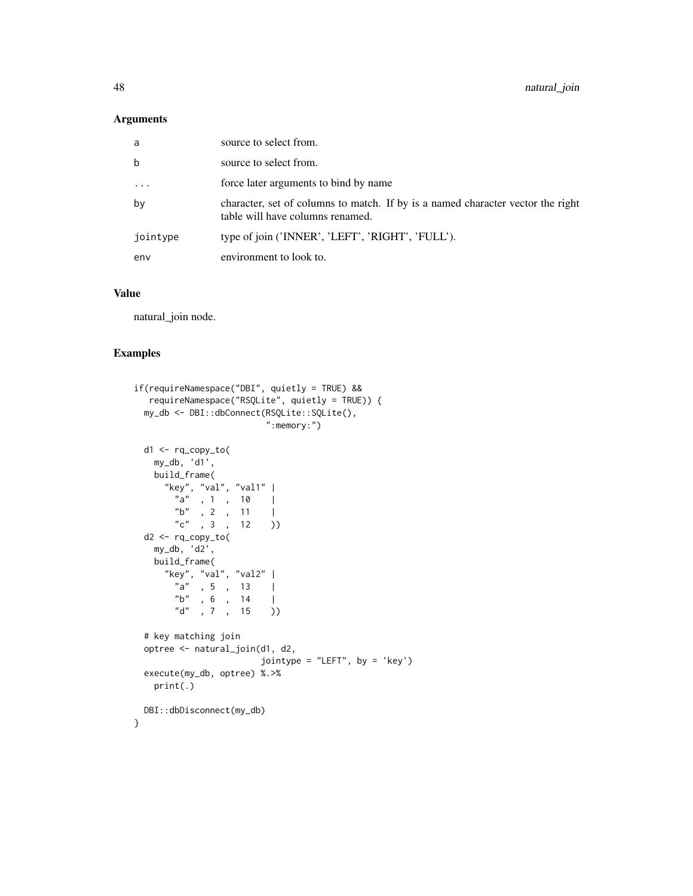### Arguments

| a           | source to select from.                                                                                              |
|-------------|---------------------------------------------------------------------------------------------------------------------|
| $\mathbf b$ | source to select from.                                                                                              |
| $\cdots$    | force later arguments to bind by name                                                                               |
| by          | character, set of columns to match. If by is a named character vector the right<br>table will have columns renamed. |
| jointype    | type of join ('INNER', 'LEFT', 'RIGHT', 'FULL').                                                                    |
| env         | environment to look to.                                                                                             |

### Value

natural\_join node.

#### Examples

```
if(requireNamespace("DBI", quietly = TRUE) &&
  requireNamespace("RSQLite", quietly = TRUE)) {
 my_db <- DBI::dbConnect(RSQLite::SQLite(),
                        ":memory:")
 d1 <- rq_copy_to(
   my_db, 'd1',
   build_frame(
     "key", "val", "val1" |
       "a" , 1 , 10 |
       nb", 2, 11 |
       "c" , 3 , 12 )
 d2 <- rq_copy_to(
   my_db, 'd2',
   build_frame(
     "key", "val", "val2" |
       "a" , 5 , 13 |
       "b" , 6 , 14 |
       "d" , 7 , 15 ))
 # key matching join
 optree <- natural_join(d1, d2,
                       jointype = "LEFT", by = 'key')
 execute(my_db, optree) %.>%
   print(.)
 DBI::dbDisconnect(my_db)
}
```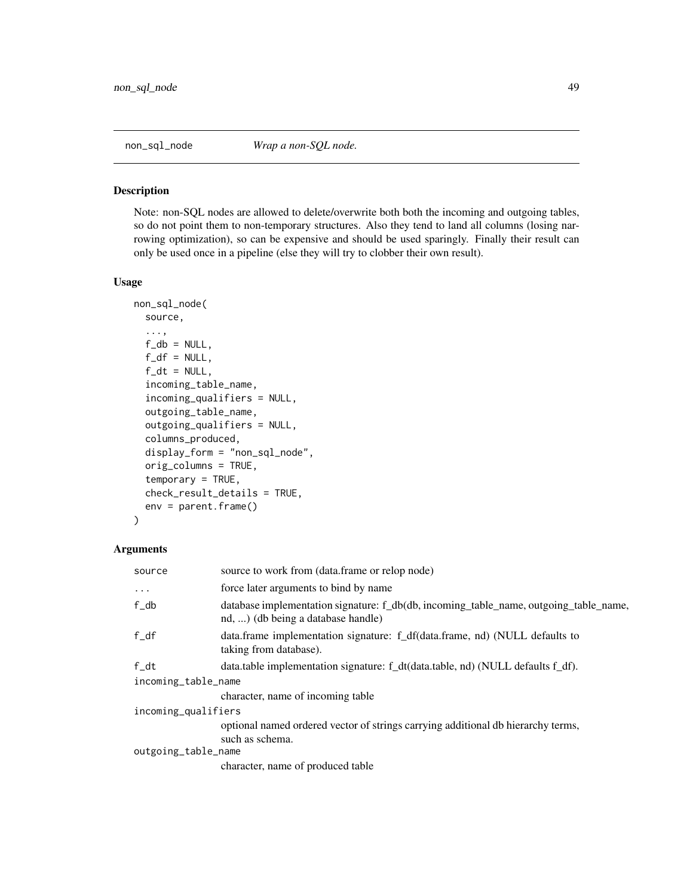<span id="page-48-0"></span>

#### Description

Note: non-SQL nodes are allowed to delete/overwrite both both the incoming and outgoing tables, so do not point them to non-temporary structures. Also they tend to land all columns (losing narrowing optimization), so can be expensive and should be used sparingly. Finally their result can only be used once in a pipeline (else they will try to clobber their own result).

#### Usage

```
non_sql_node(
  source,
  ...,
  f_d b = NULL,f_d f = NULL,f_d t = NULL,incoming_table_name,
  incoming_qualifiers = NULL,
  outgoing_table_name,
  outgoing_qualifiers = NULL,
  columns_produced,
  display_form = "non_sql_node",
  orig_columns = TRUE,
  temporary = TRUE,
  check_result_details = TRUE,
  env = parent.frame()
)
```

| source              | source to work from (data.frame or relop node)                                                                              |  |
|---------------------|-----------------------------------------------------------------------------------------------------------------------------|--|
| $\cdots$            | force later arguments to bind by name                                                                                       |  |
| $f$ _db             | database implementation signature: f_db(db, incoming_table_name, outgoing_table_name,<br>nd, ) (db being a database handle) |  |
| $f_d$               | data.frame implementation signature: f_df(data.frame, nd) (NULL defaults to<br>taking from database).                       |  |
| f dt                | data.table implementation signature: f_dt(data.table, nd) (NULL defaults f_df).                                             |  |
| incoming_table_name |                                                                                                                             |  |
|                     | character, name of incoming table                                                                                           |  |
| incoming_qualifiers |                                                                                                                             |  |
|                     | optional named ordered vector of strings carrying additional db hierarchy terms,<br>such as schema.                         |  |
| outgoing_table_name |                                                                                                                             |  |
|                     | character, name of produced table                                                                                           |  |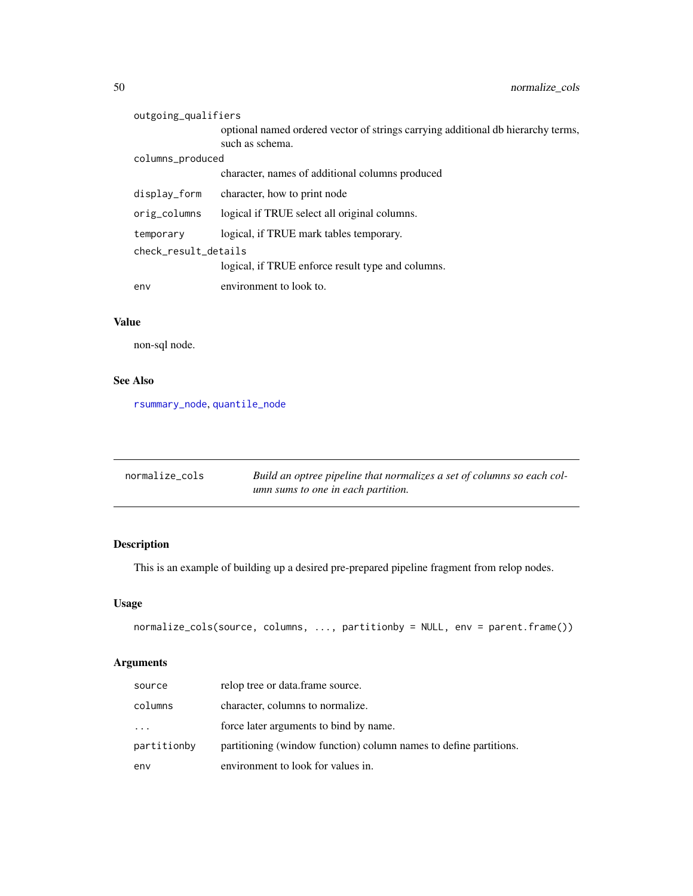| outgoing_qualifiers  |                                                                                                     |
|----------------------|-----------------------------------------------------------------------------------------------------|
|                      | optional named ordered vector of strings carrying additional db hierarchy terms,<br>such as schema. |
| columns_produced     |                                                                                                     |
|                      | character, names of additional columns produced                                                     |
| display_form         | character, how to print node                                                                        |
| orig_columns         | logical if TRUE select all original columns.                                                        |
| temporary            | logical, if TRUE mark tables temporary.                                                             |
| check result details |                                                                                                     |
|                      | logical, if TRUE enforce result type and columns.                                                   |
| env                  | environment to look to.                                                                             |

# Value

non-sql node.

# See Also

[rsummary\\_node](#page-81-0), [quantile\\_node](#page-61-0)

| normalize_cols | Build an optree pipeline that normalizes a set of columns so each col- |
|----------------|------------------------------------------------------------------------|
|                | umn sums to one in each partition.                                     |

# Description

This is an example of building up a desired pre-prepared pipeline fragment from relop nodes.

# Usage

```
normalize_cols(source, columns, ..., partitionby = NULL, env = parent.frame())
```

| source      | relop tree or data.frame source.                                  |
|-------------|-------------------------------------------------------------------|
| columns     | character, columns to normalize.                                  |
| $\cdots$    | force later arguments to bind by name.                            |
| partitionby | partitioning (window function) column names to define partitions. |
| env         | environment to look for values in.                                |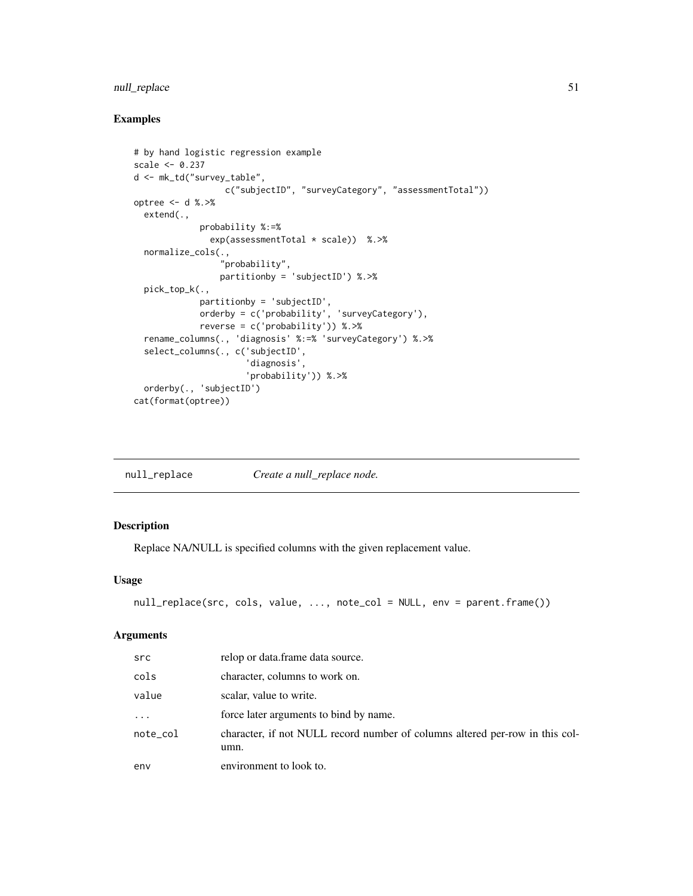# null\_replace 51

# Examples

```
# by hand logistic regression example
scale <- 0.237
d <- mk_td("survey_table",
                  c("subjectID", "surveyCategory", "assessmentTotal"))
optree <- d %.>%
  extend(.,
             probability %:=%
               exp(assessmentTotal * scale)) %.>%
  normalize_cols(.,
                 "probability",
                 partitionby = 'subjectID') %.>%
  pick_top_k(.,
             partitionby = 'subjectID',
             orderby = c('probability', 'surveyCategory'),
             reverse = c('probability')) %.>%
  rename_columns(., 'diagnosis' %:=% 'surveyCategory') %.>%
  select_columns(., c('subjectID',
                      'diagnosis',
                      'probability')) %.>%
  orderby(., 'subjectID')
cat(format(optree))
```
<span id="page-50-0"></span>

| null_replace | Create a null_replace node. |  |
|--------------|-----------------------------|--|
|--------------|-----------------------------|--|

### Description

Replace NA/NULL is specified columns with the given replacement value.

# Usage

```
null_replace(src, cols, value, ..., note_col = NULL, env = parent.frame())
```

| src        | relop or data.frame data source.                                                     |
|------------|--------------------------------------------------------------------------------------|
| cols       | character, columns to work on.                                                       |
| value      | scalar, value to write.                                                              |
| $\ddots$ . | force later arguments to bind by name.                                               |
| note_col   | character, if not NULL record number of columns altered per-row in this col-<br>umn. |
| env        | environment to look to.                                                              |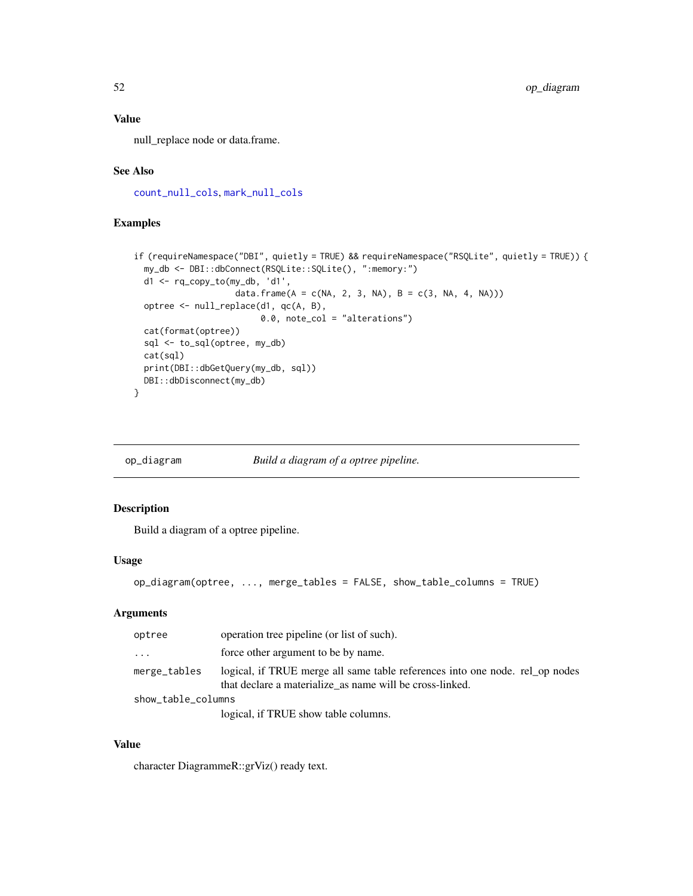# Value

null\_replace node or data.frame.

# See Also

[count\\_null\\_cols](#page-17-0), [mark\\_null\\_cols](#page-41-0)

# Examples

```
if (requireNamespace("DBI", quietly = TRUE) && requireNamespace("RSQLite", quietly = TRUE)) {
 my_db <- DBI::dbConnect(RSQLite::SQLite(), ":memory:")
 d1 <- rq_copy_to(my_db, 'd1',
                    data.frame(A = c(NA, 2, 3, NA), B = c(3, NA, 4, NA)))
 optree <- null_replace(d1, qc(A, B),
                         0.0, note_col = "alterations")
 cat(format(optree))
 sql <- to_sql(optree, my_db)
 cat(sql)
 print(DBI::dbGetQuery(my_db, sql))
 DBI::dbDisconnect(my_db)
}
```
op\_diagram *Build a diagram of a optree pipeline.*

# Description

Build a diagram of a optree pipeline.

# Usage

op\_diagram(optree, ..., merge\_tables = FALSE, show\_table\_columns = TRUE)

# Arguments

| optree             | operation tree pipeline (or list of such).                                                                                               |
|--------------------|------------------------------------------------------------------------------------------------------------------------------------------|
| $\cdot$            | force other argument to be by name.                                                                                                      |
| merge_tables       | logical, if TRUE merge all same table references into one node. rel op nodes<br>that declare a materialize as name will be cross-linked. |
| show_table_columns |                                                                                                                                          |
|                    | logical, if TRUE show table columns.                                                                                                     |

### Value

character DiagrammeR::grViz() ready text.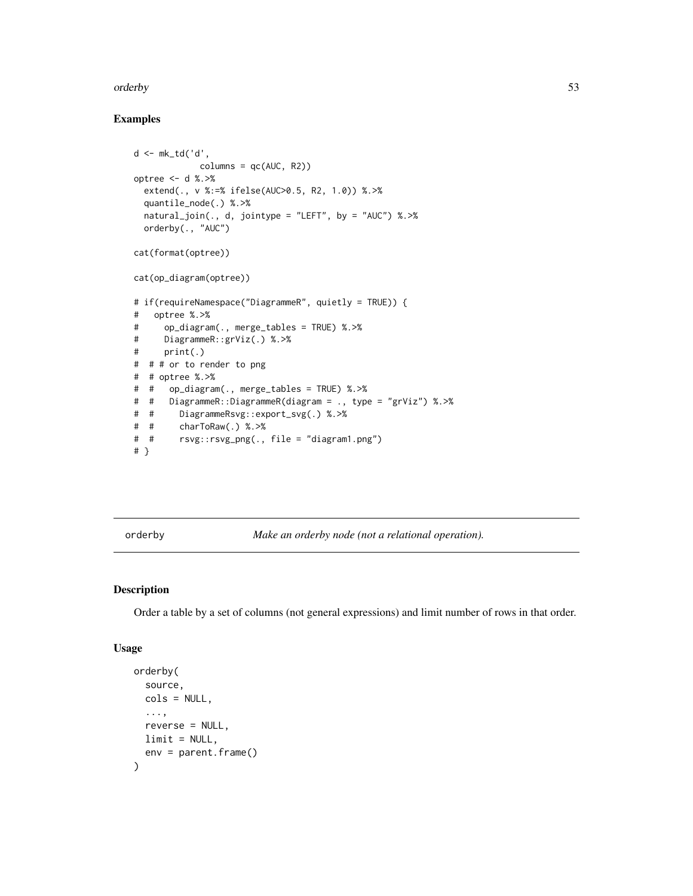#### orderby 53

# Examples

```
d <- mk_td('d',
            columns = qc(AUC, R2))optree <- d %.>%
 extend(., v %:=% ifelse(AUC>0.5, R2, 1.0)) %.>%
 quantile_node(.) %.>%
 natural_join(., d, jointype = "LEFT", by = "AUC") %.>%
 orderby(., "AUC")
cat(format(optree))
cat(op_diagram(optree))
# if(requireNamespace("DiagrammeR", quietly = TRUE)) {
# optree %.>%
# op_diagram(., merge_tables = TRUE) %.>%
# DiagrammeR::grViz(.) %.>%
# print(.)
# # # or to render to png
# # optree %.>%
# # op_diagram(., merge_tables = TRUE) %.>%
# # DiagrammeR::DiagrammeR(diagram = ., type = "grViz") %.>%
# # DiagrammeRsvg::export_svg(.) %.>%
# # charToRaw(.) %.>%
# # rsvg::rsvg_png(., file = "diagram1.png")
# }
```
orderby *Make an orderby node (not a relational operation).*

#### Description

Order a table by a set of columns (not general expressions) and limit number of rows in that order.

#### Usage

```
orderby(
  source,
  cols = NULL,
  ...,
 reverse = NULL,
 limit = NULL,
  env = parent.frame()
)
```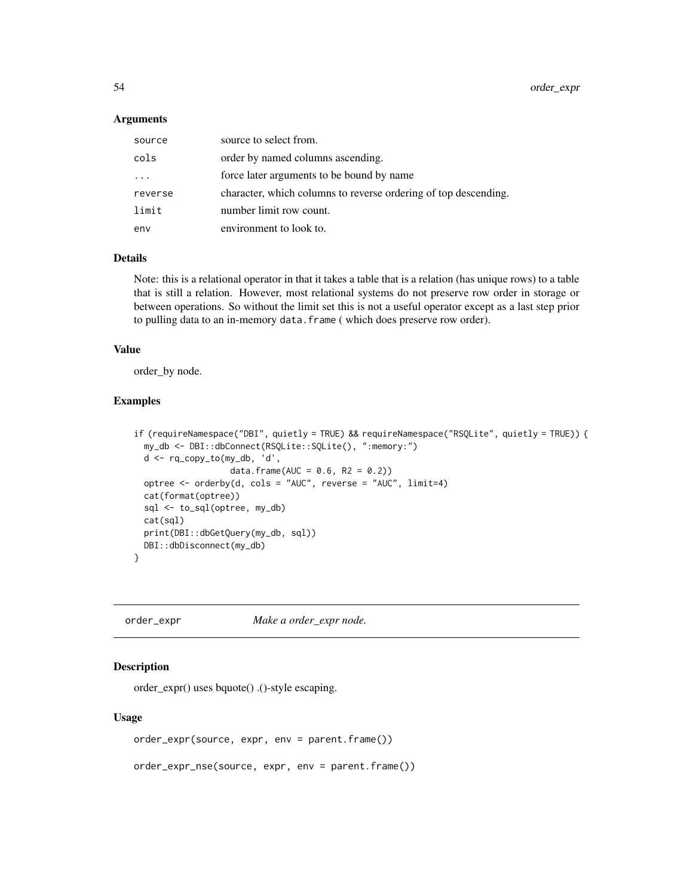#### Arguments

| source                  | source to select from.                                          |
|-------------------------|-----------------------------------------------------------------|
| cols                    | order by named columns ascending.                               |
| $\cdot$ $\cdot$ $\cdot$ | force later arguments to be bound by name                       |
| reverse                 | character, which columns to reverse ordering of top descending. |
| limit                   | number limit row count.                                         |
| env                     | environment to look to.                                         |

# Details

Note: this is a relational operator in that it takes a table that is a relation (has unique rows) to a table that is still a relation. However, most relational systems do not preserve row order in storage or between operations. So without the limit set this is not a useful operator except as a last step prior to pulling data to an in-memory data.frame ( which does preserve row order).

### Value

order\_by node.

#### Examples

```
if (requireNamespace("DBI", quietly = TRUE) && requireNamespace("RSQLite", quietly = TRUE)) {
 my_db <- DBI::dbConnect(RSQLite::SQLite(), ":memory:")
 d <- rq_copy_to(my_db, 'd',
                   data.frame(AUC = 0.6, R2 = 0.2))
 optree <- orderby(d, cols = "AUC", reverse = "AUC", limit=4)
 cat(format(optree))
 sql <- to_sql(optree, my_db)
 cat(sql)
 print(DBI::dbGetQuery(my_db, sql))
 DBI::dbDisconnect(my_db)
}
```
order\_expr *Make a order\_expr node.*

# Description

order\_expr() uses bquote() .()-style escaping.

#### Usage

```
order_expr(source, expr, env = parent.frame())
```
order\_expr\_nse(source, expr, env = parent.frame())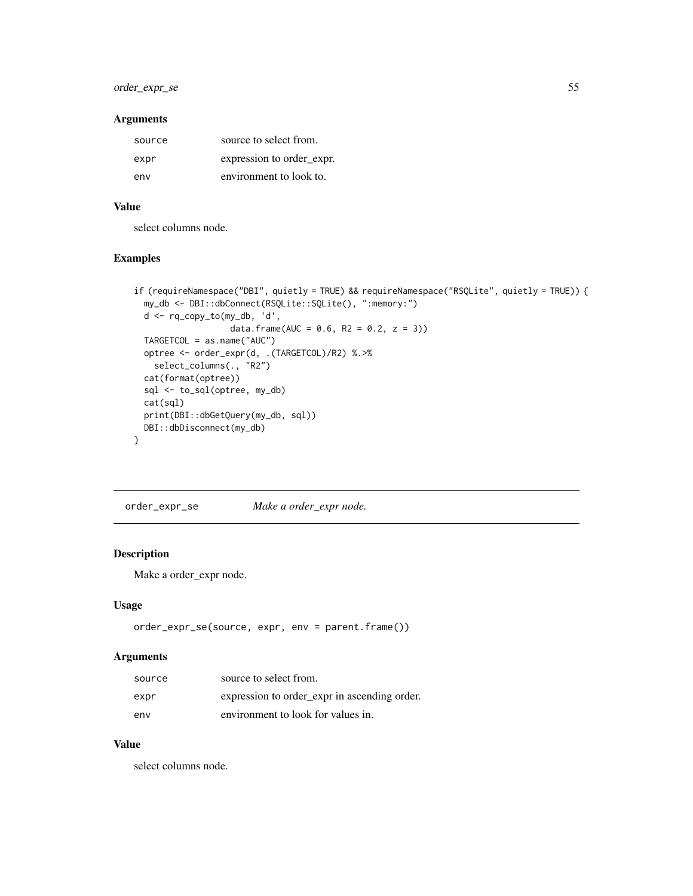# order\_expr\_se 55

### Arguments

| source | source to select from.    |
|--------|---------------------------|
| expr   | expression to order_expr. |
| env    | environment to look to.   |

# Value

select columns node.

# Examples

```
if (requireNamespace("DBI", quietly = TRUE) && requireNamespace("RSQLite", quietly = TRUE)) {
 my_db <- DBI::dbConnect(RSQLite::SQLite(), ":memory:")
 d <- rq_copy_to(my_db, 'd',
                   data.frame(AUC = 0.6, R2 = 0.2, z = 3))
 TARGETCOL = as.name("AUC")
 optree <- order_expr(d, .(TARGETCOL)/R2) %.>%
   select_columns(., "R2")
 cat(format(optree))
 sql <- to_sql(optree, my_db)
 cat(sql)
 print(DBI::dbGetQuery(my_db, sql))
 DBI::dbDisconnect(my_db)
}
```
order\_expr\_se *Make a order\_expr node.*

# Description

Make a order\_expr node.

### Usage

```
order_expr_se(source, expr, env = parent.frame())
```
#### Arguments

| source | source to select from.                       |
|--------|----------------------------------------------|
| expr   | expression to order_expr in ascending order. |
| env    | environment to look for values in.           |

# Value

select columns node.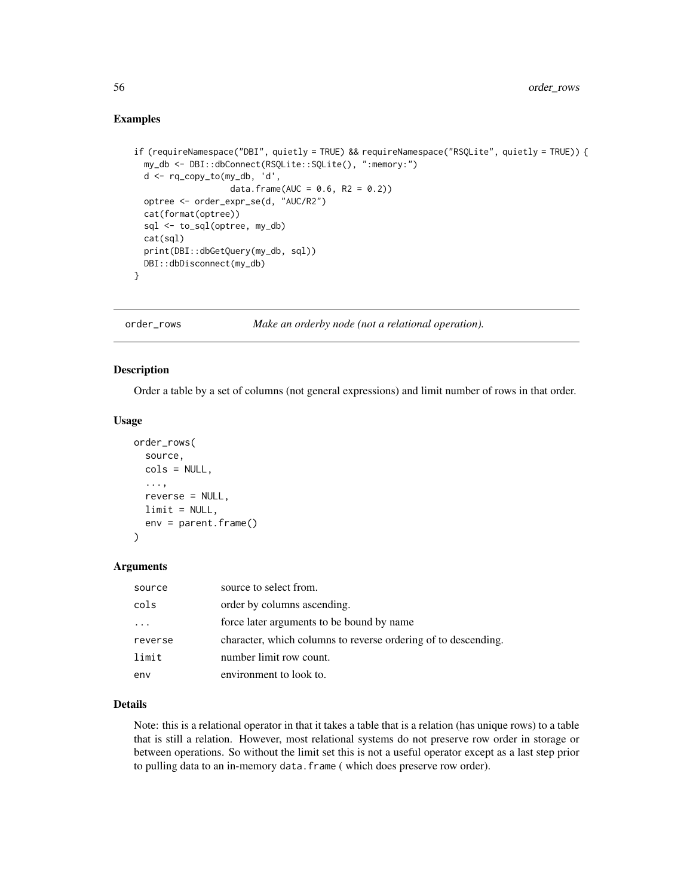### Examples

```
if (requireNamespace("DBI", quietly = TRUE) && requireNamespace("RSQLite", quietly = TRUE)) {
 my_db <- DBI::dbConnect(RSQLite::SQLite(), ":memory:")
 d <- rq_copy_to(my_db, 'd',
                   data.frame(AUC = 0.6, R2 = 0.2))
 optree <- order_expr_se(d, "AUC/R2")
 cat(format(optree))
 sql <- to_sql(optree, my_db)
 cat(sql)
 print(DBI::dbGetQuery(my_db, sql))
 DBI::dbDisconnect(my_db)
}
```
order\_rows *Make an orderby node (not a relational operation).*

#### Description

Order a table by a set of columns (not general expressions) and limit number of rows in that order.

#### Usage

```
order_rows(
  source,
  cols = NULL,
  ...,
  reverse = NULL,
 limit = NULL,
  env = parent.frame()
)
```
#### Arguments

| source  | source to select from.                                         |
|---------|----------------------------------------------------------------|
| cols    | order by columns ascending.                                    |
|         | force later arguments to be bound by name                      |
| reverse | character, which columns to reverse ordering of to descending. |
| limit   | number limit row count.                                        |
| env     | environment to look to.                                        |

### Details

Note: this is a relational operator in that it takes a table that is a relation (has unique rows) to a table that is still a relation. However, most relational systems do not preserve row order in storage or between operations. So without the limit set this is not a useful operator except as a last step prior to pulling data to an in-memory data.frame ( which does preserve row order).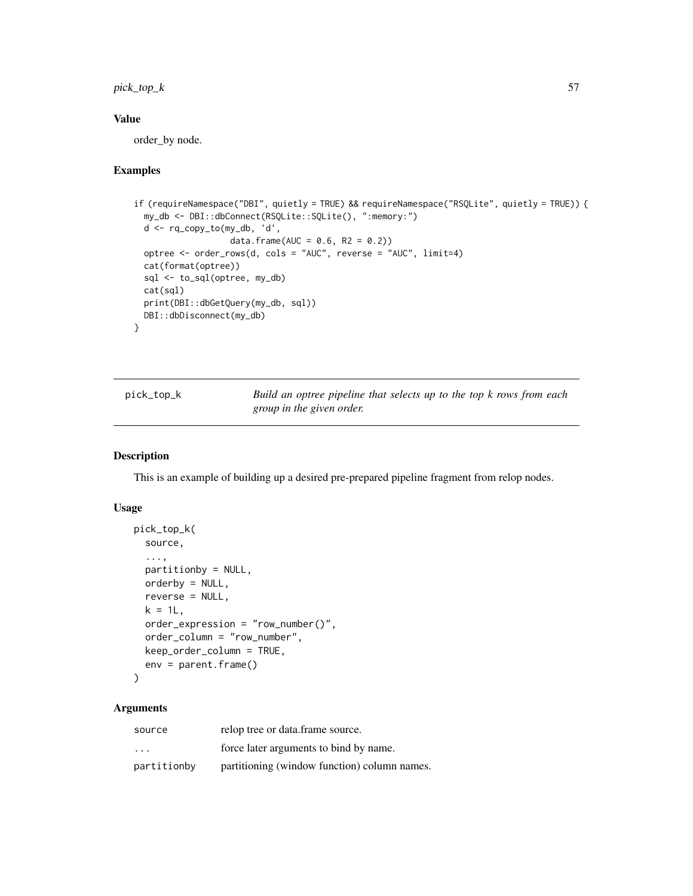$pick\_top_k$  57

### Value

order\_by node.

#### Examples

```
if (requireNamespace("DBI", quietly = TRUE) && requireNamespace("RSQLite", quietly = TRUE)) {
 my_db <- DBI::dbConnect(RSQLite::SQLite(), ":memory:")
 d <- rq_copy_to(my_db, 'd',
                   data.frame(AUC = 0.6, R2 = 0.2))
 optree <- order_rows(d, cols = "AUC", reverse = "AUC", limit=4)
 cat(format(optree))
 sql <- to_sql(optree, my_db)
 cat(sql)
 print(DBI::dbGetQuery(my_db, sql))
 DBI::dbDisconnect(my_db)
}
```

| pick_top_k | Build an optree pipeline that selects up to the top k rows from each |
|------------|----------------------------------------------------------------------|
|            | group in the given order.                                            |

#### Description

This is an example of building up a desired pre-prepared pipeline fragment from relop nodes.

### Usage

```
pick_top_k(
  source,
  ...,
 partitionby = NULL,
 orderby = NULL,
  reverse = NULL,
  k = 1L,
  order_expression = "row_number()",
 order_column = "row_number",
  keep_order_column = TRUE,
  env = parent.frame()
\lambda
```

| source                  | relop tree or data.frame source.             |
|-------------------------|----------------------------------------------|
| $\cdot$ $\cdot$ $\cdot$ | force later arguments to bind by name.       |
| partitionby             | partitioning (window function) column names. |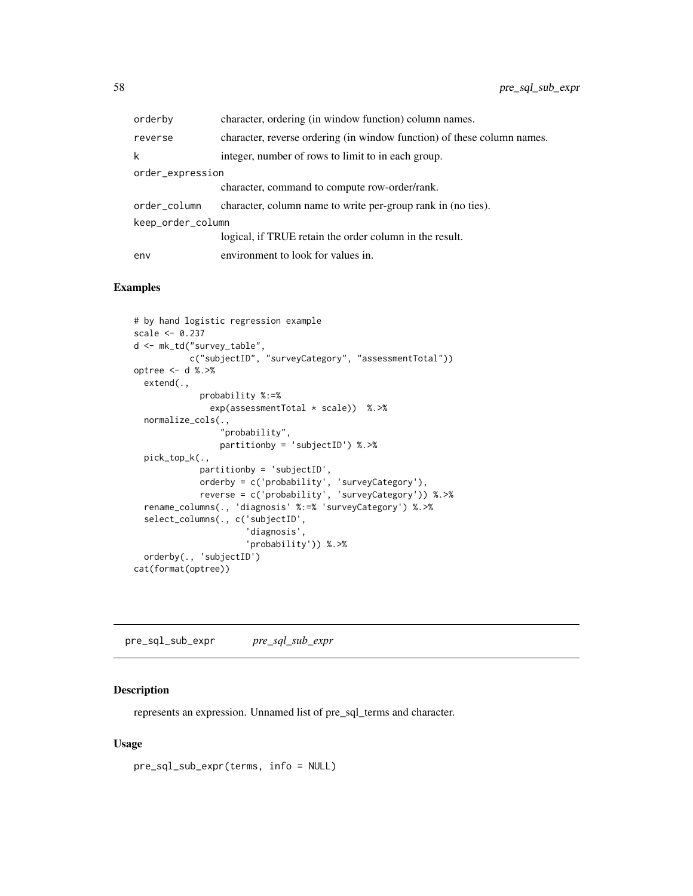| orderby           | character, ordering (in window function) column names.                  |  |
|-------------------|-------------------------------------------------------------------------|--|
| reverse           | character, reverse ordering (in window function) of these column names. |  |
| k                 | integer, number of rows to limit to in each group.                      |  |
| order_expression  |                                                                         |  |
|                   | character, command to compute row-order/rank.                           |  |
| order_column      | character, column name to write per-group rank in (no ties).            |  |
| keep_order_column |                                                                         |  |
|                   | logical, if TRUE retain the order column in the result.                 |  |
| env               | environment to look for values in.                                      |  |

### Examples

```
# by hand logistic regression example
scale <- 0.237
d <- mk_td("survey_table",
           c("subjectID", "surveyCategory", "assessmentTotal"))
optree <- d %.>%
  extend(.,
             probability %:=%
               exp(assessmentTotal * scale)) %.>%
  normalize_cols(.,
                 "probability",
                 partitionby = 'subjectID') %.>%
  pick_top_k(.,
             partitionby = 'subjectID',
             orderby = c('probability', 'surveyCategory'),
             reverse = c('probability', 'surveyCategory')) %.>%
  rename_columns(., 'diagnosis' %:=% 'surveyCategory') %.>%
  select_columns(., c('subjectID',
                      'diagnosis',
                      'probability')) %.>%
  orderby(., 'subjectID')
cat(format(optree))
```
pre\_sql\_sub\_expr *pre\_sql\_sub\_expr*

# Description

represents an expression. Unnamed list of pre\_sql\_terms and character.

### Usage

pre\_sql\_sub\_expr(terms, info = NULL)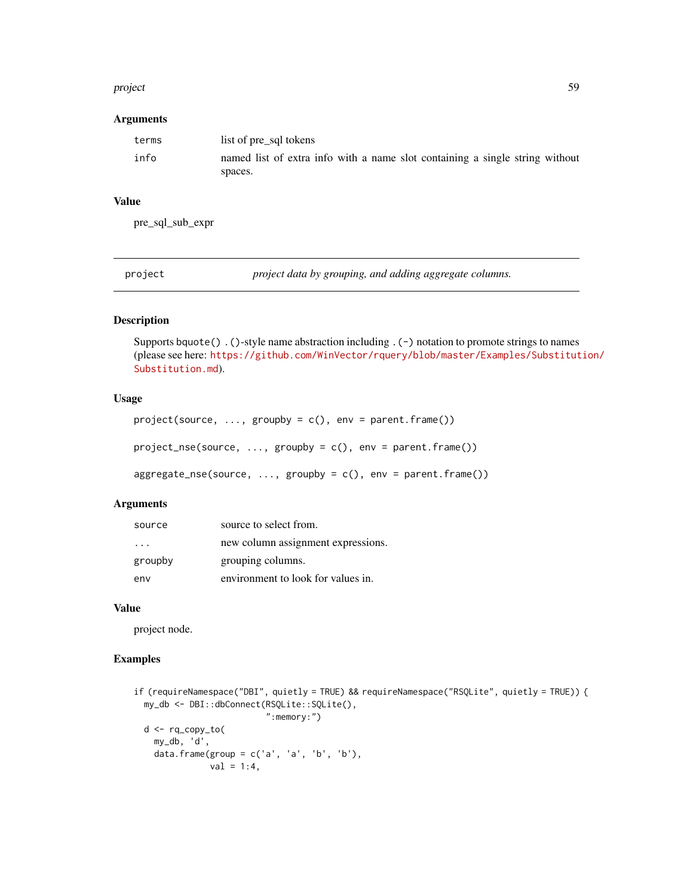#### project 59 and 59 and 59 and 59 and 59 and 59 and 59 and 59 and 59 and 59 and 59 and 59 and 59 and 59 and 59 and 59 and 59 and 59 and 59 and 59 and 59 and 59 and 59 and 59 and 59 and 59 and 59 and 59 and 59 and 59 and 59 a

### Arguments

| terms | list of pre sql tokens                                                       |
|-------|------------------------------------------------------------------------------|
| info  | named list of extra info with a name slot containing a single string without |
|       | spaces.                                                                      |

# Value

pre\_sql\_sub\_expr

project *project data by grouping, and adding aggregate columns.*

# Description

Supports bquote() .()-style name abstraction including .(-) notation to promote strings to names (please see here: [https://github.com/WinVector/rquery/blob/master/Examples/Substitut](https://github.com/WinVector/rquery/blob/master/Examples/Substitution/Substitution.md)ion/ [Substitution.md](https://github.com/WinVector/rquery/blob/master/Examples/Substitution/Substitution.md)).

# Usage

```
project(source, ..., groupby = c(), env = parent-frame())project_nse(source, ..., groupby = c(), env = parent.frame())
aggregate\_nse(source, ..., groupby = c(), env = parent-frame())
```
# Arguments

| source               | source to select from.             |
|----------------------|------------------------------------|
| $\sim$ $\sim$ $\sim$ | new column assignment expressions. |
| groupby              | grouping columns.                  |
| env                  | environment to look for values in. |

#### Value

project node.

# Examples

```
if (requireNamespace("DBI", quietly = TRUE) && requireNamespace("RSQLite", quietly = TRUE)) {
 my_db <- DBI::dbConnect(RSQLite::SQLite(),
                          ":memory:")
 d <- rq_copy_to(
   my_db, 'd',
   data.frame(group = c('a', 'a', 'b', 'b'),
              val = 1:4,
```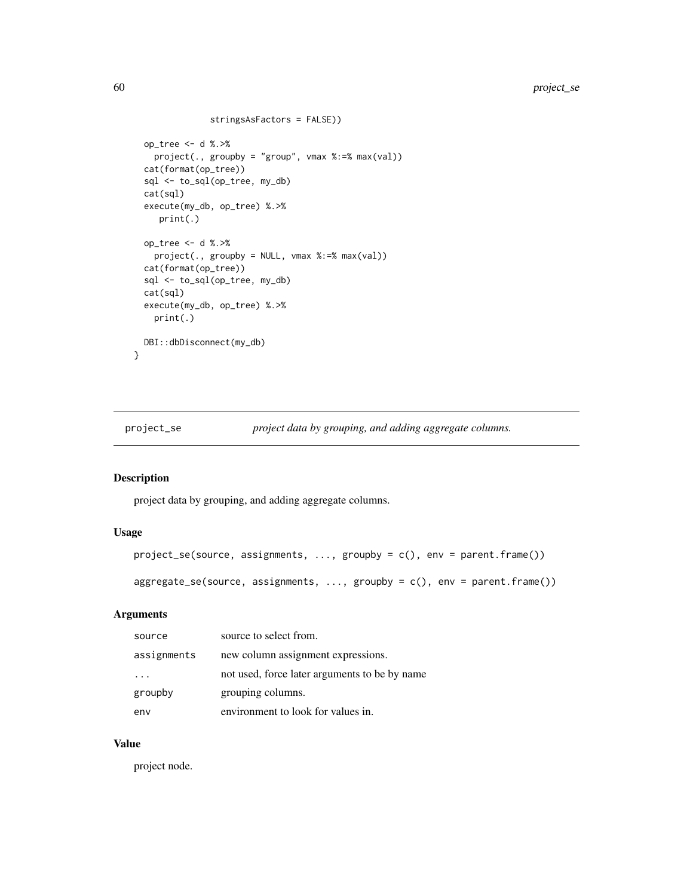```
stringsAsFactors = FALSE))
 op_tree <- d %.>%
   project(., groupby = "group", vmax %:=% max(val))
 cat(format(op_tree))
 sql <- to_sql(op_tree, my_db)
 cat(sql)
 execute(my_db, op_tree) %.>%
    print(.)
 op_tree <- d %.>%
   project(., groupby = NULL, vmax %:=% max(val))
 cat(format(op_tree))
 sql <- to_sql(op_tree, my_db)
 cat(sql)
 execute(my_db, op_tree) %.>%
   print(.)
 DBI::dbDisconnect(my_db)
}
```
project\_se *project data by grouping, and adding aggregate columns.*

# Description

project data by grouping, and adding aggregate columns.

# Usage

```
project_se(source, assignments, ..., groupby = c(), env = parent.frame())
```
aggregate\_se(source, assignments, ..., groupby = c(), env = parent.frame())

### Arguments

| source      | source to select from.                        |
|-------------|-----------------------------------------------|
| assignments | new column assignment expressions.            |
|             | not used, force later arguments to be by name |
| groupby     | grouping columns.                             |
| env         | environment to look for values in.            |

### Value

project node.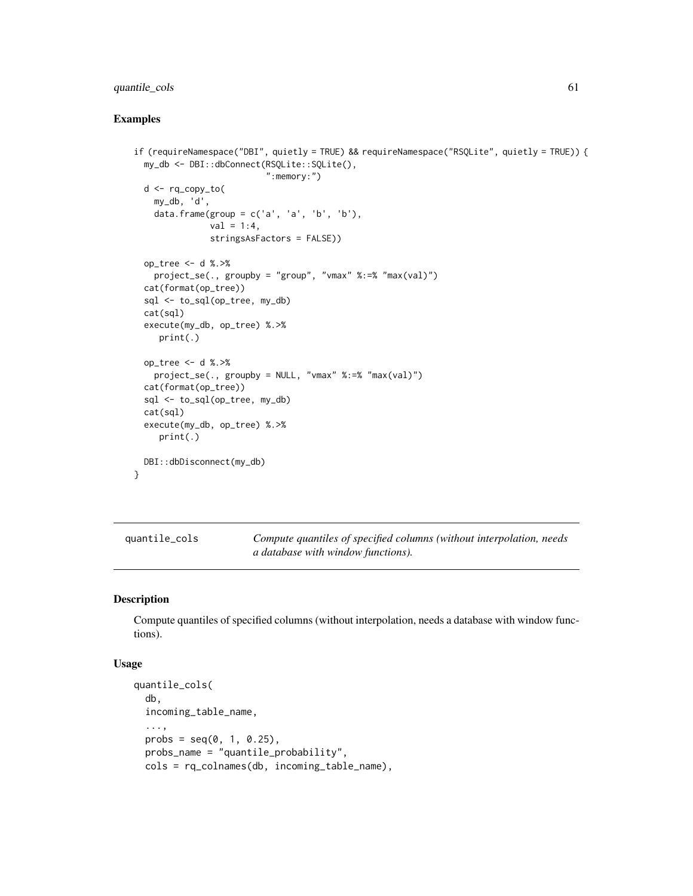# quantile\_cols 61

### Examples

```
if (requireNamespace("DBI", quietly = TRUE) && requireNamespace("RSQLite", quietly = TRUE)) {
 my_db <- DBI::dbConnect(RSQLite::SQLite(),
                          ":memory:")
 d <- rq_copy_to(
   my_db, 'd',
   data.frame(group = c('a', 'a', 'b', 'b'),
               val = 1:4,stringsAsFactors = FALSE))
 op_tree <- d %.>%
   project_se(., groupby = "group", "vmax" %:=% "max(val)")
 cat(format(op_tree))
 sql <- to_sql(op_tree, my_db)
 cat(sql)
 execute(my_db, op_tree) %.>%
    print(.)
 op_tree <- d %.>%
   project_se(., groupby = NULL, "vmax" %:=% "max(val)")
 cat(format(op_tree))
 sql <- to_sql(op_tree, my_db)
 cat(sql)
 execute(my_db, op_tree) %.>%
    print(.)
 DBI::dbDisconnect(my_db)
}
```
<span id="page-60-0"></span>

| quantile_cols | Compute quantiles of specified columns (without interpolation, needs |
|---------------|----------------------------------------------------------------------|
|               | <i>a database with window functions).</i>                            |

### Description

Compute quantiles of specified columns (without interpolation, needs a database with window functions).

#### Usage

```
quantile_cols(
  db,
 incoming_table_name,
  ...,
 probs = seq(0, 1, 0.25),
 probs_name = "quantile_probability",
 cols = rq_colnames(db, incoming_table_name),
```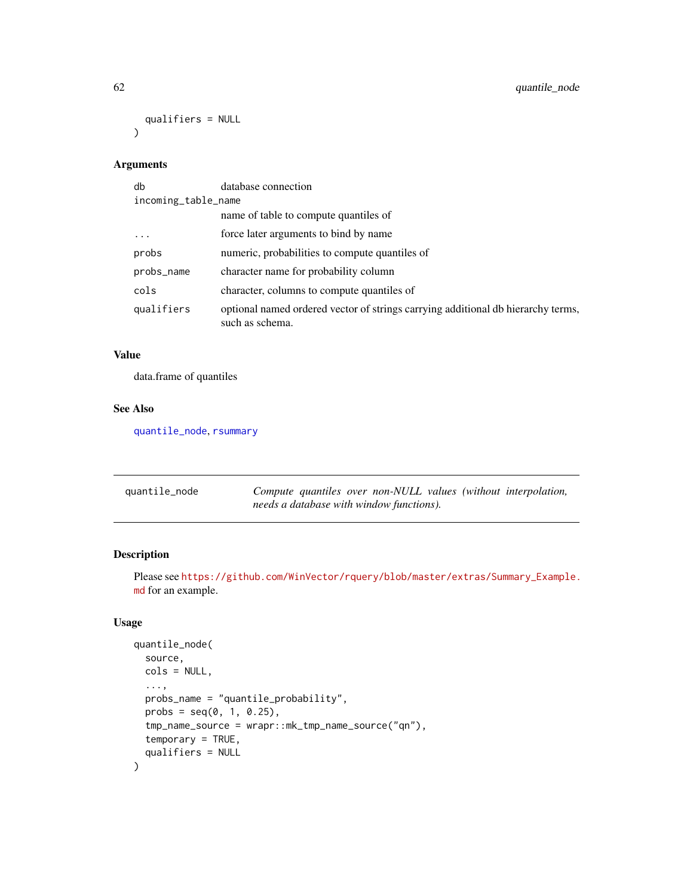```
qualifiers = NULL
\mathcal{L}
```
# Arguments

| db                  | database connection                                                                                 |  |
|---------------------|-----------------------------------------------------------------------------------------------------|--|
| incoming_table_name |                                                                                                     |  |
|                     | name of table to compute quantiles of                                                               |  |
| .                   | force later arguments to bind by name                                                               |  |
| probs               | numeric, probabilities to compute quantiles of                                                      |  |
| probs_name          | character name for probability column                                                               |  |
| cols                | character, columns to compute quantiles of                                                          |  |
| qualifiers          | optional named ordered vector of strings carrying additional db hierarchy terms,<br>such as schema. |  |

# Value

data.frame of quantiles

### See Also

[quantile\\_node](#page-61-0), [rsummary](#page-80-0)

<span id="page-61-0"></span>

| quantile_node | Compute quantiles over non-NULL values (without interpolation, |
|---------------|----------------------------------------------------------------|
|               | needs a database with window functions).                       |

# Description

Please see [https://github.com/WinVector/rquery/blob/master/extras/Summary\\_Example.](https://github.com/WinVector/rquery/blob/master/extras/Summary_Example.md) [md](https://github.com/WinVector/rquery/blob/master/extras/Summary_Example.md) for an example.

# Usage

```
quantile_node(
 source,
 cols = NULL,
  ...,
  probs_name = "quantile_probability",
 probs = seq(0, 1, 0.25),
  tmp_name_source = wrapr::mk_tmp_name_source("qn"),
  temporary = TRUE,
  qualifiers = NULL
\mathcal{E}
```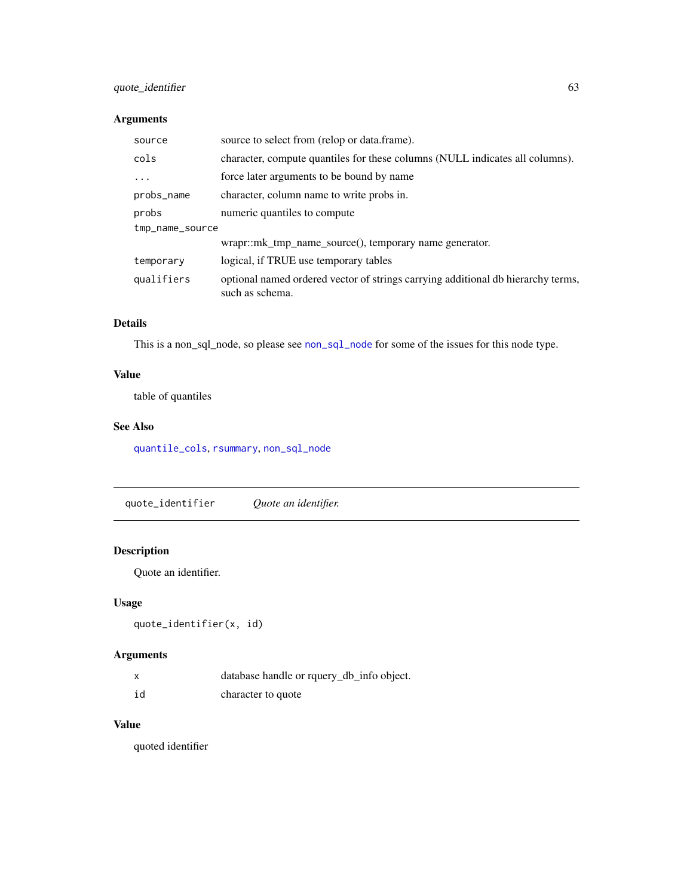# quote\_identifier 63

# Arguments

| source          | source to select from (relop or data.frame).                                                        |  |
|-----------------|-----------------------------------------------------------------------------------------------------|--|
| cols            | character, compute quantiles for these columns (NULL indicates all columns).                        |  |
| $\ddots$ .      | force later arguments to be bound by name                                                           |  |
| probs_name      | character, column name to write probs in.                                                           |  |
| probs           | numeric quantiles to compute                                                                        |  |
| tmp_name_source |                                                                                                     |  |
|                 | $w$ rapr::mk tmp name source $($ ), temporary name generator.                                       |  |
| temporary       | logical, if TRUE use temporary tables                                                               |  |
| qualifiers      | optional named ordered vector of strings carrying additional db hierarchy terms,<br>such as schema. |  |

# Details

This is a non\_sql\_node, so please see [non\\_sql\\_node](#page-48-0) for some of the issues for this node type.

# Value

table of quantiles

# See Also

[quantile\\_cols](#page-60-0), [rsummary](#page-80-0), [non\\_sql\\_node](#page-48-0)

quote\_identifier *Quote an identifier.*

# Description

Quote an identifier.

# Usage

quote\_identifier(x, id)

# Arguments

|    | database handle or rquery_db_info object. |
|----|-------------------------------------------|
| id | character to quote                        |

# Value

quoted identifier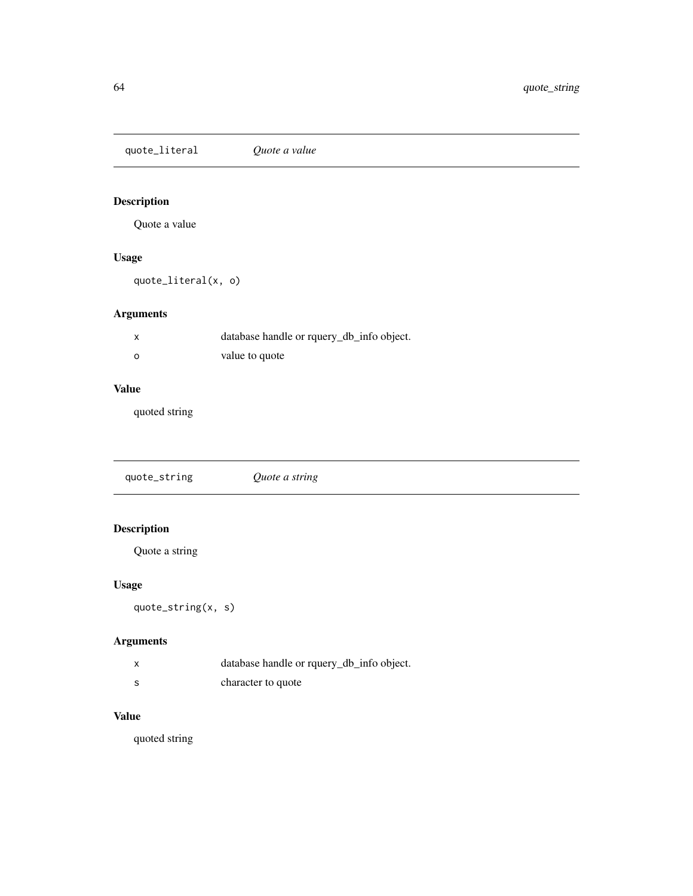quote\_literal *Quote a value*

# Description

Quote a value

# Usage

quote\_literal(x, o)

# Arguments

|   | database handle or rquery_db_info object. |
|---|-------------------------------------------|
| ο | value to quote                            |

# Value

quoted string

quote\_string *Quote a string*

# Description

Quote a string

# Usage

quote\_string(x, s)

# Arguments

|    | database handle or rquery_db_info object. |
|----|-------------------------------------------|
| -S | character to quote                        |

# Value

quoted string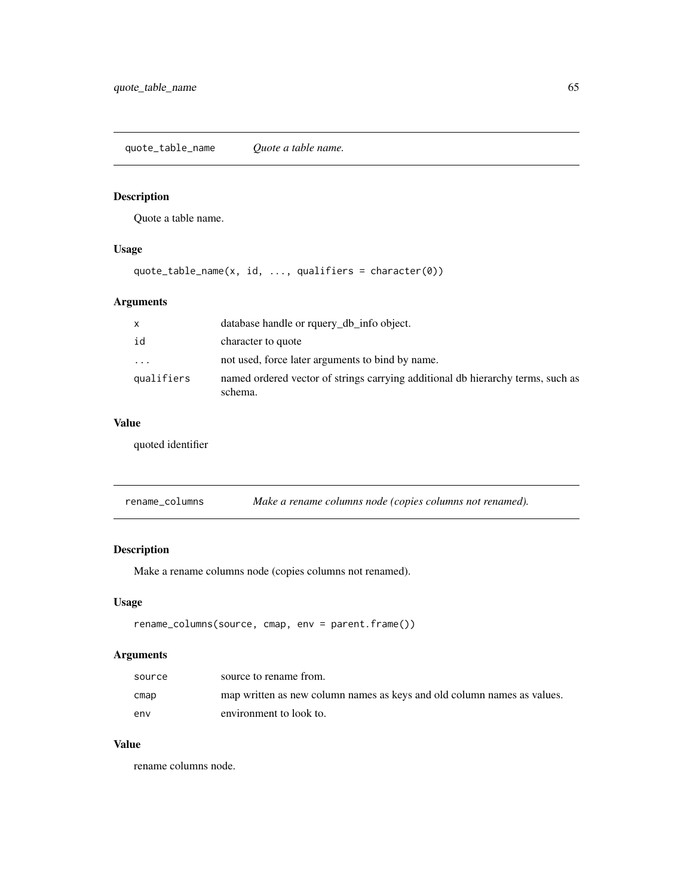quote\_table\_name *Quote a table name.*

# Description

Quote a table name.

# Usage

quote\_table\_name(x, id, ..., qualifiers = character(0))

# Arguments

| $\mathsf{x}$ | database handle or rquery_db_info object.                                                  |
|--------------|--------------------------------------------------------------------------------------------|
| id           | character to quote                                                                         |
| .            | not used, force later arguments to bind by name.                                           |
| qualifiers   | named ordered vector of strings carrying additional db hierarchy terms, such as<br>schema. |

# Value

quoted identifier

rename\_columns *Make a rename columns node (copies columns not renamed).*

# Description

Make a rename columns node (copies columns not renamed).

# Usage

```
rename_columns(source, cmap, env = parent.frame())
```
# Arguments

| source | source to rename from.                                                  |
|--------|-------------------------------------------------------------------------|
| cmap   | map written as new column names as keys and old column names as values. |
| env    | environment to look to.                                                 |

# Value

rename columns node.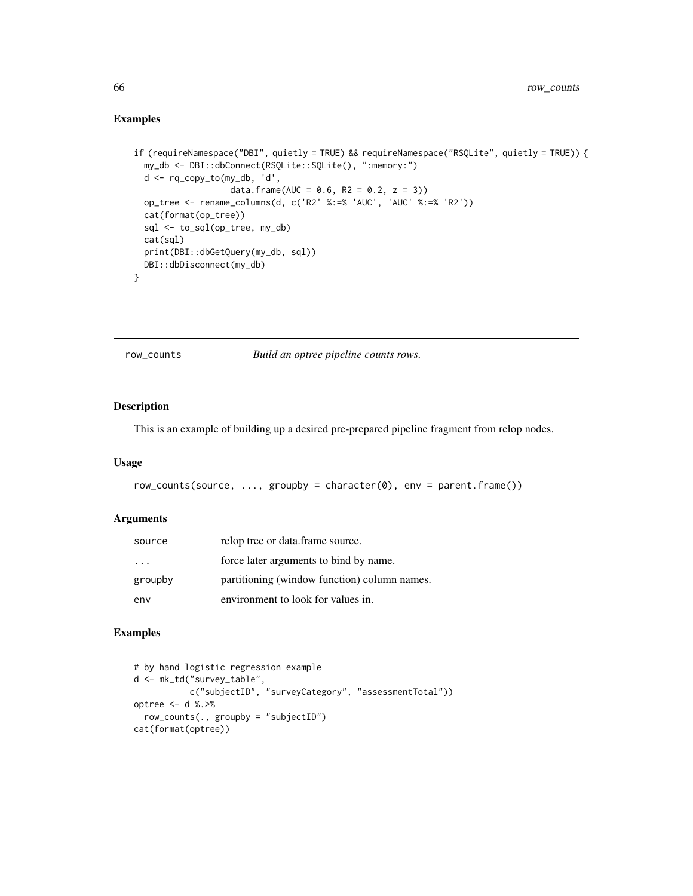# Examples

```
if (requireNamespace("DBI", quietly = TRUE) && requireNamespace("RSQLite", quietly = TRUE)) {
 my_db <- DBI::dbConnect(RSQLite::SQLite(), ":memory:")
 d <- rq_copy_to(my_db, 'd',
                   data.frame(AUC = 0.6, R2 = 0.2, z = 3))
 op_tree <- rename_columns(d, c('R2' %:=% 'AUC', 'AUC' %:=% 'R2'))
 cat(format(op_tree))
 sql <- to_sql(op_tree, my_db)
 cat(sql)
 print(DBI::dbGetQuery(my_db, sql))
 DBI::dbDisconnect(my_db)
}
```
row\_counts *Build an optree pipeline counts rows.*

### Description

This is an example of building up a desired pre-prepared pipeline fragment from relop nodes.

### Usage

```
row\_counts(source, ..., groupby = character(0), env = parent-frame())
```
#### Arguments

| source                  | relop tree or data.frame source.             |
|-------------------------|----------------------------------------------|
| $\cdot$ $\cdot$ $\cdot$ | force later arguments to bind by name.       |
| groupby                 | partitioning (window function) column names. |
| env                     | environment to look for values in.           |

### Examples

```
# by hand logistic regression example
d <- mk_td("survey_table",
           c("subjectID", "surveyCategory", "assessmentTotal"))
optree <- d %.>%
  row_counts(., groupby = "subjectID")
cat(format(optree))
```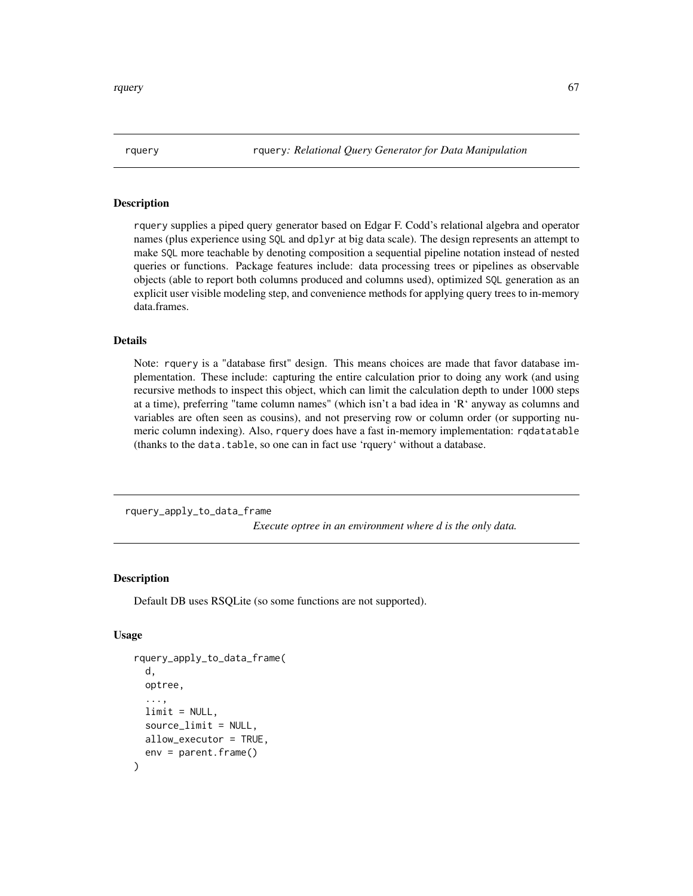rquery rquery*: Relational Query Generator for Data Manipulation*

### Description

rquery supplies a piped query generator based on Edgar F. Codd's relational algebra and operator names (plus experience using SQL and dplyr at big data scale). The design represents an attempt to make SQL more teachable by denoting composition a sequential pipeline notation instead of nested queries or functions. Package features include: data processing trees or pipelines as observable objects (able to report both columns produced and columns used), optimized SQL generation as an explicit user visible modeling step, and convenience methods for applying query trees to in-memory data.frames.

#### Details

Note: rquery is a "database first" design. This means choices are made that favor database implementation. These include: capturing the entire calculation prior to doing any work (and using recursive methods to inspect this object, which can limit the calculation depth to under 1000 steps at a time), preferring "tame column names" (which isn't a bad idea in 'R' anyway as columns and variables are often seen as cousins), and not preserving row or column order (or supporting numeric column indexing). Also, rquery does have a fast in-memory implementation: rqdatatable (thanks to the data.table, so one can in fact use 'rquery' without a database.

rquery\_apply\_to\_data\_frame

*Execute optree in an environment where d is the only data.*

### Description

Default DB uses RSQLite (so some functions are not supported).

### Usage

```
rquery_apply_to_data_frame(
  d,
  optree,
  ...,
  limit = NULL,sourcelimit = NULL,
  allow_executor = TRUE,
  env = parent.frame()
)
```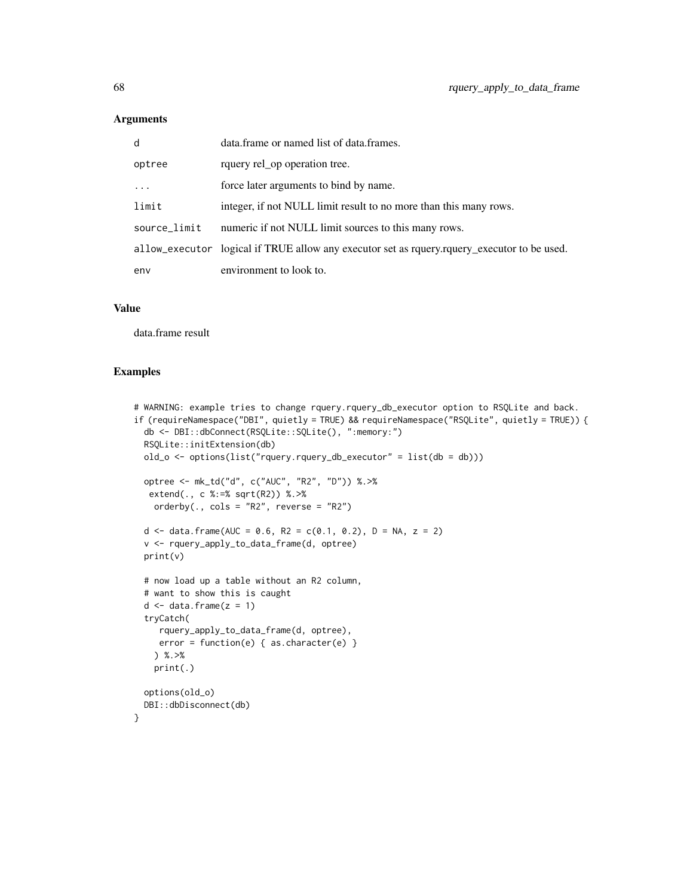### Arguments

| d            | data.frame or named list of data.frames.                                                      |
|--------------|-----------------------------------------------------------------------------------------------|
| optree       | rquery rel_op operation tree.                                                                 |
| $\ddots$ .   | force later arguments to bind by name.                                                        |
| limit        | integer, if not NULL limit result to no more than this many rows.                             |
| source_limit | numeric if not NULL limit sources to this many rows.                                          |
|              | allow_executor logical if TRUE allow any executor set as requery.requery_executor to be used. |
| env          | environment to look to.                                                                       |

### Value

data.frame result

#### Examples

```
# WARNING: example tries to change rquery.rquery_db_executor option to RSQLite and back.
if (requireNamespace("DBI", quietly = TRUE) && requireNamespace("RSQLite", quietly = TRUE)) {
  db <- DBI::dbConnect(RSQLite::SQLite(), ":memory:")
  RSQLite::initExtension(db)
  old_0 \leftarrow options(list("rquery.rquery_db\_execution" = list(db = db)))optree <- mk_td("d", c("AUC", "R2", "D")) %.>%
  extend(., c %:=% sqrt(R2)) %.>%
    orderby(., \text{cols} = \text{"R2"}, reverse = "R2")
  d <- data.frame(AUC = 0.6, R2 = c(0.1, 0.2), D = NA, z = 2)
  v <- rquery_apply_to_data_frame(d, optree)
  print(v)
  # now load up a table without an R2 column,
  # want to show this is caught
  d \le - data.frame(z = 1)tryCatch(
     rquery_apply_to_data_frame(d, optree),
     error = function(e) { as. character(e)}) %.>%
    print(.)
  options(old_o)
  DBI::dbDisconnect(db)
}
```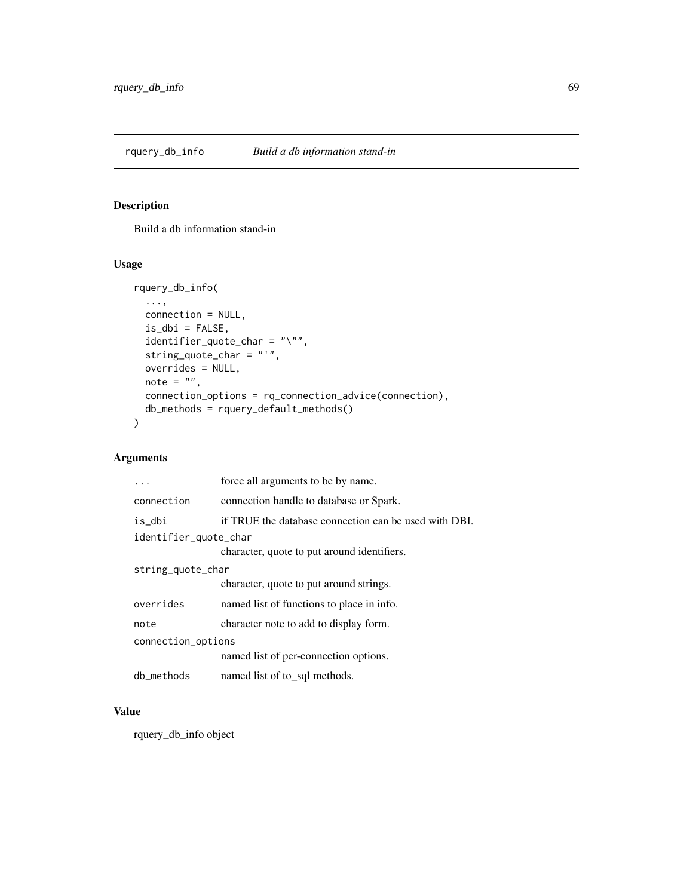# Description

Build a db information stand-in

# Usage

```
rquery_db_info(
  ...,
 connection = NULL,
 is\_dbi = FALSE,identifier_quote_char = "\"",
 string_quote_char = "'",
 overrides = NULL,
 note = ",
 connection_options = rq_connection_advice(connection),
 db_methods = rquery_default_methods()
)
```
# Arguments

|                       | force all arguments to be by name.                    |  |
|-----------------------|-------------------------------------------------------|--|
| connection            | connection handle to database or Spark.               |  |
| is_dbi                | if TRUE the database connection can be used with DBI. |  |
| identifier_quote_char |                                                       |  |
|                       | character, quote to put around identifiers.           |  |
| string_quote_char     |                                                       |  |
|                       | character, quote to put around strings.               |  |
| overrides             | named list of functions to place in info.             |  |
| note                  | character note to add to display form.                |  |
| connection_options    |                                                       |  |
|                       | named list of per-connection options.                 |  |
| db_methods            | named list of to sql methods.                         |  |

# Value

rquery\_db\_info object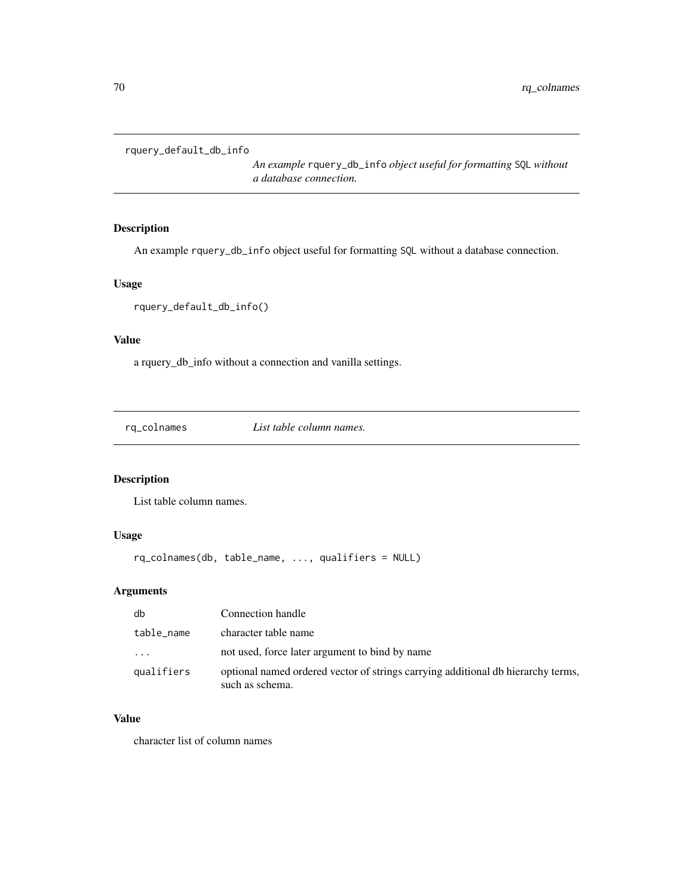```
rquery_default_db_info
```
*An example* rquery\_db\_info *object useful for formatting* SQL *without a database connection.*

# Description

An example rquery\_db\_info object useful for formatting SQL without a database connection.

# Usage

```
rquery_default_db_info()
```
# Value

a rquery\_db\_info without a connection and vanilla settings.

rq\_colnames *List table column names.*

# Description

List table column names.

# Usage

```
rq_colnames(db, table_name, ..., qualifiers = NULL)
```
# Arguments

| db         | Connection handle                                                                                   |
|------------|-----------------------------------------------------------------------------------------------------|
| table_name | character table name                                                                                |
| $\cdots$   | not used, force later argument to bind by name                                                      |
| qualifiers | optional named ordered vector of strings carrying additional db hierarchy terms,<br>such as schema. |

# Value

character list of column names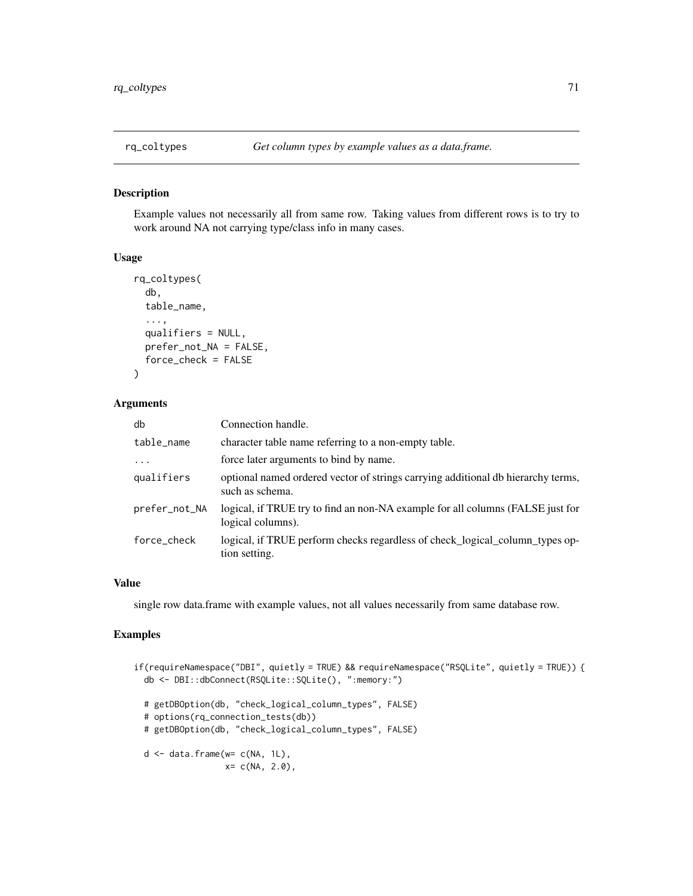### Description

Example values not necessarily all from same row. Taking values from different rows is to try to work around NA not carrying type/class info in many cases.

#### Usage

```
rq_coltypes(
  db,
  table_name,
  ...,
  qualifiers = NULL,
  prefer_not_NA = FALSE,
  force_check = FALSE
\mathcal{L}
```
#### Arguments

| db            | Connection handle.                                                                                  |
|---------------|-----------------------------------------------------------------------------------------------------|
| table_name    | character table name referring to a non-empty table.                                                |
| $\ddotsc$     | force later arguments to bind by name.                                                              |
| qualifiers    | optional named ordered vector of strings carrying additional db hierarchy terms,<br>such as schema. |
| prefer_not_NA | logical, if TRUE try to find an non-NA example for all columns (FALSE just for<br>logical columns). |
| force_check   | logical, if TRUE perform checks regardless of check_logical_column_types op-<br>tion setting.       |

### Value

single row data.frame with example values, not all values necessarily from same database row.

# Examples

```
if(requireNamespace("DBI", quietly = TRUE) && requireNamespace("RSQLite", quietly = TRUE)) {
 db <- DBI::dbConnect(RSQLite::SQLite(), ":memory:")
 # getDBOption(db, "check_logical_column_types", FALSE)
 # options(rq_connection_tests(db))
 # getDBOption(db, "check_logical_column_types", FALSE)
 d \leq - data.frame(w = c(NA, 1L),
                  x= c(NA, 2.0),
```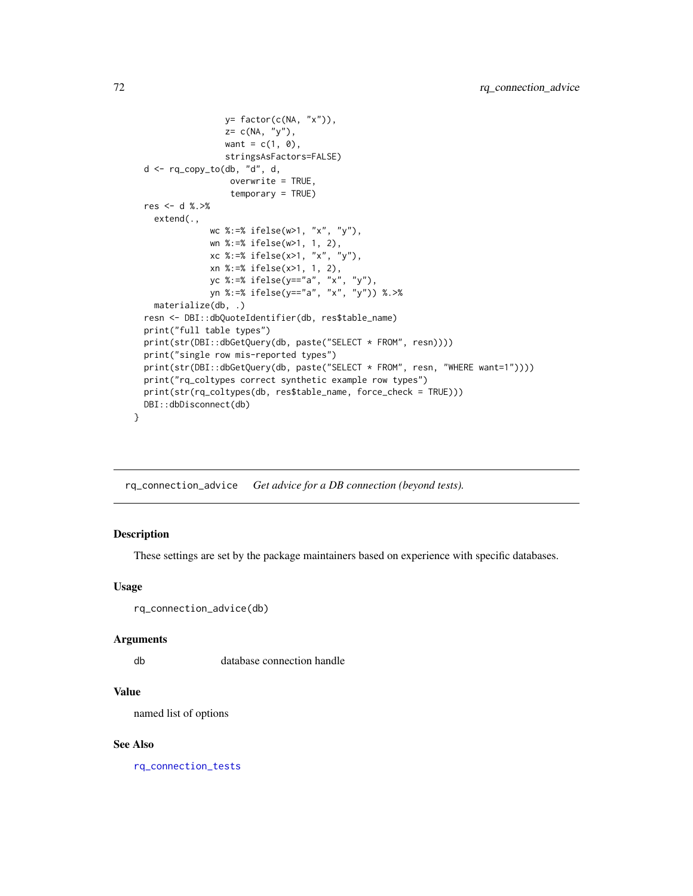```
y= factor(c(NA, "x")),
                  z= c(NA, "y"),
                  want = c(1, 0),stringsAsFactors=FALSE)
 d \leq rq_{\text{copy\_to}}(db, 'd', d')overwrite = TRUE,
                   temporary = TRUE)
 res <- d %.>%
   extend(.,
               wc %:=% ifelse(w>1, "x", "y"),
               wn %:=% ifelse(w>1, 1, 2),
               xc %:=% ifelse(x>1, "x", "y"),
               xn %:=% ifelse(x>1, 1, 2),
               yc %:=% ifelse(y=="a", "x", "y"),
               yn %:=% ifelse(y=="a", "x", "y")) %.>%
   materialize(db, .)
 resn <- DBI::dbQuoteIdentifier(db, res$table_name)
 print("full table types")
 print(str(DBI::dbGetQuery(db, paste("SELECT * FROM", resn))))
 print("single row mis-reported types")
 print(str(DBI::dbGetQuery(db, paste("SELECT * FROM", resn, "WHERE want=1"))))
 print("rq_coltypes correct synthetic example row types")
 print(str(rq_coltypes(db, res$table_name, force_check = TRUE)))
 DBI::dbDisconnect(db)
}
```
rq\_connection\_advice *Get advice for a DB connection (beyond tests).*

# Description

These settings are set by the package maintainers based on experience with specific databases.

#### Usage

```
rq_connection_advice(db)
```
#### Arguments

db database connection handle

#### Value

named list of options

#### See Also

[rq\\_connection\\_tests](#page-73-0)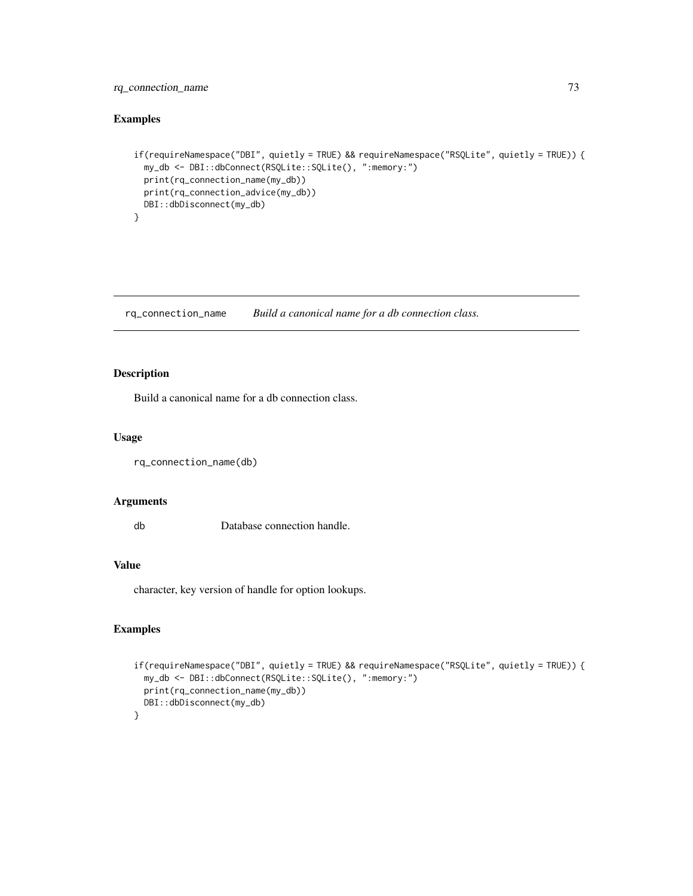# <span id="page-72-0"></span>rq\_connection\_name 73

# Examples

```
if(requireNamespace("DBI", quietly = TRUE) && requireNamespace("RSQLite", quietly = TRUE)) {
 my_db <- DBI::dbConnect(RSQLite::SQLite(), ":memory:")
 print(rq_connection_name(my_db))
 print(rq_connection_advice(my_db))
 DBI::dbDisconnect(my_db)
}
```
rq\_connection\_name *Build a canonical name for a db connection class.*

# Description

Build a canonical name for a db connection class.

#### Usage

```
rq_connection_name(db)
```
#### Arguments

db Database connection handle.

#### Value

character, key version of handle for option lookups.

```
if(requireNamespace("DBI", quietly = TRUE) && requireNamespace("RSQLite", quietly = TRUE)) {
 my_db <- DBI::dbConnect(RSQLite::SQLite(), ":memory:")
 print(rq_connection_name(my_db))
 DBI::dbDisconnect(my_db)
}
```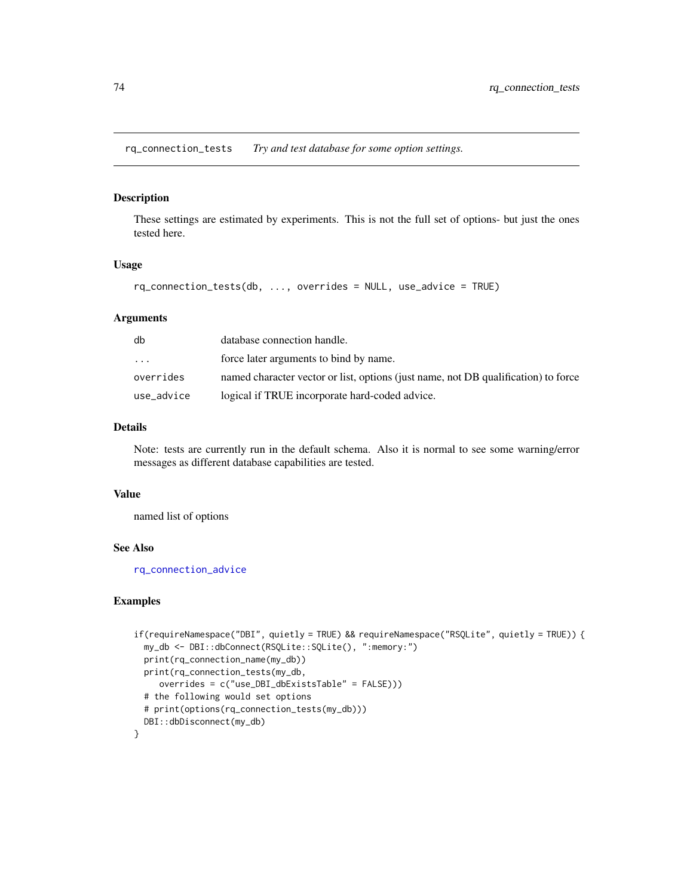<span id="page-73-0"></span>rq\_connection\_tests *Try and test database for some option settings.*

# Description

These settings are estimated by experiments. This is not the full set of options- but just the ones tested here.

#### Usage

```
rq_connection_tests(db, ..., overrides = NULL, use_advice = TRUE)
```
### Arguments

| db         | database connection handle.                                                        |
|------------|------------------------------------------------------------------------------------|
| $\ddotsc$  | force later arguments to bind by name.                                             |
| overrides  | named character vector or list, options (just name, not DB qualification) to force |
| use_advice | logical if TRUE incorporate hard-coded advice.                                     |

#### Details

Note: tests are currently run in the default schema. Also it is normal to see some warning/error messages as different database capabilities are tested.

#### Value

named list of options

# See Also

[rq\\_connection\\_advice](#page-71-0)

```
if(requireNamespace("DBI", quietly = TRUE) && requireNamespace("RSQLite", quietly = TRUE)) {
 my_db <- DBI::dbConnect(RSQLite::SQLite(), ":memory:")
 print(rq_connection_name(my_db))
 print(rq_connection_tests(my_db,
     overrides = c("use_DBI_dbExistsTable" = FALSE)))
 # the following would set options
 # print(options(rq_connection_tests(my_db)))
 DBI::dbDisconnect(my_db)
}
```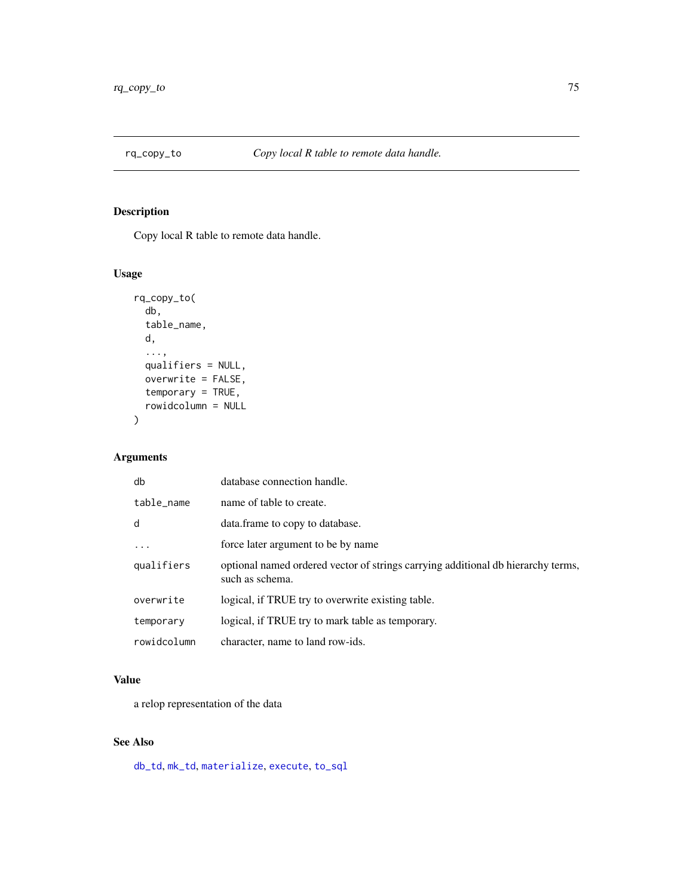<span id="page-74-1"></span><span id="page-74-0"></span>

# Description

Copy local R table to remote data handle.

# Usage

```
rq_copy_to(
  db,
  table_name,
 d,
  ...,
 qualifiers = NULL,
 overwrite = FALSE,
  temporary = TRUE,
  rowidcolumn = NULL
)
```
# Arguments

| db          | database connection handle.                                                                         |
|-------------|-----------------------------------------------------------------------------------------------------|
| table name  | name of table to create.                                                                            |
| d           | data. frame to copy to database.                                                                    |
| $\ddots$ .  | force later argument to be by name                                                                  |
| qualifiers  | optional named ordered vector of strings carrying additional db hierarchy terms,<br>such as schema. |
| overwrite   | logical, if TRUE try to overwrite existing table.                                                   |
| temporary   | logical, if TRUE try to mark table as temporary.                                                    |
| rowidcolumn | character, name to land row-ids.                                                                    |

# Value

a relop representation of the data

# See Also

[db\\_td](#page-18-0), [mk\\_td](#page-45-0), [materialize](#page-42-0), [execute](#page-22-0), [to\\_sql](#page-95-0)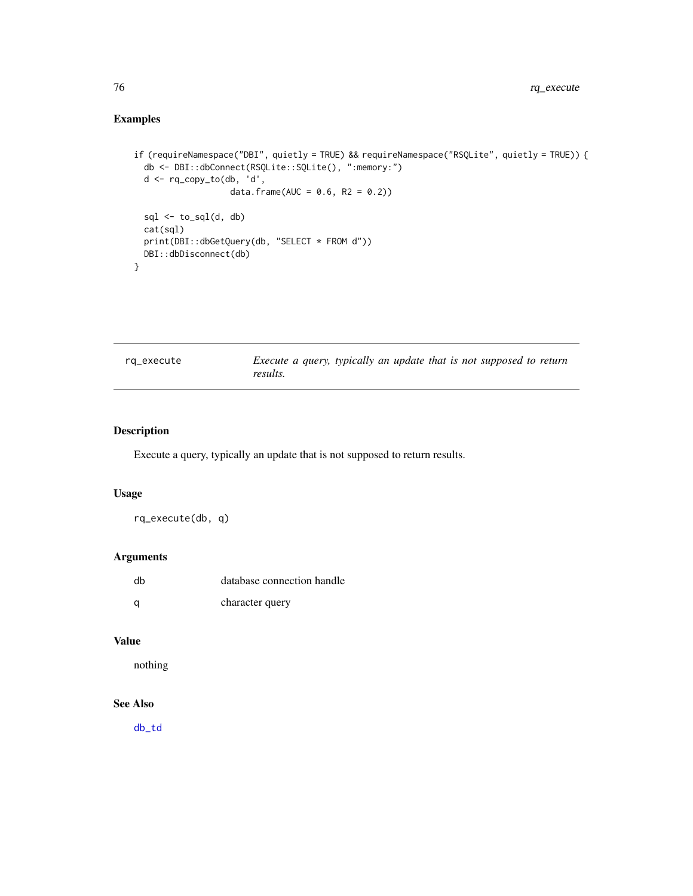# <span id="page-75-0"></span>Examples

```
if (requireNamespace("DBI", quietly = TRUE) && requireNamespace("RSQLite", quietly = TRUE)) {
 db <- DBI::dbConnect(RSQLite::SQLite(), ":memory:")
 d <- rq_copy_to(db, 'd',
                   data.frame(AUC = 0.6, R2 = 0.2))
 sql \leftarrow to_sql(d, db)cat(sql)
 print(DBI::dbGetQuery(db, "SELECT * FROM d"))
 DBI::dbDisconnect(db)
}
```

| rq_execute | Execute a query, typically an update that is not supposed to return |  |  |  |  |
|------------|---------------------------------------------------------------------|--|--|--|--|
|            | results.                                                            |  |  |  |  |

# Description

Execute a query, typically an update that is not supposed to return results.

#### Usage

rq\_execute(db, q)

# Arguments

| dh | database connection handle |
|----|----------------------------|
|    | character query            |

# Value

nothing

# See Also

[db\\_td](#page-18-0)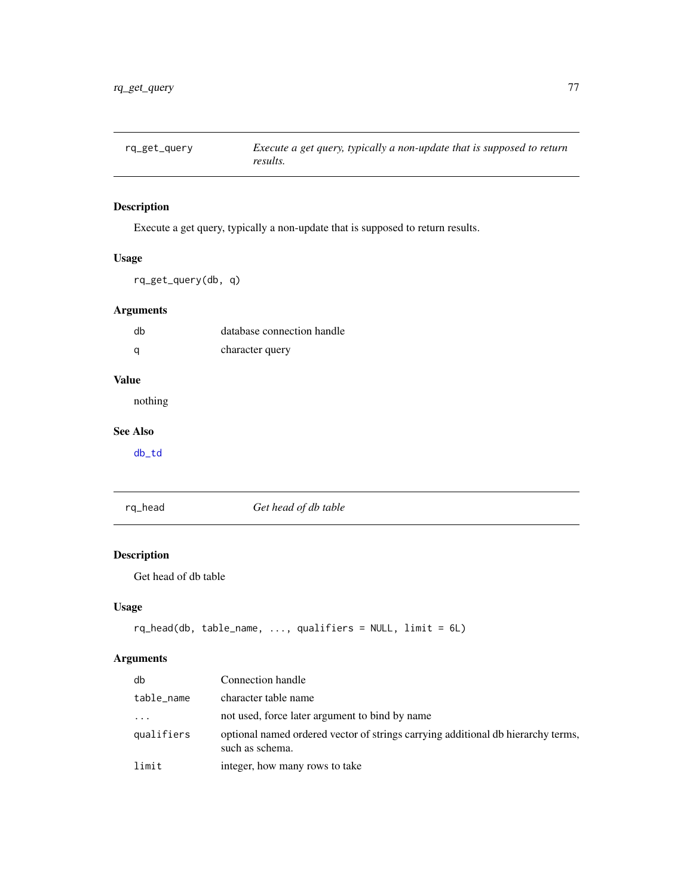<span id="page-76-0"></span>

# Description

Execute a get query, typically a non-update that is supposed to return results.

# Usage

rq\_get\_query(db, q)

# Arguments

| db | database connection handle |
|----|----------------------------|
| a  | character query            |

# Value

nothing

# See Also

[db\\_td](#page-18-0)

rq\_head *Get head of db table*

# Description

Get head of db table

# Usage

```
rq_head(db, table_name, ..., qualifiers = NULL, limit = 6L)
```
# Arguments

| db         | Connection handle                                                                                   |
|------------|-----------------------------------------------------------------------------------------------------|
| table_name | character table name                                                                                |
| $\ddots$   | not used, force later argument to bind by name                                                      |
| qualifiers | optional named ordered vector of strings carrying additional db hierarchy terms,<br>such as schema. |
| limit      | integer, how many rows to take                                                                      |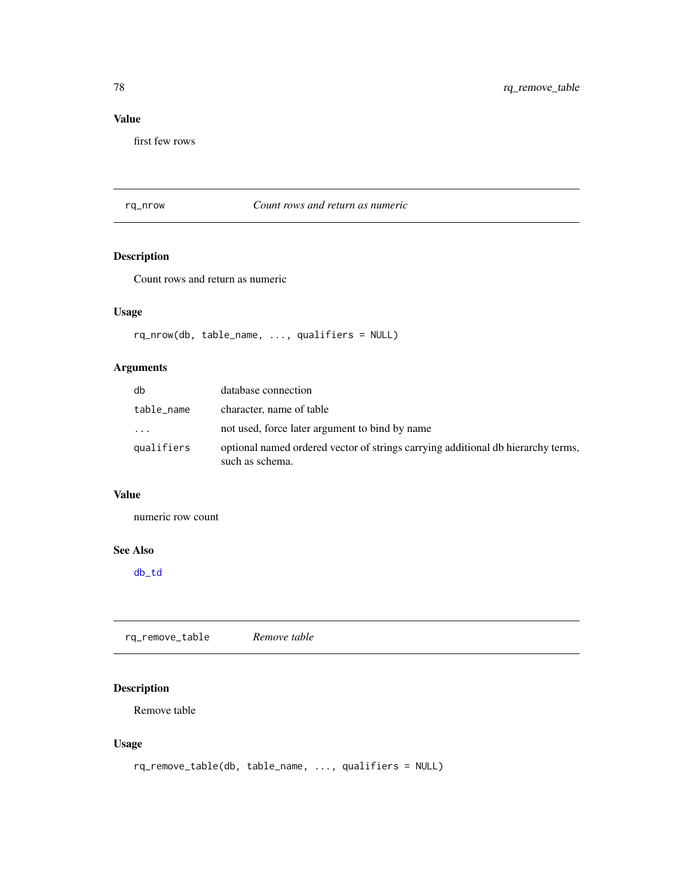# <span id="page-77-0"></span>Value

first few rows

rq\_nrow *Count rows and return as numeric*

# Description

Count rows and return as numeric

# Usage

```
rq_nrow(db, table_name, ..., qualifiers = NULL)
```
# Arguments

| db         | database connection                                                                                 |
|------------|-----------------------------------------------------------------------------------------------------|
| table_name | character, name of table                                                                            |
| $\cdots$   | not used, force later argument to bind by name                                                      |
| qualifiers | optional named ordered vector of strings carrying additional db hierarchy terms,<br>such as schema. |

# Value

numeric row count

#### See Also

[db\\_td](#page-18-0)

rq\_remove\_table *Remove table*

# Description

Remove table

# Usage

```
rq_remove_table(db, table_name, ..., qualifiers = NULL)
```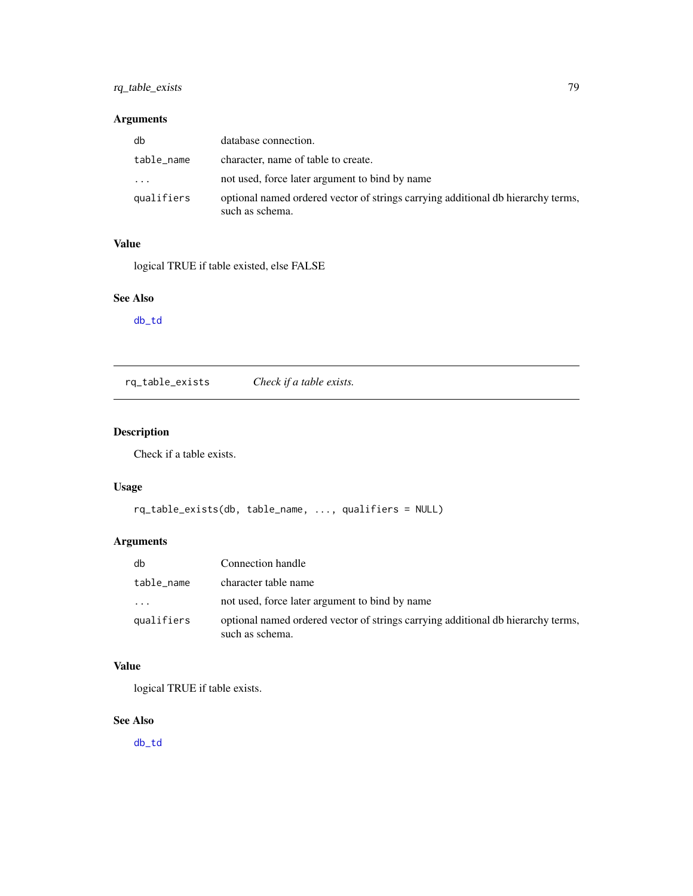# <span id="page-78-0"></span>rq\_table\_exists 79

# Arguments

| db         | database connection.                                                                                |
|------------|-----------------------------------------------------------------------------------------------------|
| table_name | character, name of table to create.                                                                 |
| $\cdot$    | not used, force later argument to bind by name                                                      |
| qualifiers | optional named ordered vector of strings carrying additional db hierarchy terms,<br>such as schema. |

# Value

logical TRUE if table existed, else FALSE

# See Also

[db\\_td](#page-18-0)

rq\_table\_exists *Check if a table exists.*

# Description

Check if a table exists.

# Usage

```
rq_table_exists(db, table_name, ..., qualifiers = NULL)
```
# Arguments

| db         | Connection handle                                                                                   |
|------------|-----------------------------------------------------------------------------------------------------|
| table_name | character table name                                                                                |
| .          | not used, force later argument to bind by name                                                      |
| qualifiers | optional named ordered vector of strings carrying additional db hierarchy terms,<br>such as schema. |

# Value

logical TRUE if table exists.

# See Also

[db\\_td](#page-18-0)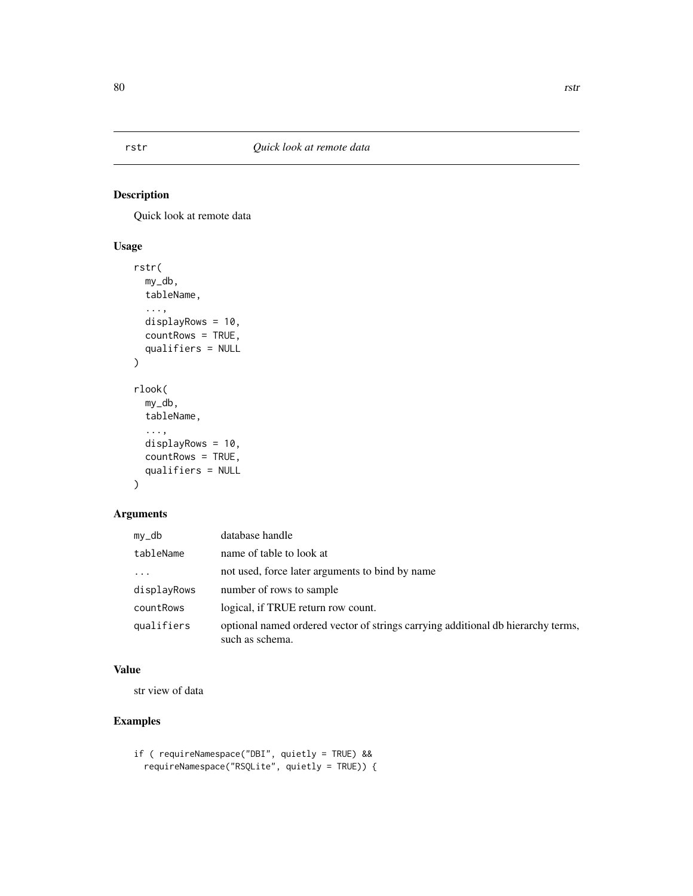# Description

Quick look at remote data

# Usage

```
rstr(
 my_db,
  tableName,
  ...,
 displayRows = 10,
 countRows = TRUE,
  qualifiers = NULL
\mathcal{L}rlook(
 my_db,
  tableName,
  ...,
 displayRows = 10,
 countRows = TRUE,
  qualifiers = NULL
)
```
# Arguments

| $my_d$                  | database handle                                                                                     |
|-------------------------|-----------------------------------------------------------------------------------------------------|
| tableName               | name of table to look at                                                                            |
| $\cdot$ $\cdot$ $\cdot$ | not used, force later arguments to bind by name                                                     |
| displayRows             | number of rows to sample                                                                            |
| countRows               | logical, if TRUE return row count.                                                                  |
| qualifiers              | optional named ordered vector of strings carrying additional db hierarchy terms,<br>such as schema. |

# Value

str view of data

# Examples

```
if ( requireNamespace("DBI", quietly = TRUE) &&
 requireNamespace("RSQLite", quietly = TRUE)) {
```
<span id="page-79-0"></span>80 rstr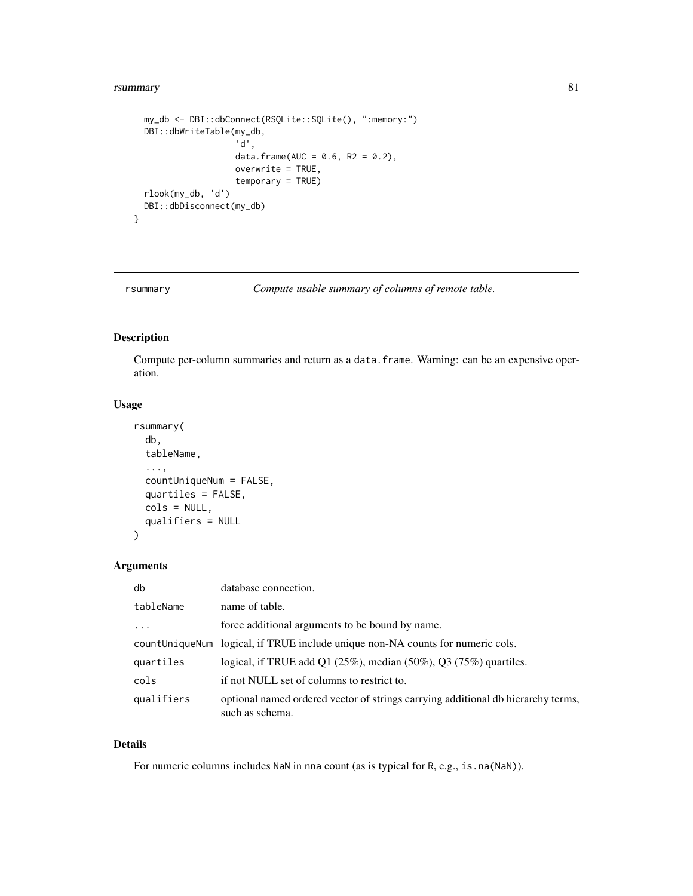#### <span id="page-80-0"></span>rsummary 81

```
my_db <- DBI::dbConnect(RSQLite::SQLite(), ":memory:")
DBI::dbWriteTable(my_db,
                  'd',
                  data.frame(AUC = 0.6, R2 = 0.2),
                  overwrite = TRUE,
                  temporary = TRUE)
rlook(my_db, 'd')
DBI::dbDisconnect(my_db)
```
}

rsummary *Compute usable summary of columns of remote table.*

# Description

Compute per-column summaries and return as a data.frame. Warning: can be an expensive operation.

# Usage

```
rsummary(
  db,
  tableName,
  ...,
 countUniqueNum = FALSE,
 quartiles = FALSE,
 cols = NULL,
 qualifiers = NULL
)
```
# Arguments

| db         | database connection.                                                                                |
|------------|-----------------------------------------------------------------------------------------------------|
| tableName  | name of table.                                                                                      |
| $\cdots$   | force additional arguments to be bound by name.                                                     |
|            | countUniqueNum logical, if TRUE include unique non-NA counts for numeric cols.                      |
| quartiles  | logical, if TRUE add Q1 $(25\%)$ , median $(50\%)$ , Q3 $(75\%)$ quartiles.                         |
| cols       | if not NULL set of columns to restrict to.                                                          |
| qualifiers | optional named ordered vector of strings carrying additional db hierarchy terms,<br>such as schema. |

# Details

For numeric columns includes NaN in nna count (as is typical for R, e.g., is.na(NaN)).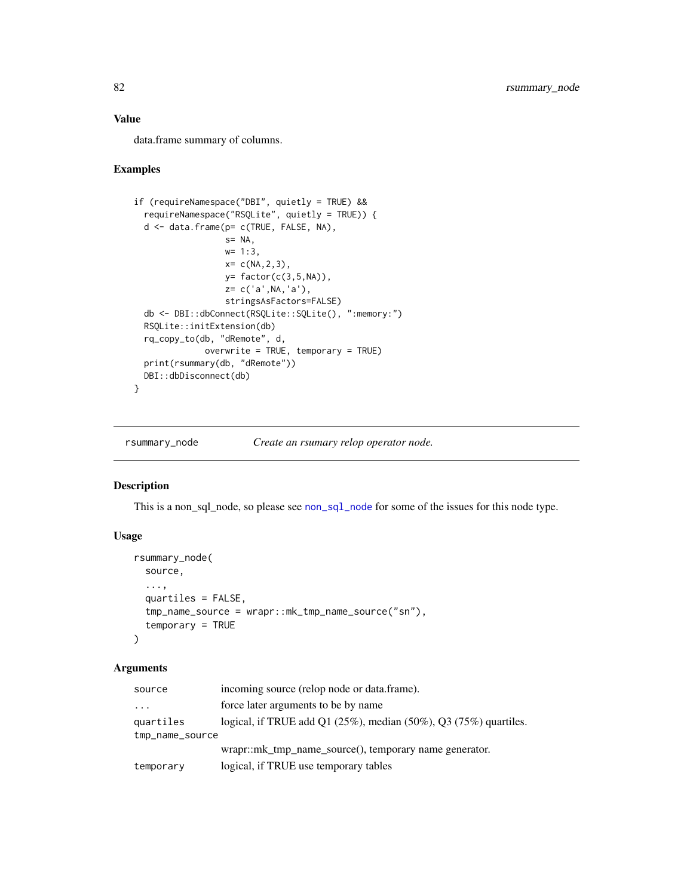# Value

data.frame summary of columns.

#### Examples

```
if (requireNamespace("DBI", quietly = TRUE) &&
  requireNamespace("RSQLite", quietly = TRUE)) {
  d <- data.frame(p= c(TRUE, FALSE, NA),
                  s= NA,
                  w= 1:3,
                  x= c(NA, 2, 3),y= factor(c(3,5,NA)),
                  z= c('a',NA,'a'),
                  stringsAsFactors=FALSE)
 db <- DBI::dbConnect(RSQLite::SQLite(), ":memory:")
 RSQLite::initExtension(db)
 rq_copy_to(db, "dRemote", d,
              overwrite = TRUE, temporary = TRUE)
 print(rsummary(db, "dRemote"))
 DBI::dbDisconnect(db)
}
```
rsummary\_node *Create an rsumary relop operator node.*

#### Description

This is a [non\\_sql\\_node](#page-48-0), so please see non\_sql\_node for some of the issues for this node type.

# Usage

```
rsummary_node(
 source,
  ...,
 quartiles = FALSE,
  tmp_name_source = wrapr::mk_tmp_name_source("sn"),
  temporary = TRUE
\lambda
```
#### Arguments

| source          | incoming source (relop node or data.frame).                           |
|-----------------|-----------------------------------------------------------------------|
| $\cdots$        | force later arguments to be by name                                   |
| quartiles       | logical, if TRUE add $Q1(25\%)$ , median (50%), $Q3(75\%)$ quartiles. |
| tmp_name_source |                                                                       |
|                 | wrapr::mk_tmp_name_source(), temporary name generator.                |
| temporary       | logical, if TRUE use temporary tables                                 |

<span id="page-81-0"></span>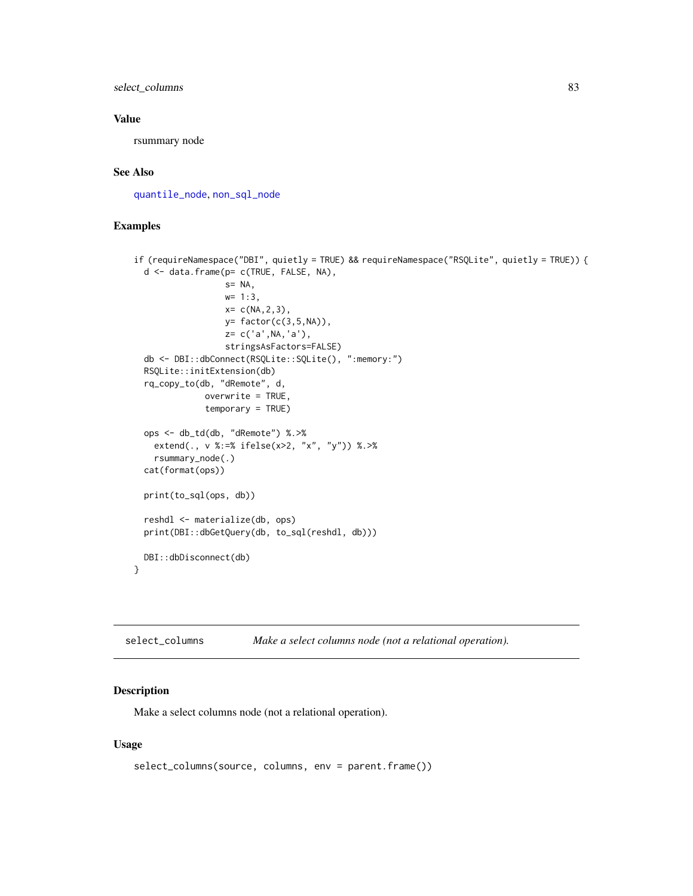<span id="page-82-0"></span>select\_columns 83

#### Value

rsummary node

#### See Also

[quantile\\_node](#page-61-0), [non\\_sql\\_node](#page-48-0)

#### Examples

```
if (requireNamespace("DBI", quietly = TRUE) && requireNamespace("RSQLite", quietly = TRUE)) {
 d <- data.frame(p= c(TRUE, FALSE, NA),
                  s= NA,
                  w= 1:3,
                  x= c(NA, 2, 3),y= factor(c(3,5,NA)),
                  z= c('a',NA,'a'),
                  stringsAsFactors=FALSE)
 db <- DBI::dbConnect(RSQLite::SQLite(), ":memory:")
 RSQLite::initExtension(db)
 rq_copy_to(db, "dRemote", d,
              overwrite = TRUE,
              temporary = TRUE)
 ops <- db_td(db, "dRemote") %.>%
   extend(., v %:=% ifelse(x>2, "x", "y")) %.>%
   rsummary_node(.)
 cat(format(ops))
 print(to_sql(ops, db))
 reshdl <- materialize(db, ops)
 print(DBI::dbGetQuery(db, to_sql(reshdl, db)))
 DBI::dbDisconnect(db)
}
```

| select_columns |  |  | Make a select columns node (not a relational operation). |  |
|----------------|--|--|----------------------------------------------------------|--|
|----------------|--|--|----------------------------------------------------------|--|

# Description

Make a select columns node (not a relational operation).

#### Usage

```
select_columns(source, columns, env = parent.frame())
```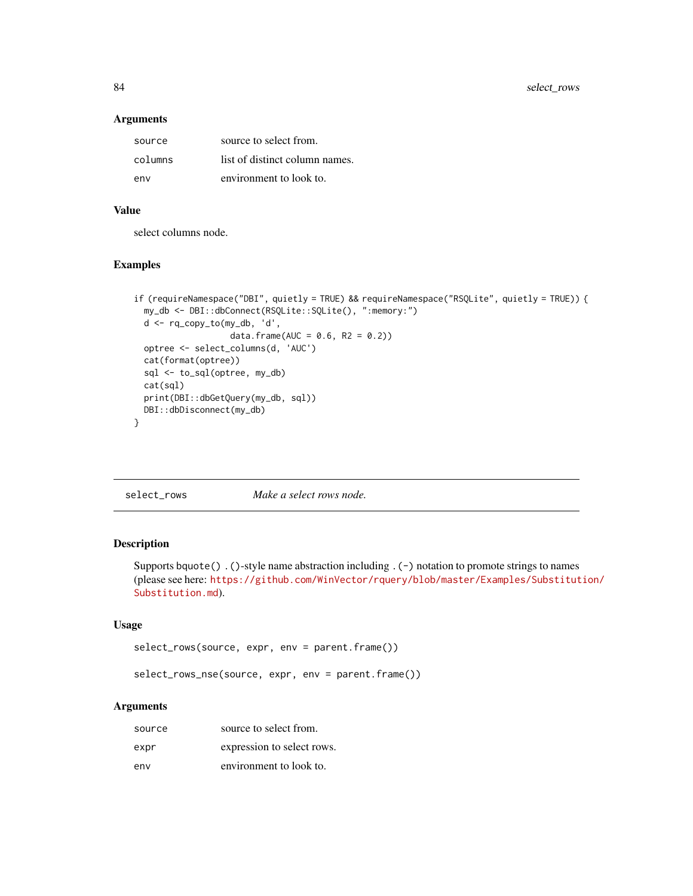#### Arguments

| source  | source to select from.         |
|---------|--------------------------------|
| columns | list of distinct column names. |
| env     | environment to look to.        |

#### Value

select columns node.

#### Examples

```
if (requireNamespace("DBI", quietly = TRUE) && requireNamespace("RSQLite", quietly = TRUE)) {
 my_db <- DBI::dbConnect(RSQLite::SQLite(), ":memory:")
 d <- rq_copy_to(my_db, 'd',
                  data.frame(AUC = 0.6, R2 = 0.2))
 optree <- select_columns(d, 'AUC')
 cat(format(optree))
 sql <- to_sql(optree, my_db)
 cat(sql)
 print(DBI::dbGetQuery(my_db, sql))
 DBI::dbDisconnect(my_db)
}
```

| select_rows | Make a select rows node. |
|-------------|--------------------------|
|-------------|--------------------------|

## Description

Supports bquote() .()-style name abstraction including .(-) notation to promote strings to names (please see here: [https://github.com/WinVector/rquery/blob/master/Examples/Substitut](https://github.com/WinVector/rquery/blob/master/Examples/Substitution/Substitution.md)ion/ [Substitution.md](https://github.com/WinVector/rquery/blob/master/Examples/Substitution/Substitution.md)).

# Usage

```
select_rows(source, expr, env = parent.frame())
```
select\_rows\_nse(source, expr, env = parent.frame())

#### Arguments

| source | source to select from.     |
|--------|----------------------------|
| expr   | expression to select rows. |
| env    | environment to look to.    |

<span id="page-83-0"></span>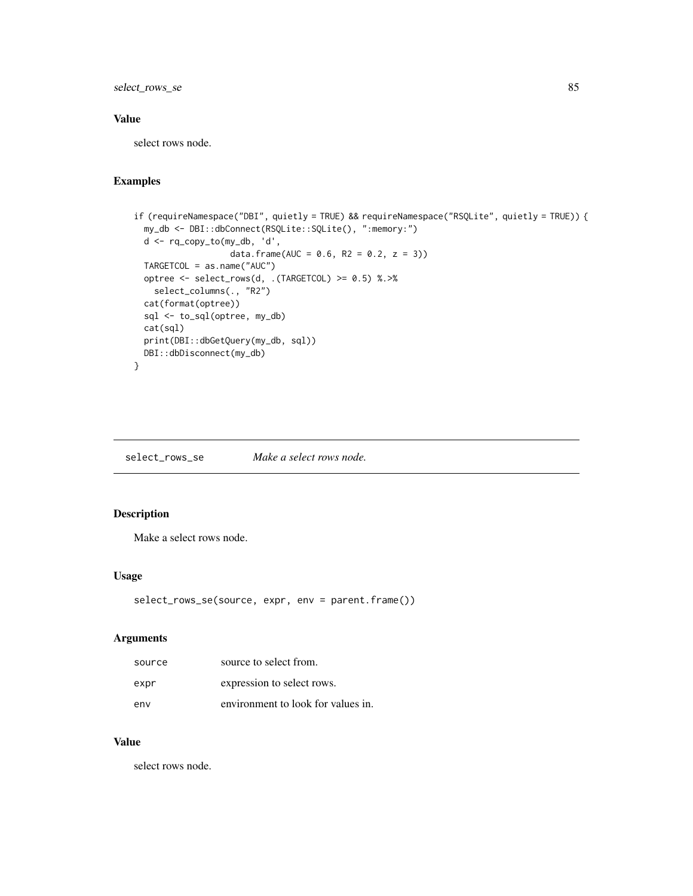<span id="page-84-0"></span>select\_rows\_se 85

# Value

select rows node.

# Examples

```
if (requireNamespace("DBI", quietly = TRUE) && requireNamespace("RSQLite", quietly = TRUE)) {
 my_db <- DBI::dbConnect(RSQLite::SQLite(), ":memory:")
 d <- rq_copy_to(my_db, 'd',
                  data.frame(AUC = 0.6, R2 = 0.2, z = 3))
 TARGETCOL = as.name("AUC")
 optree <- select_rows(d, .(TARGETCOL) >= 0.5) %.>%
   select_columns(., "R2")
 cat(format(optree))
 sql <- to_sql(optree, my_db)
 cat(sql)
 print(DBI::dbGetQuery(my_db, sql))
 DBI::dbDisconnect(my_db)
}
```
select\_rows\_se *Make a select rows node.*

### Description

Make a select rows node.

#### Usage

```
select_rows_se(source, expr, env = parent.frame())
```
#### Arguments

| source | source to select from.             |
|--------|------------------------------------|
| expr   | expression to select rows.         |
| env    | environment to look for values in. |

# Value

select rows node.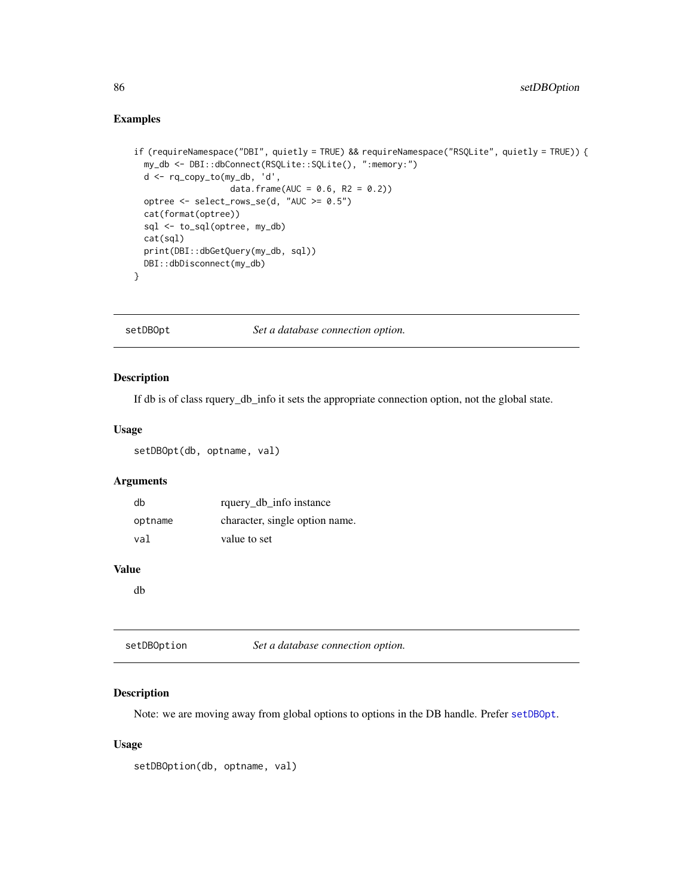# Examples

```
if (requireNamespace("DBI", quietly = TRUE) && requireNamespace("RSQLite", quietly = TRUE)) {
 my_db <- DBI::dbConnect(RSQLite::SQLite(), ":memory:")
 d <- rq_copy_to(my_db, 'd',
                   data.frame(AUC = 0.6, R2 = 0.2))
 optree <- select_rows_se(d, "AUC >= 0.5")
 cat(format(optree))
 sql <- to_sql(optree, my_db)
 cat(sql)
 print(DBI::dbGetQuery(my_db, sql))
 DBI::dbDisconnect(my_db)
}
```
<span id="page-85-0"></span>setDBOpt *Set a database connection option.*

#### Description

If db is of class rquery\_db\_info it sets the appropriate connection option, not the global state.

#### Usage

setDBOpt(db, optname, val)

#### Arguments

| db      | rquery_db_info instance        |
|---------|--------------------------------|
| optname | character, single option name. |
| val     | value to set                   |

#### Value

db

| setDBOption | Set a database connection option. |
|-------------|-----------------------------------|
|             |                                   |

#### Description

Note: we are moving away from global options to options in the DB handle. Prefer [setDBOpt](#page-85-0).

#### Usage

setDBOption(db, optname, val)

<span id="page-85-1"></span>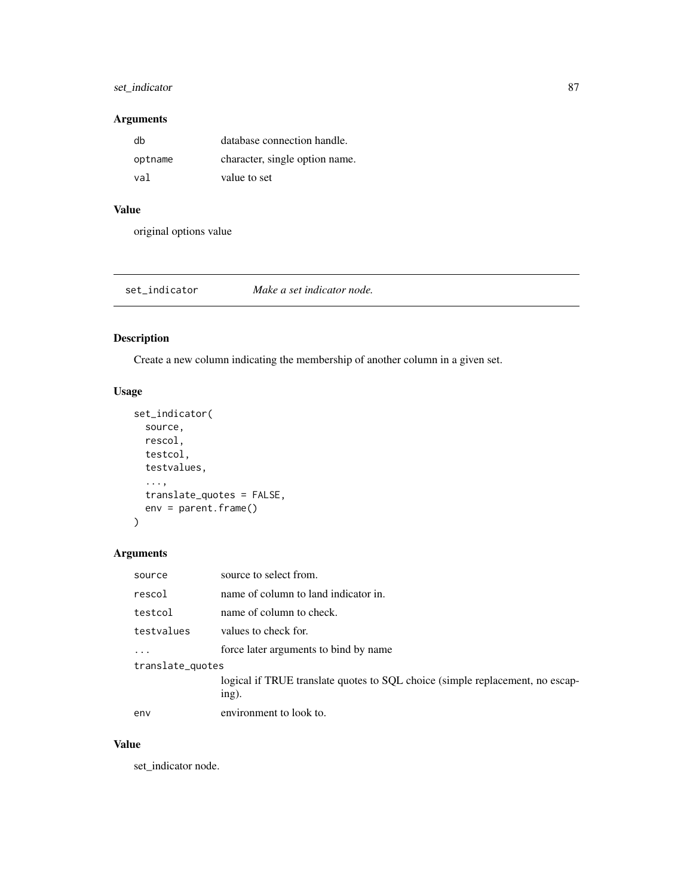# <span id="page-86-0"></span>set\_indicator 87

# Arguments

| dh      | database connection handle.    |
|---------|--------------------------------|
| optname | character, single option name. |
| val     | value to set                   |

# Value

original options value

set\_indicator *Make a set indicator node.*

# Description

Create a new column indicating the membership of another column in a given set.

# Usage

```
set_indicator(
 source,
 rescol,
  testcol,
  testvalues,
  ...,
  translate_quotes = FALSE,
 env = parent.frame()
)
```
# Arguments

| source           | source to select from.                                                                 |  |
|------------------|----------------------------------------------------------------------------------------|--|
| rescol           | name of column to land indicator in.                                                   |  |
| testcol          | name of column to check.                                                               |  |
| testvalues       | values to check for.                                                                   |  |
| .                | force later arguments to bind by name                                                  |  |
| translate_quotes |                                                                                        |  |
|                  | logical if TRUE translate quotes to SQL choice (simple replacement, no escap-<br>ing). |  |
| env              | environment to look to.                                                                |  |

#### Value

set\_indicator node.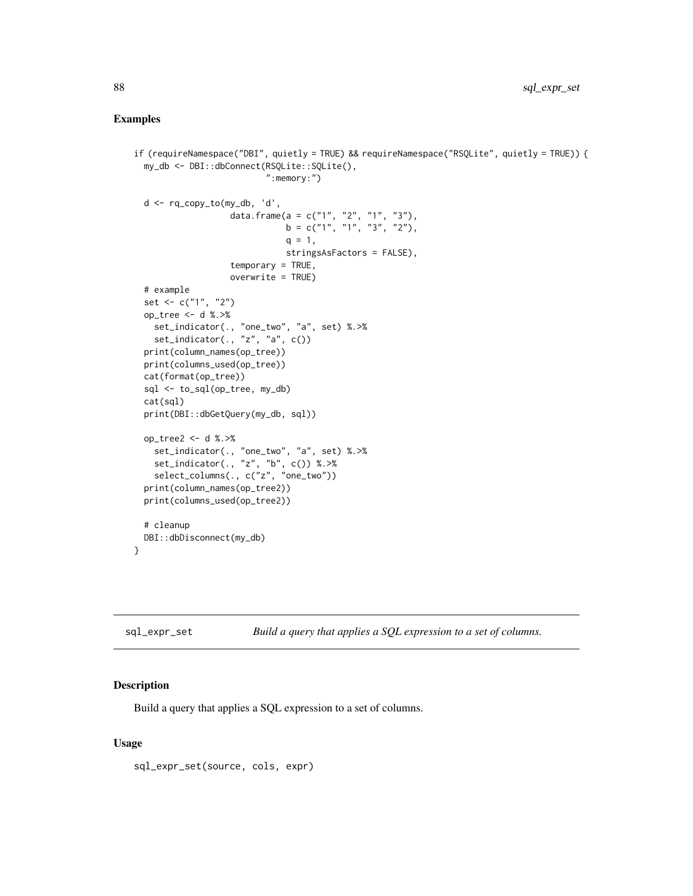#### <span id="page-87-0"></span>Examples

```
if (requireNamespace("DBI", quietly = TRUE) && requireNamespace("RSQLite", quietly = TRUE)) {
 my_db <- DBI::dbConnect(RSQLite::SQLite(),
                          ":memory:")
 d <- rq_copy_to(my_db, 'd',
                   data.frame(a = c("1", "2", "1", "3"),
                              b = c("1", "1", "3", "2"),q = 1,
                              stringsAsFactors = FALSE),
                   temporary = TRUE,
                   overwrite = TRUE)
 # example
 set <- c("1", "2")
 op_tree <- d %.>%
   set_indicator(., "one_two", "a", set) %.>%
   set_indicator(., "z", "a", c())
 print(column_names(op_tree))
 print(columns_used(op_tree))
 cat(format(op_tree))
 sql <- to_sql(op_tree, my_db)
 cat(sql)
 print(DBI::dbGetQuery(my_db, sql))
 op_tree2 <- d %.>%
   set_indicator(., "one_two", "a", set) %.>%
   set_indicator(., "z", "b", c()) %.>%
   select_columns(., c("z", "one_two"))
 print(column_names(op_tree2))
 print(columns_used(op_tree2))
 # cleanup
 DBI::dbDisconnect(my_db)
}
```

```
sql_expr_set Build a query that applies a SQL expression to a set of columns.
```
# Description

Build a query that applies a SQL expression to a set of columns.

#### Usage

sql\_expr\_set(source, cols, expr)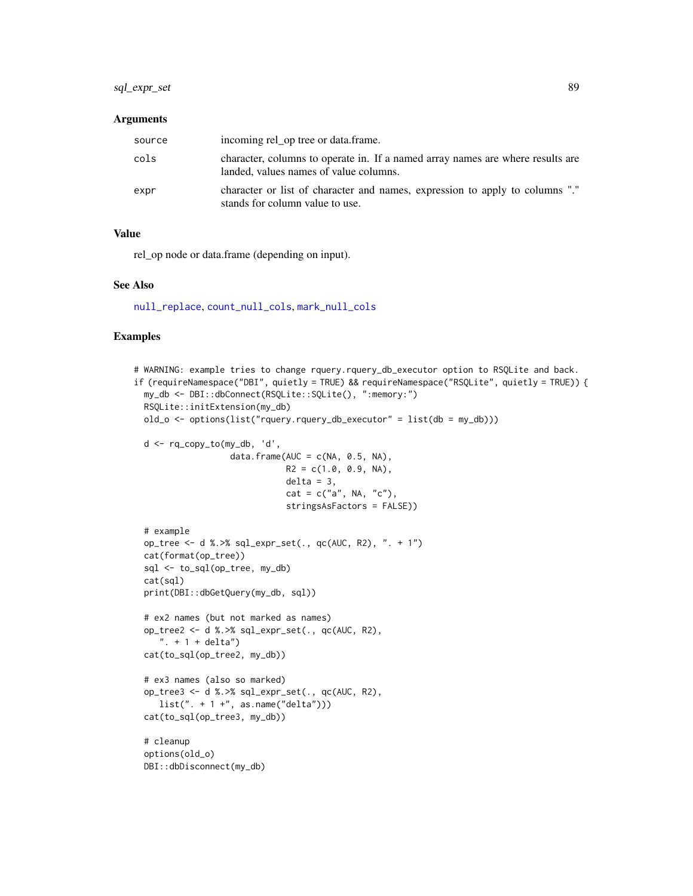# <span id="page-88-0"></span>sql\_expr\_set 89

#### **Arguments**

| source | incoming rel_op tree or data.frame.                                                                                      |
|--------|--------------------------------------------------------------------------------------------------------------------------|
| cols   | character, columns to operate in. If a named array names are where results are<br>landed, values names of value columns. |
| expr   | character or list of character and names, expression to apply to columns "."<br>stands for column value to use.          |

#### Value

rel\_op node or data.frame (depending on input).

#### See Also

[null\\_replace](#page-50-0), [count\\_null\\_cols](#page-17-0), [mark\\_null\\_cols](#page-41-0)

```
# WARNING: example tries to change rquery.rquery_db_executor option to RSQLite and back.
if (requireNamespace("DBI", quietly = TRUE) && requireNamespace("RSQLite", quietly = TRUE)) {
 my_db <- DBI::dbConnect(RSQLite::SQLite(), ":memory:")
 RSQLite::initExtension(my_db)
 old_o <- options(list("rquery.rquery_db_executor" = list(db = my_db)))
 d <- rq_copy_to(my_db, 'd',
                  data.frame(AUC = c(NA, 0.5, NA),
                             R2 = c(1.0, 0.9, NA),
                             delta = 3,
                             cat = c("a", NA, "c"),stringsAsFactors = FALSE))
 # example
 op_tree <- d %.>% sql_expr_set(., qc(AUC, R2), ". + 1")
 cat(format(op_tree))
 sql <- to_sql(op_tree, my_db)
 cat(sql)
 print(DBI::dbGetQuery(my_db, sql))
 # ex2 names (but not marked as names)
 op_tree2 <- d %.>% sql_expr_set(., qc(AUC, R2),
     ". + 1 + delta")cat(to_sql(op_tree2, my_db))
 # ex3 names (also so marked)
 op_tree3 <- d %.>% sql_expr_set(., qc(AUC, R2),
    list(" + 1 +", as.name("delta"))cat(to_sql(op_tree3, my_db))
 # cleanup
 options(old_o)
 DBI::dbDisconnect(my_db)
```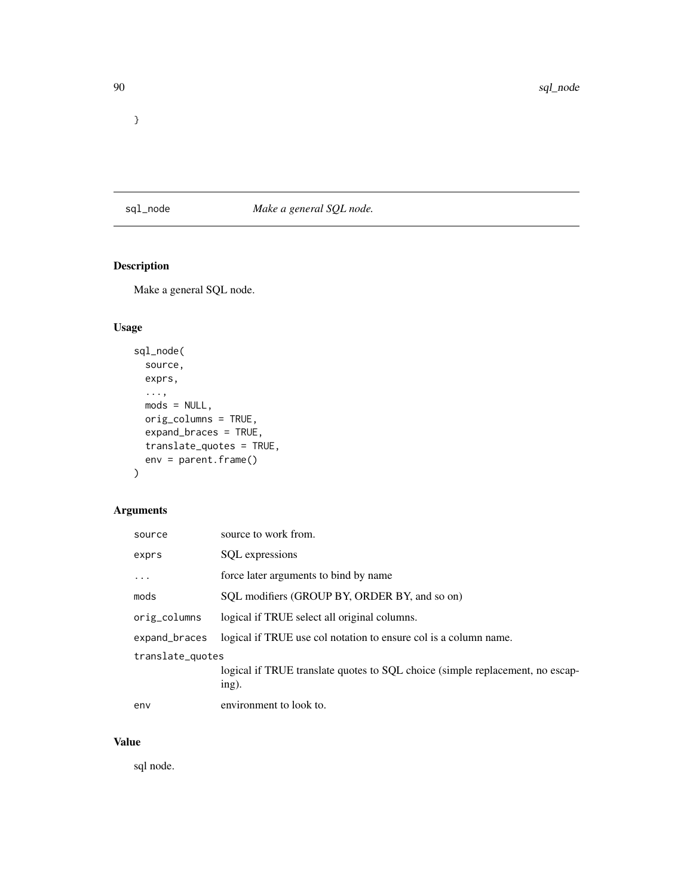<span id="page-89-0"></span>}

sql\_node *Make a general SQL node.*

# Description

Make a general SQL node.

# Usage

```
sql_node(
  source,
 exprs,
  ...,
 mods = NULL,orig_columns = TRUE,
 expand_braces = TRUE,
 translate_quotes = TRUE,
 env = parent.frame()
\mathcal{L}
```
# Arguments

| source           | source to work from.                                                                   |
|------------------|----------------------------------------------------------------------------------------|
| exprs            | SQL expressions                                                                        |
|                  | force later arguments to bind by name                                                  |
| mods             | SQL modifiers (GROUP BY, ORDER BY, and so on)                                          |
| orig_columns     | logical if TRUE select all original columns.                                           |
| expand_braces    | logical if TRUE use col notation to ensure col is a column name.                       |
| translate_quotes | logical if TRUE translate quotes to SQL choice (simple replacement, no escap-<br>ing). |
| env              | environment to look to.                                                                |

# Value

sql node.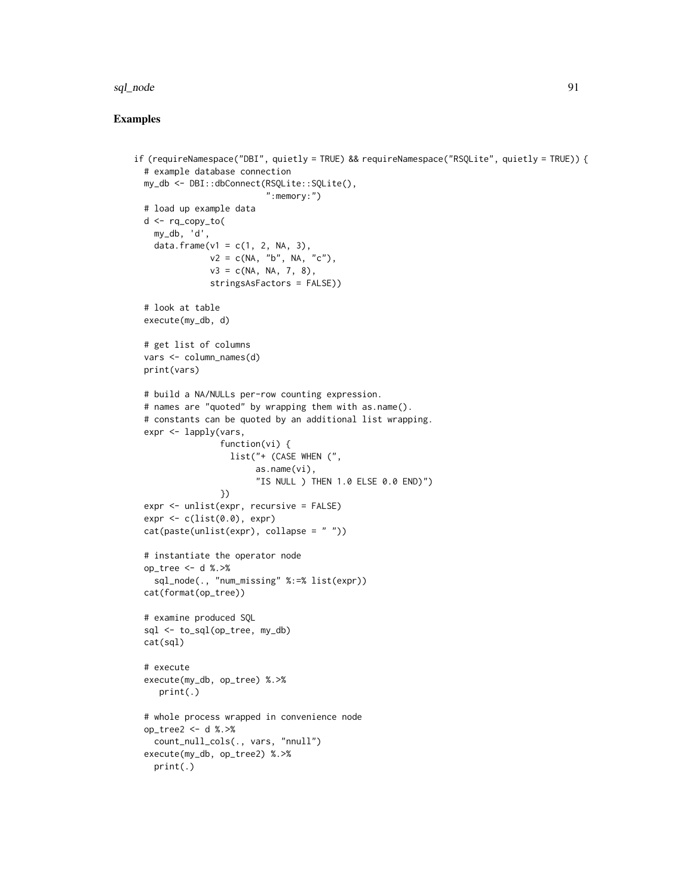#### sql\_node 91

```
if (requireNamespace("DBI", quietly = TRUE) && requireNamespace("RSQLite", quietly = TRUE)) {
 # example database connection
 my_db <- DBI::dbConnect(RSQLite::SQLite(),
                          ":memory:")
 # load up example data
 d <- rq_copy_to(
   my_db, 'd',
   data.frame(v1 = c(1, 2, NA, 3),
              v2 = c(NA, "b", NA, "c"),v3 = c(NA, NA, 7, 8),stringsAsFactors = FALSE))
 # look at table
 execute(my_db, d)
 # get list of columns
 vars <- column_names(d)
 print(vars)
 # build a NA/NULLs per-row counting expression.
 # names are "quoted" by wrapping them with as.name().
 # constants can be quoted by an additional list wrapping.
 expr <- lapply(vars,
                 function(vi) {
                  list("+ (CASE WHEN (",
                        as.name(vi),
                        "IS NULL ) THEN 1.0 ELSE 0.0 END)")
                 })
 expr <- unlist(expr, recursive = FALSE)
 expr < c(list(0.0), expr)cat(paste(unlist(expr), collapse = " "))
 # instantiate the operator node
 op_tree <- d %.>%
    sql_node(., "num_missing" %:=% list(expr))
 cat(format(op_tree))
 # examine produced SQL
 sql <- to_sql(op_tree, my_db)
 cat(sql)
 # execute
 execute(my_db, op_tree) %.>%
    print(.)
 # whole process wrapped in convenience node
 op_tree2 <- d %.>%
    count_null_cols(., vars, "nnull")
 execute(my_db, op_tree2) %.>%
   print(.)
```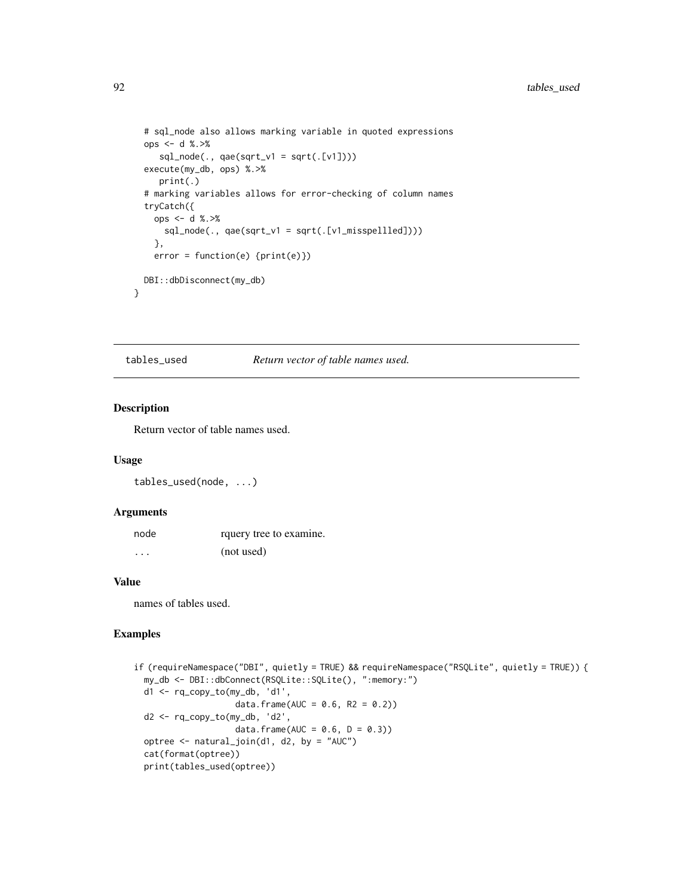```
# sql_node also allows marking variable in quoted expressions
ops <- d %.>%
   sql\_node(., qae(sqrt_v1 = sqrt(.[v1])))execute(my_db, ops) %.>%
  print(.)
# marking variables allows for error-checking of column names
tryCatch({
  ops <- d %.>%
    sql\_node(., qae(sqrt_v1 = sqrt(.[v1_misspellled]))},
 error = function(e) {print(e)})
DBI::dbDisconnect(my_db)
```
tables\_used *Return vector of table names used.*

#### Description

}

Return vector of table names used.

#### Usage

tables\_used(node, ...)

#### Arguments

| node     | rquery tree to examine. |
|----------|-------------------------|
| $\cdots$ | (not used)              |

#### Value

names of tables used.

```
if (requireNamespace("DBI", quietly = TRUE) && requireNamespace("RSQLite", quietly = TRUE)) {
 my_db <- DBI::dbConnect(RSQLite::SQLite(), ":memory:")
 d1 <- rq_copy_to(my_db, 'd1',
                    data.frame(AUC = 0.6, R2 = 0.2))
 d2 <- rq_copy_to(my_db, 'd2',
                    data.frame(AUC = 0.6, D = 0.3))
 optree <- natural_join(d1, d2, by = "AUC")
 cat(format(optree))
 print(tables_used(optree))
```
<span id="page-91-0"></span>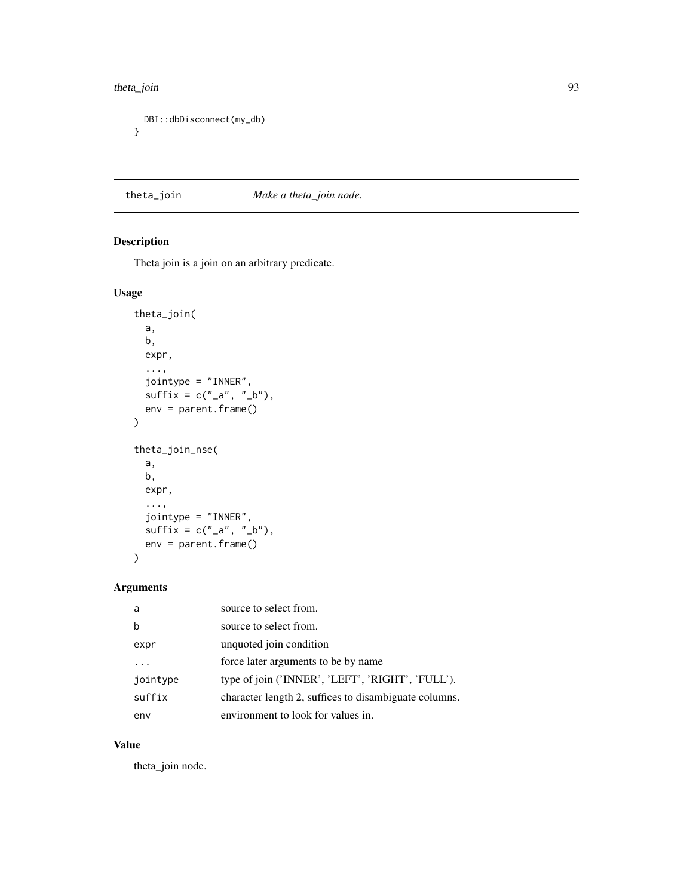#### <span id="page-92-0"></span>theta\_join 93

```
DBI::dbDisconnect(my_db)
}
```
theta\_join *Make a theta\_join node.*

# Description

Theta join is a join on an arbitrary predicate.

# Usage

```
theta_join(
 a,
 b,
 expr,
  ...,
 jointype = "INNER",
 sufficient = c("_a", "_b"),env = parent.frame()
)
theta_join_nse(
 a,
 b,
 expr,
  ...,
 jointype = "INNER",
 sufficient = c("_a", "_b"),env = parent.frame()
)
```
# Arguments

| a        | source to select from.                                |
|----------|-------------------------------------------------------|
| h        | source to select from.                                |
| expr     | unquoted join condition                               |
| .        | force later arguments to be by name                   |
| jointype | type of join ('INNER', 'LEFT', 'RIGHT', 'FULL').      |
| suffix   | character length 2, suffices to disambiguate columns. |
| env      | environment to look for values in.                    |

#### Value

theta\_join node.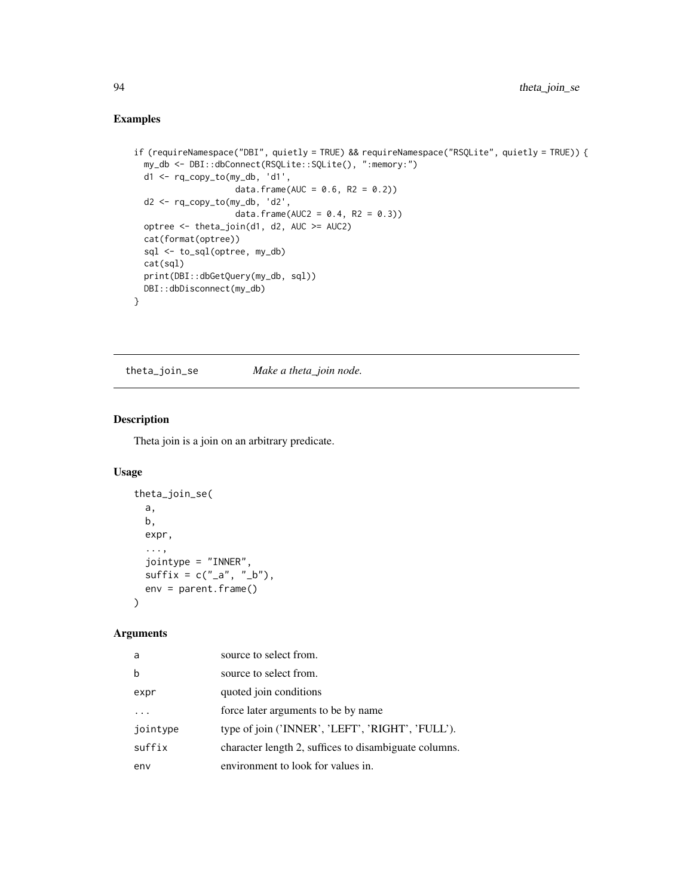# Examples

```
if (requireNamespace("DBI", quietly = TRUE) && requireNamespace("RSQLite", quietly = TRUE)) {
 my_db <- DBI::dbConnect(RSQLite::SQLite(), ":memory:")
 d1 <- rq_copy_to(my_db, 'd1',
                    data.frame(AUC = 0.6, R2 = 0.2))
 d2 <- rq_copy_to(my_db, 'd2',
                    data.frame(AUC2 = 0.4, R2 = 0.3))
 optree <- theta_join(d1, d2, AUC >= AUC2)
 cat(format(optree))
 sql <- to_sql(optree, my_db)
 cat(sql)
 print(DBI::dbGetQuery(my_db, sql))
 DBI::dbDisconnect(my_db)
}
```
theta\_join\_se *Make a theta\_join node.*

# Description

Theta join is a join on an arbitrary predicate.

# Usage

```
theta_join_se(
  a,
 b,
 expr,
  ...,
  jointype = "INNER",
 sufficient + c("_a", "_b"),env = parent.frame()
)
```
# Arguments

| a        | source to select from.                                |
|----------|-------------------------------------------------------|
| h        | source to select from.                                |
| expr     | quoted join conditions                                |
|          | force later arguments to be by name                   |
| jointype | type of join ('INNER', 'LEFT', 'RIGHT', 'FULL').      |
| suffix   | character length 2, suffices to disambiguate columns. |
| env      | environment to look for values in.                    |

<span id="page-93-0"></span>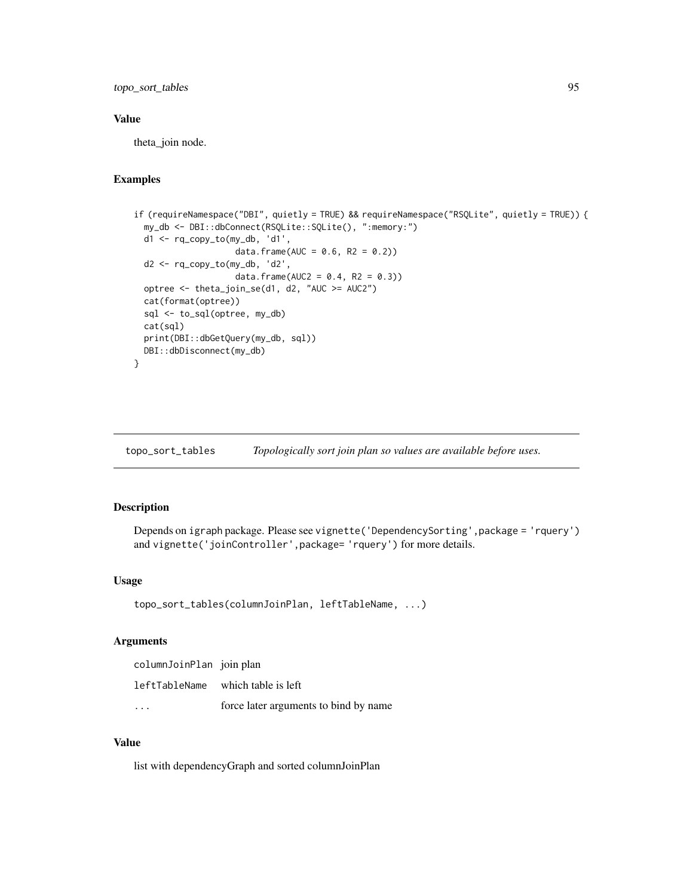<span id="page-94-0"></span>topo\_sort\_tables 95

#### Value

theta\_join node.

#### Examples

```
if (requireNamespace("DBI", quietly = TRUE) && requireNamespace("RSQLite", quietly = TRUE)) {
 my_db <- DBI::dbConnect(RSQLite::SQLite(), ":memory:")
 d1 <- rq_copy_to(my_db, 'd1',
                    data.frame(AUC = 0.6, R2 = 0.2))
 d2 <- rq_copy_to(my_db, 'd2',
                    data.frame(AUC2 = 0.4, R2 = 0.3))
 optree <- theta_join_se(d1, d2, "AUC >= AUC2")
 cat(format(optree))
 sql <- to_sql(optree, my_db)
 cat(sql)
 print(DBI::dbGetQuery(my_db, sql))
 DBI::dbDisconnect(my_db)
}
```
topo\_sort\_tables *Topologically sort join plan so values are available before uses.*

#### Description

Depends on igraph package. Please see vignette('DependencySorting',package = 'rquery') and vignette('joinController',package= 'rquery') for more details.

#### Usage

```
topo_sort_tables(columnJoinPlan, leftTableName, ...)
```
#### Arguments

| columnJoinPlan join plan |                                       |
|--------------------------|---------------------------------------|
|                          | leftTableName which table is left     |
|                          | force later arguments to bind by name |

# Value

list with dependencyGraph and sorted columnJoinPlan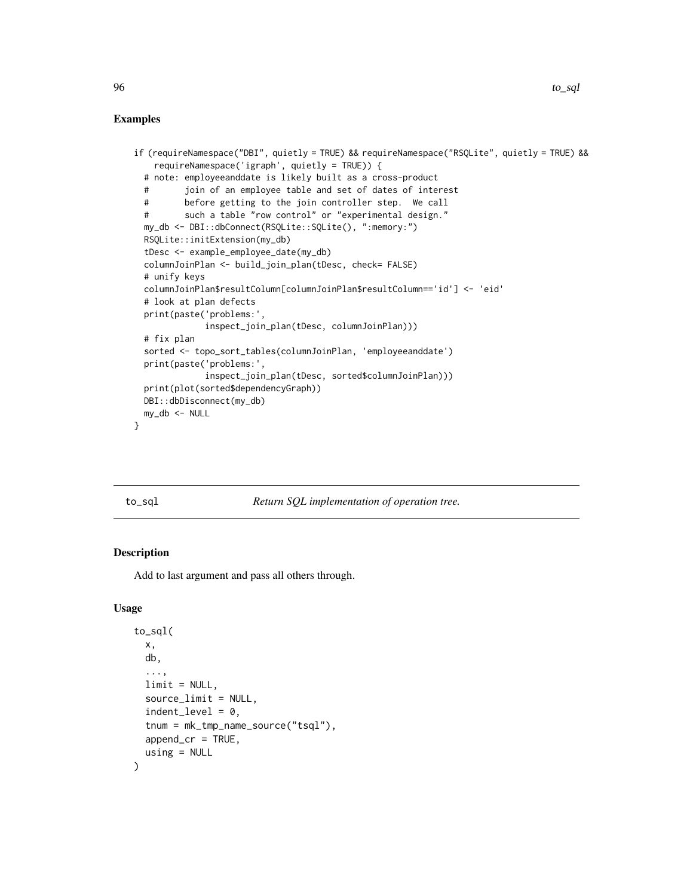#### <span id="page-95-1"></span>Examples

```
if (requireNamespace("DBI", quietly = TRUE) && requireNamespace("RSQLite", quietly = TRUE) &&
   requireNamespace('igraph', quietly = TRUE)) {
 # note: employeeanddate is likely built as a cross-product
 # join of an employee table and set of dates of interest
 # before getting to the join controller step. We call
 # such a table "row control" or "experimental design."
 my_db <- DBI::dbConnect(RSQLite::SQLite(), ":memory:")
 RSQLite::initExtension(my_db)
 tDesc <- example_employee_date(my_db)
 columnJoinPlan <- build_join_plan(tDesc, check= FALSE)
 # unify keys
 columnJoinPlan$resultColumn[columnJoinPlan$resultColumn=='id'] <- 'eid'
 # look at plan defects
 print(paste('problems:',
             inspect_join_plan(tDesc, columnJoinPlan)))
 # fix plan
 sorted <- topo_sort_tables(columnJoinPlan, 'employeeanddate')
 print(paste('problems:',
             inspect_join_plan(tDesc, sorted$columnJoinPlan)))
 print(plot(sorted$dependencyGraph))
 DBI::dbDisconnect(my_db)
 my_db <- NULL
}
```
<span id="page-95-0"></span>

to\_sql *Return SQL implementation of operation tree.*

# Description

Add to last argument and pass all others through.

#### Usage

```
to_sql(
  x,
  db,
  ...,
  limit = NULL,
  source_limit = NULL,
  indent\_level = 0,
  tnum = mk_tmp_name_source("tsql"),
  append\_cr = TRUE,using = NULL
)
```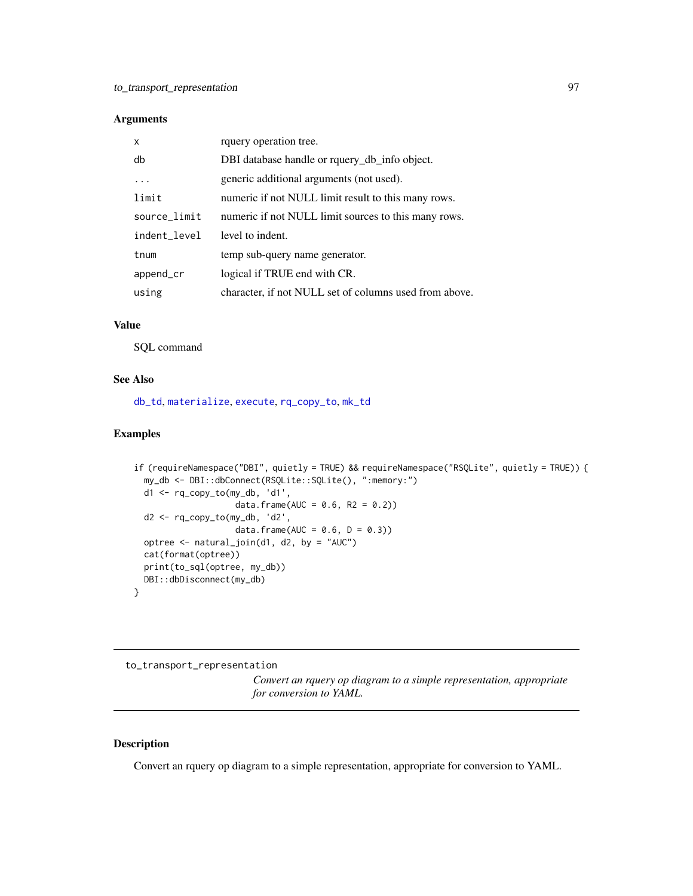#### <span id="page-96-0"></span>Arguments

| X            | rquery operation tree.                                 |
|--------------|--------------------------------------------------------|
| db           | DBI database handle or rquery_db_info object.          |
|              | generic additional arguments (not used).               |
| limit        | numeric if not NULL limit result to this many rows.    |
| source_limit | numeric if not NULL limit sources to this many rows.   |
| indent_level | level to indent.                                       |
| tnum         | temp sub-query name generator.                         |
| append_cr    | logical if TRUE end with CR.                           |
| using        | character, if not NULL set of columns used from above. |

### Value

SQL command

#### See Also

[db\\_td](#page-18-0), [materialize](#page-42-0), [execute](#page-22-0), [rq\\_copy\\_to](#page-74-0), [mk\\_td](#page-45-0)

# Examples

```
if (requireNamespace("DBI", quietly = TRUE) && requireNamespace("RSQLite", quietly = TRUE)) {
 my_db <- DBI::dbConnect(RSQLite::SQLite(), ":memory:")
 d1 <- rq_copy_to(my_db, 'd1',
                    data.frame(AUC = 0.6, R2 = 0.2))
 d2 <- rq_copy_to(my_db, 'd2',
                    data.frame(AUC = 0.6, D = 0.3))
 optree <- natural_join(d1, d2, by = "AUC")
 cat(format(optree))
 print(to_sql(optree, my_db))
 DBI::dbDisconnect(my_db)
}
```
to\_transport\_representation

*Convert an rquery op diagram to a simple representation, appropriate for conversion to YAML.*

#### Description

Convert an rquery op diagram to a simple representation, appropriate for conversion to YAML.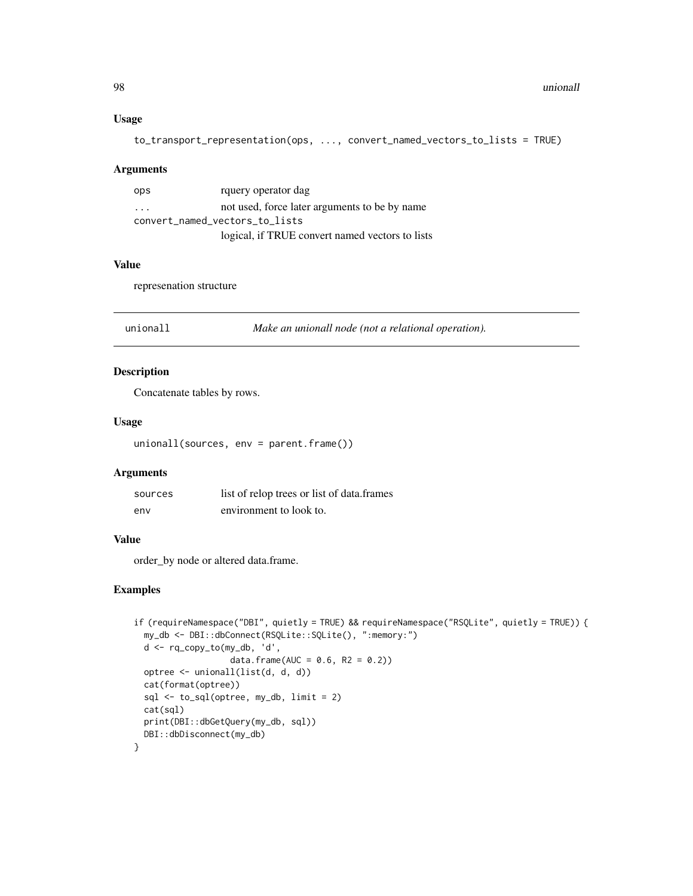# <span id="page-97-0"></span>Usage

```
to_transport_representation(ops, ..., convert_named_vectors_to_lists = TRUE)
```
#### Arguments

| ops                            | rquery operator dag                             |
|--------------------------------|-------------------------------------------------|
| $\cdot$ $\cdot$ $\cdot$        | not used, force later arguments to be by name   |
| convert_named_vectors_to_lists |                                                 |
|                                | logical, if TRUE convert named vectors to lists |

# Value

represenation structure

| Make an unionall node (not a relational operation).<br>unionall |  |
|-----------------------------------------------------------------|--|
|-----------------------------------------------------------------|--|

# Description

Concatenate tables by rows.

# Usage

unionall(sources, env = parent.frame())

# Arguments

| sources | list of relop trees or list of data.frames |
|---------|--------------------------------------------|
| env     | environment to look to.                    |

#### Value

order\_by node or altered data.frame.

```
if (requireNamespace("DBI", quietly = TRUE) && requireNamespace("RSQLite", quietly = TRUE)) {
 my_db <- DBI::dbConnect(RSQLite::SQLite(), ":memory:")
 d <- rq_copy_to(my_db, 'd',
                  data.frame(AUC = 0.6, R2 = 0.2))
 optree <- unionall(list(d, d, d))
 cat(format(optree))
 sql <- to_sql(optree, my_db, limit = 2)
 cat(sql)
 print(DBI::dbGetQuery(my_db, sql))
 DBI::dbDisconnect(my_db)
}
```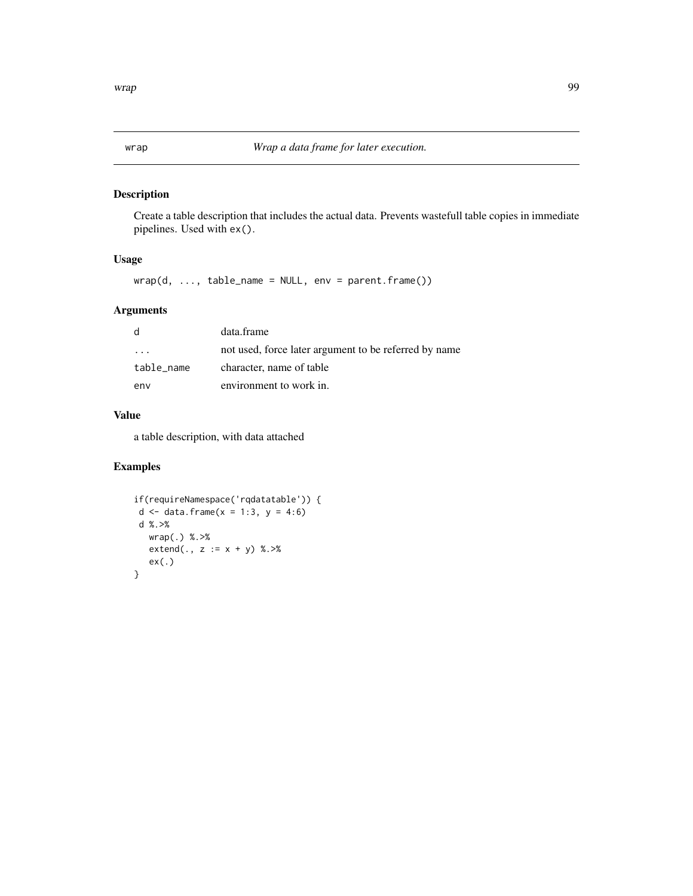# <span id="page-98-0"></span>Description

Create a table description that includes the actual data. Prevents wastefull table copies in immediate pipelines. Used with ex().

#### Usage

 $wrap(d, ..., table_name = NULL, env = parent-frame())$ 

# Arguments

| d          | data.frame                                            |
|------------|-------------------------------------------------------|
| .          | not used, force later argument to be referred by name |
| table_name | character, name of table                              |
| env        | environment to work in.                               |

# Value

a table description, with data attached

```
if(requireNamespace('rqdatatable')) {
d <- data.frame(x = 1:3, y = 4:6)d %.>%
  wrap(.) %.>%
  extend(., z := x + y) %. >%
  ex(.)
}
```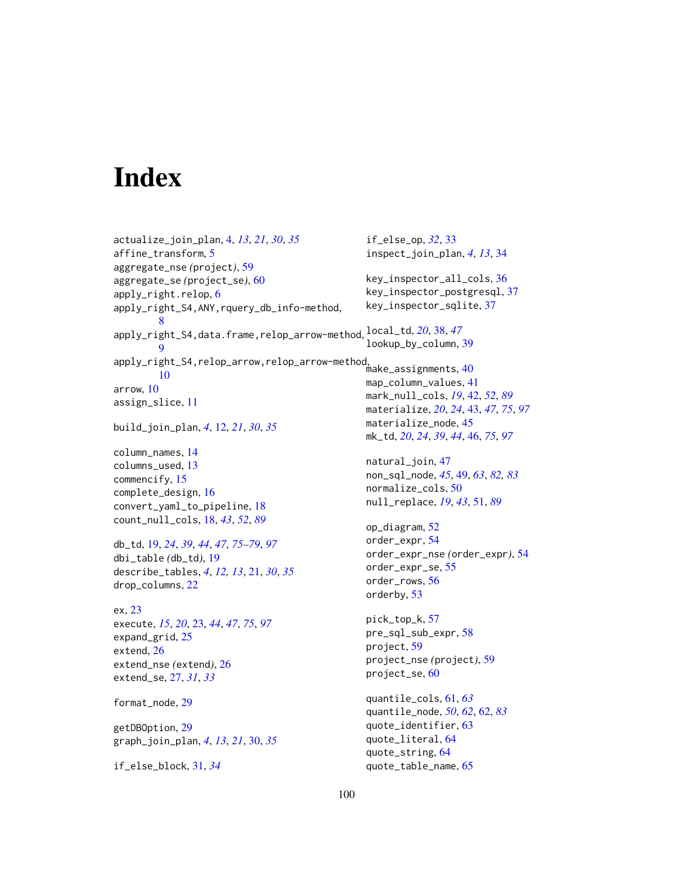# **Index**

actualize\_join\_plan, [4,](#page-3-0) *[13](#page-12-0)*, *[21](#page-20-0)*, *[30](#page-29-0)*, *[35](#page-34-0)* affine\_transform, [5](#page-4-0) aggregate\_nse *(*project*)*, [59](#page-58-0) aggregate\_se *(*project\_se*)*, [60](#page-59-0) apply\_right.relop, [6](#page-5-0) apply\_right\_S4,ANY,rquery\_db\_info-method, [8](#page-7-0) apply\_right\_S4,data.frame,relop\_arrow-method, local\_td, *[20](#page-19-0)*, [38,](#page-37-0) *[47](#page-46-0)*  $\mathbf Q$ apply\_right\_S4,relop\_arrow,relop\_arrow-method, make\_assignments, [40](#page-39-0) [10](#page-9-0) arrow, [10](#page-9-0) assign\_slice, [11](#page-10-0) build\_join\_plan, *[4](#page-3-0)*, [12,](#page-11-0) *[21](#page-20-0)*, *[30](#page-29-0)*, *[35](#page-34-0)* column\_names, [14](#page-13-0) columns\_used, [13](#page-12-0) commencify, [15](#page-14-0) complete\_design, [16](#page-15-0) convert\_yaml\_to\_pipeline, [18](#page-17-1) count\_null\_cols, [18,](#page-17-1) *[43](#page-42-1)*, *[52](#page-51-0)*, *[89](#page-88-0)* db\_td, [19,](#page-18-1) *[24](#page-23-0)*, *[39](#page-38-0)*, *[44](#page-43-0)*, *[47](#page-46-0)*, *[75–](#page-74-1)[79](#page-78-0)*, *[97](#page-96-0)* dbi\_table *(*db\_td*)*, [19](#page-18-1) describe\_tables, *[4](#page-3-0)*, *[12,](#page-11-0) [13](#page-12-0)*, [21,](#page-20-0) *[30](#page-29-0)*, *[35](#page-34-0)* drop\_columns, [22](#page-21-0) ex, [23](#page-22-1) execute, *[15](#page-14-0)*, *[20](#page-19-0)*, [23,](#page-22-1) *[44](#page-43-0)*, *[47](#page-46-0)*, *[75](#page-74-1)*, *[97](#page-96-0)* expand\_grid, [25](#page-24-0) extend, [26](#page-25-0) extend\_nse *(*extend*)*, [26](#page-25-0) extend\_se, [27,](#page-26-0) *[31](#page-30-0)*, *[33](#page-32-0)* format\_node, [29](#page-28-0) getDBOption, [29](#page-28-0) graph\_join\_plan, *[4](#page-3-0)*, *[13](#page-12-0)*, *[21](#page-20-0)*, [30,](#page-29-0) *[35](#page-34-0)* if\_else\_block, [31,](#page-30-0) *[34](#page-33-0)* if\_else\_op, *[32](#page-31-0)*, [33](#page-32-0) inspect\_join\_plan, *[4](#page-3-0)*, *[13](#page-12-0)*, [34](#page-33-0) key\_inspector\_all\_cols, [36](#page-35-0) key\_inspector\_postgresql, [37](#page-36-0) key\_inspector\_sqlite, [37](#page-36-0) lookup\_by\_column, [39](#page-38-0) map\_column\_values, [41](#page-40-0) mark\_null\_cols, *[19](#page-18-1)*, [42,](#page-41-1) *[52](#page-51-0)*, *[89](#page-88-0)* materialize, *[20](#page-19-0)*, *[24](#page-23-0)*, [43,](#page-42-1) *[47](#page-46-0)*, *[75](#page-74-1)*, *[97](#page-96-0)* materialize\_node, [45](#page-44-0) mk\_td, *[20](#page-19-0)*, *[24](#page-23-0)*, *[39](#page-38-0)*, *[44](#page-43-0)*, [46,](#page-45-1) *[75](#page-74-1)*, *[97](#page-96-0)* natural\_join, [47](#page-46-0) non\_sql\_node, *[45](#page-44-0)*, [49,](#page-48-1) *[63](#page-62-0)*, *[82,](#page-81-0) [83](#page-82-0)* normalize\_cols, [50](#page-49-0) null\_replace, *[19](#page-18-1)*, *[43](#page-42-1)*, [51,](#page-50-1) *[89](#page-88-0)* op\_diagram, [52](#page-51-0) order\_expr, [54](#page-53-0) order\_expr\_nse *(*order\_expr*)*, [54](#page-53-0) order\_expr\_se, [55](#page-54-0) order\_rows, [56](#page-55-0) orderby, [53](#page-52-0) pick\_top\_k, [57](#page-56-0) pre\_sql\_sub\_expr, [58](#page-57-0) project, [59](#page-58-0) project\_nse *(*project*)*, [59](#page-58-0) project\_se, [60](#page-59-0) quantile\_cols, [61,](#page-60-0) *[63](#page-62-0)* quantile\_node, *[50](#page-49-0)*, *[62](#page-61-1)*, [62,](#page-61-1) *[83](#page-82-0)* quote\_identifier, [63](#page-62-0) quote\_literal, [64](#page-63-0) quote\_string, [64](#page-63-0) quote\_table\_name, [65](#page-64-0)